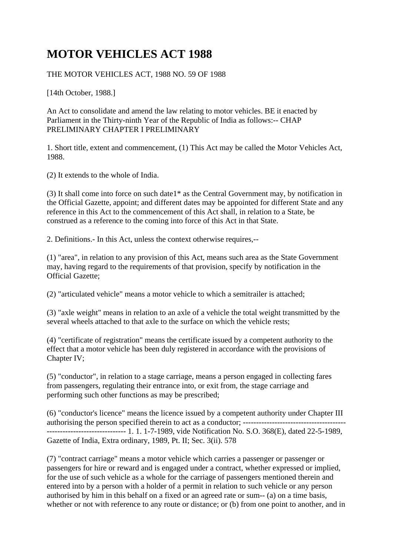## **MOTOR VEHICLES ACT 1988**

## THE MOTOR VEHICLES ACT, 1988 NO. 59 OF 1988

[14th October, 1988.]

An Act to consolidate and amend the law relating to motor vehicles. BE it enacted by Parliament in the Thirty-ninth Year of the Republic of India as follows:-- CHAP PRELIMINARY CHAPTER I PRELIMINARY

1. Short title, extent and commencement, (1) This Act may be called the Motor Vehicles Act, 1988.

(2) It extends to the whole of India.

(3) It shall come into force on such date1\* as the Central Government may, by notification in the Official Gazette, appoint; and different dates may be appointed for different State and any reference in this Act to the commencement of this Act shall, in relation to a State, be construed as a reference to the coming into force of this Act in that State.

2. Definitions.- In this Act, unless the context otherwise requires,--

(1) "area", in relation to any provision of this Act, means such area as the State Government may, having regard to the requirements of that provision, specify by notification in the Official Gazette;

(2) "articulated vehicle" means a motor vehicle to which a semitrailer is attached;

(3) "axle weight" means in relation to an axle of a vehicle the total weight transmitted by the several wheels attached to that axle to the surface on which the vehicle rests;

(4) "certificate of registration" means the certificate issued by a competent authority to the effect that a motor vehicle has been duly registered in accordance with the provisions of Chapter IV;

(5) "conductor", in relation to a stage carriage, means a person engaged in collecting fares from passengers, regulating their entrance into, or exit from, the stage carriage and performing such other functions as may be prescribed;

(6) "conductor's licence" means the licence issued by a competent authority under Chapter III authorising the person specified therein to act as a conductor; --------------------------------------- ------------------------------ 1. 1. 1-7-1989, vide Notification No. S.O. 368(E), dated 22-5-1989, Gazette of India, Extra ordinary, 1989, Pt. II; Sec. 3(ii). 578

(7) "contract carriage" means a motor vehicle which carries a passenger or passenger or passengers for hire or reward and is engaged under a contract, whether expressed or implied, for the use of such vehicle as a whole for the carriage of passengers mentioned therein and entered into by a person with a holder of a permit in relation to such vehicle or any person authorised by him in this behalf on a fixed or an agreed rate or sum-- (a) on a time basis, whether or not with reference to any route or distance; or (b) from one point to another, and in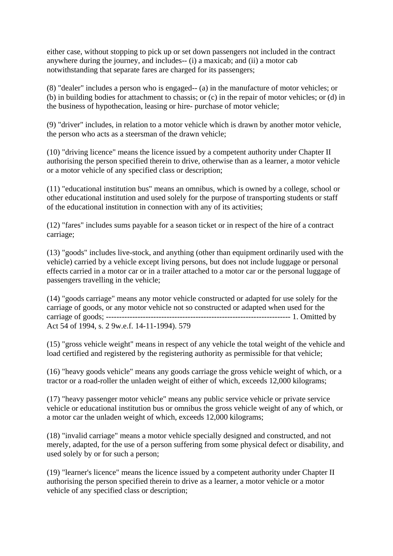either case, without stopping to pick up or set down passengers not included in the contract anywhere during the journey, and includes-- (i) a maxicab; and (ii) a motor cab notwithstanding that separate fares are charged for its passengers;

(8) "dealer" includes a person who is engaged-- (a) in the manufacture of motor vehicles; or (b) in building bodies for attachment to chassis; or (c) in the repair of motor vehicles; or (d) in the business of hypothecation, leasing or hire- purchase of motor vehicle;

(9) "driver" includes, in relation to a motor vehicle which is drawn by another motor vehicle, the person who acts as a steersman of the drawn vehicle;

(10) "driving licence" means the licence issued by a competent authority under Chapter II authorising the person specified therein to drive, otherwise than as a learner, a motor vehicle or a motor vehicle of any specified class or description;

(11) "educational institution bus" means an omnibus, which is owned by a college, school or other educational institution and used solely for the purpose of transporting students or staff of the educational institution in connection with any of its activities;

(12) "fares" includes sums payable for a season ticket or in respect of the hire of a contract carriage;

(13) "goods" includes live-stock, and anything (other than equipment ordinarily used with the vehicle) carried by a vehicle except living persons, but does not include luggage or personal effects carried in a motor car or in a trailer attached to a motor car or the personal luggage of passengers travelling in the vehicle;

(14) "goods carriage" means any motor vehicle constructed or adapted for use solely for the carriage of goods, or any motor vehicle not so constructed or adapted when used for the carriage of goods; ---------------------------------------------------------------------- 1. Omitted by Act 54 of 1994, s. 2 9w.e.f. 14-11-1994). 579

(15) "gross vehicle weight" means in respect of any vehicle the total weight of the vehicle and load certified and registered by the registering authority as permissible for that vehicle;

(16) "heavy goods vehicle" means any goods carriage the gross vehicle weight of which, or a tractor or a road-roller the unladen weight of either of which, exceeds 12,000 kilograms;

(17) "heavy passenger motor vehicle" means any public service vehicle or private service vehicle or educational institution bus or omnibus the gross vehicle weight of any of which, or a motor car the unladen weight of which, exceeds 12,000 kilograms;

(18) "invalid carriage" means a motor vehicle specially designed and constructed, and not merely, adapted, for the use of a person suffering from some physical defect or disability, and used solely by or for such a person;

(19) "learner's licence" means the licence issued by a competent authority under Chapter II authorising the person specified therein to drive as a learner, a motor vehicle or a motor vehicle of any specified class or description;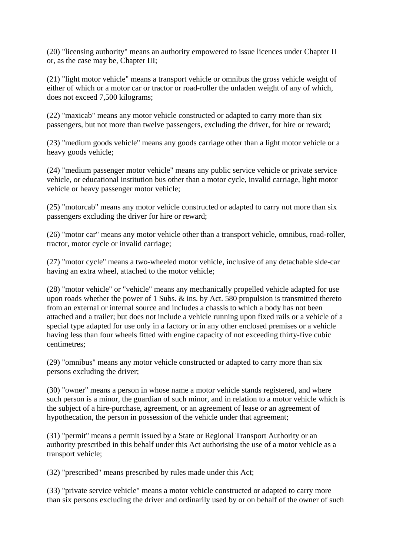(20) "licensing authority" means an authority empowered to issue licences under Chapter II or, as the case may be, Chapter III;

(21) "light motor vehicle" means a transport vehicle or omnibus the gross vehicle weight of either of which or a motor car or tractor or road-roller the unladen weight of any of which, does not exceed 7,500 kilograms;

(22) "maxicab" means any motor vehicle constructed or adapted to carry more than six passengers, but not more than twelve passengers, excluding the driver, for hire or reward;

(23) "medium goods vehicle" means any goods carriage other than a light motor vehicle or a heavy goods vehicle;

(24) "medium passenger motor vehicle" means any public service vehicle or private service vehicle, or educational institution bus other than a motor cycle, invalid carriage, light motor vehicle or heavy passenger motor vehicle;

(25) "motorcab" means any motor vehicle constructed or adapted to carry not more than six passengers excluding the driver for hire or reward;

(26) "motor car" means any motor vehicle other than a transport vehicle, omnibus, road-roller, tractor, motor cycle or invalid carriage;

(27) "motor cycle" means a two-wheeled motor vehicle, inclusive of any detachable side-car having an extra wheel, attached to the motor vehicle;

(28) "motor vehicle" or "vehicle" means any mechanically propelled vehicle adapted for use upon roads whether the power of 1 Subs.  $\&$  ins. by Act. 580 propulsion is transmitted thereto from an external or internal source and includes a chassis to which a body has not been attached and a trailer; but does not include a vehicle running upon fixed rails or a vehicle of a special type adapted for use only in a factory or in any other enclosed premises or a vehicle having less than four wheels fitted with engine capacity of not exceeding thirty-five cubic centimetres;

(29) "omnibus" means any motor vehicle constructed or adapted to carry more than six persons excluding the driver;

(30) "owner" means a person in whose name a motor vehicle stands registered, and where such person is a minor, the guardian of such minor, and in relation to a motor vehicle which is the subject of a hire-purchase, agreement, or an agreement of lease or an agreement of hypothecation, the person in possession of the vehicle under that agreement;

(31) "permit" means a permit issued by a State or Regional Transport Authority or an authority prescribed in this behalf under this Act authorising the use of a motor vehicle as a transport vehicle;

(32) "prescribed" means prescribed by rules made under this Act;

(33) "private service vehicle" means a motor vehicle constructed or adapted to carry more than six persons excluding the driver and ordinarily used by or on behalf of the owner of such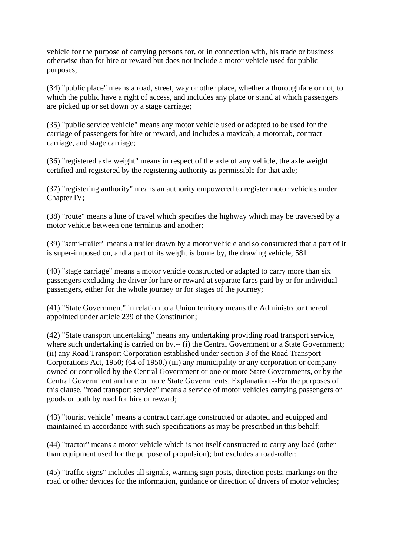vehicle for the purpose of carrying persons for, or in connection with, his trade or business otherwise than for hire or reward but does not include a motor vehicle used for public purposes;

(34) "public place" means a road, street, way or other place, whether a thoroughfare or not, to which the public have a right of access, and includes any place or stand at which passengers are picked up or set down by a stage carriage;

(35) "public service vehicle" means any motor vehicle used or adapted to be used for the carriage of passengers for hire or reward, and includes a maxicab, a motorcab, contract carriage, and stage carriage;

(36) "registered axle weight" means in respect of the axle of any vehicle, the axle weight certified and registered by the registering authority as permissible for that axle;

(37) "registering authority" means an authority empowered to register motor vehicles under Chapter IV;

(38) "route" means a line of travel which specifies the highway which may be traversed by a motor vehicle between one terminus and another;

(39) "semi-trailer" means a trailer drawn by a motor vehicle and so constructed that a part of it is super-imposed on, and a part of its weight is borne by, the drawing vehicle; 581

(40) "stage carriage" means a motor vehicle constructed or adapted to carry more than six passengers excluding the driver for hire or reward at separate fares paid by or for individual passengers, either for the whole journey or for stages of the journey;

(41) "State Government" in relation to a Union territory means the Administrator thereof appointed under article 239 of the Constitution;

(42) "State transport undertaking" means any undertaking providing road transport service, where such undertaking is carried on by,-- (i) the Central Government or a State Government; (ii) any Road Transport Corporation established under section 3 of the Road Transport Corporations Act, 1950; (64 of 1950.) (iii) any municipality or any corporation or company owned or controlled by the Central Government or one or more State Governments, or by the Central Government and one or more State Governments. Explanation.--For the purposes of this clause, "road transport service" means a service of motor vehicles carrying passengers or goods or both by road for hire or reward;

(43) "tourist vehicle" means a contract carriage constructed or adapted and equipped and maintained in accordance with such specifications as may be prescribed in this behalf;

(44) "tractor" means a motor vehicle which is not itself constructed to carry any load (other than equipment used for the purpose of propulsion); but excludes a road-roller;

(45) "traffic signs" includes all signals, warning sign posts, direction posts, markings on the road or other devices for the information, guidance or direction of drivers of motor vehicles;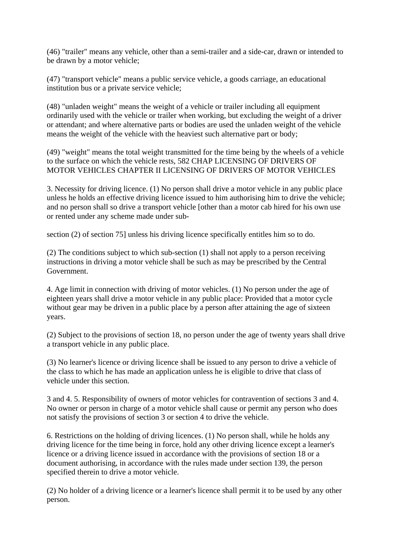(46) "trailer" means any vehicle, other than a semi-trailer and a side-car, drawn or intended to be drawn by a motor vehicle;

(47) "transport vehicle" means a public service vehicle, a goods carriage, an educational institution bus or a private service vehicle;

(48) "unladen weight" means the weight of a vehicle or trailer including all equipment ordinarily used with the vehicle or trailer when working, but excluding the weight of a driver or attendant; and where alternative parts or bodies are used the unladen weight of the vehicle means the weight of the vehicle with the heaviest such alternative part or body;

(49) "weight" means the total weight transmitted for the time being by the wheels of a vehicle to the surface on which the vehicle rests, 582 CHAP LICENSING OF DRIVERS OF MOTOR VEHICLES CHAPTER II LICENSING OF DRIVERS OF MOTOR VEHICLES

3. Necessity for driving licence. (1) No person shall drive a motor vehicle in any public place unless he holds an effective driving licence issued to him authorising him to drive the vehicle; and no person shall so drive a transport vehicle [other than a motor cab hired for his own use or rented under any scheme made under sub-

section (2) of section 75] unless his driving licence specifically entitles him so to do.

(2) The conditions subject to which sub-section (1) shall not apply to a person receiving instructions in driving a motor vehicle shall be such as may be prescribed by the Central Government.

4. Age limit in connection with driving of motor vehicles. (1) No person under the age of eighteen years shall drive a motor vehicle in any public place: Provided that a motor cycle without gear may be driven in a public place by a person after attaining the age of sixteen years.

(2) Subject to the provisions of section 18, no person under the age of twenty years shall drive a transport vehicle in any public place.

(3) No learner's licence or driving licence shall be issued to any person to drive a vehicle of the class to which he has made an application unless he is eligible to drive that class of vehicle under this section.

3 and 4. 5. Responsibility of owners of motor vehicles for contravention of sections 3 and 4. No owner or person in charge of a motor vehicle shall cause or permit any person who does not satisfy the provisions of section 3 or section 4 to drive the vehicle.

6. Restrictions on the holding of driving licences. (1) No person shall, while he holds any driving licence for the time being in force, hold any other driving licence except a learner's licence or a driving licence issued in accordance with the provisions of section 18 or a document authorising, in accordance with the rules made under section 139, the person specified therein to drive a motor vehicle.

(2) No holder of a driving licence or a learner's licence shall permit it to be used by any other person.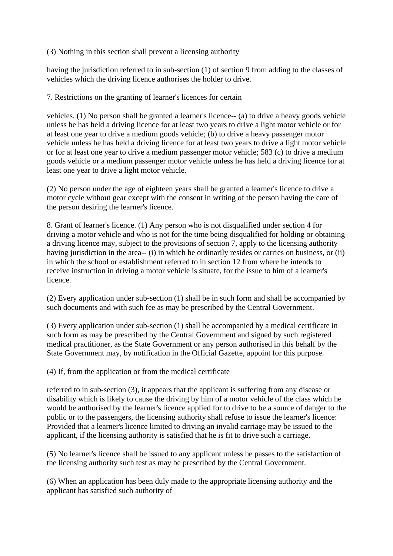(3) Nothing in this section shall prevent a licensing authority

having the jurisdiction referred to in sub-section (1) of section 9 from adding to the classes of vehicles which the driving licence authorises the holder to drive.

7. Restrictions on the granting of learner's licences for certain

vehicles. (1) No person shall be granted a learner's licence-- (a) to drive a heavy goods vehicle unless he has held a driving licence for at least two years to drive a light motor vehicle or for at least one year to drive a medium goods vehicle; (b) to drive a heavy passenger motor vehicle unless he has held a driving licence for at least two years to drive a light motor vehicle or for at least one year to drive a medium passenger motor vehicle; 583 (c) to drive a medium goods vehicle or a medium passenger motor vehicle unless he has held a driving licence for at least one year to drive a light motor vehicle.

(2) No person under the age of eighteen years shall be granted a learner's licence to drive a motor cycle without gear except with the consent in writing of the person having the care of the person desiring the learner's licence.

8. Grant of learner's licence. (1) Any person who is not disqualified under section 4 for driving a motor vehicle and who is not for the time being disqualified for holding or obtaining a driving licence may, subject to the provisions of section 7, apply to the licensing authority having jurisdiction in the area-- (i) in which he ordinarily resides or carries on business, or (ii) in which the school or establishment referred to in section 12 from where he intends to receive instruction in driving a motor vehicle is situate, for the issue to him of a learner's licence.

(2) Every application under sub-section (1) shall be in such form and shall be accompanied by such documents and with such fee as may be prescribed by the Central Government.

(3) Every application under sub-section (1) shall be accompanied by a medical certificate in such form as may be prescribed by the Central Government and signed by such registered medical practitioner, as the State Government or any person authorised in this behalf by the State Government may, by notification in the Official Gazette, appoint for this purpose.

(4) If, from the application or from the medical certificate

referred to in sub-section (3), it appears that the applicant is suffering from any disease or disability which is likely to cause the driving by him of a motor vehicle of the class which he would be authorised by the learner's licence applied for to drive to be a source of danger to the public or to the passengers, the licensing authority shall refuse to issue the learner's licence: Provided that a learner's licence limited to driving an invalid carriage may be issued to the applicant, if the licensing authority is satisfied that he is fit to drive such a carriage.

(5) No learner's licence shall be issued to any applicant unless he passes to the satisfaction of the licensing authority such test as may be prescribed by the Central Government.

(6) When an application has been duly made to the appropriate licensing authority and the applicant has satisfied such authority of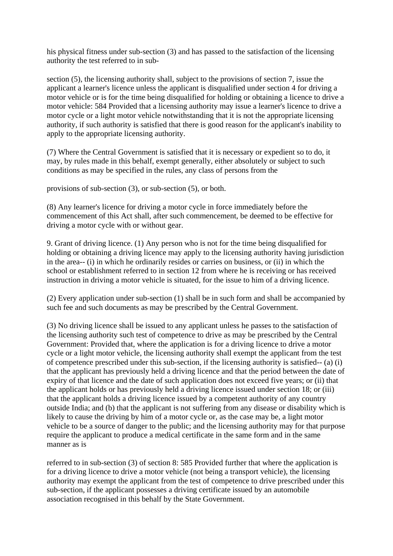his physical fitness under sub-section (3) and has passed to the satisfaction of the licensing authority the test referred to in sub-

section (5), the licensing authority shall, subject to the provisions of section 7, issue the applicant a learner's licence unless the applicant is disqualified under section 4 for driving a motor vehicle or is for the time being disqualified for holding or obtaining a licence to drive a motor vehicle: 584 Provided that a licensing authority may issue a learner's licence to drive a motor cycle or a light motor vehicle notwithstanding that it is not the appropriate licensing authority, if such authority is satisfied that there is good reason for the applicant's inability to apply to the appropriate licensing authority.

(7) Where the Central Government is satisfied that it is necessary or expedient so to do, it may, by rules made in this behalf, exempt generally, either absolutely or subject to such conditions as may be specified in the rules, any class of persons from the

provisions of sub-section (3), or sub-section (5), or both.

(8) Any learner's licence for driving a motor cycle in force immediately before the commencement of this Act shall, after such commencement, be deemed to be effective for driving a motor cycle with or without gear.

9. Grant of driving licence. (1) Any person who is not for the time being disqualified for holding or obtaining a driving licence may apply to the licensing authority having jurisdiction in the area-- (i) in which he ordinarily resides or carries on business, or (ii) in which the school or establishment referred to in section 12 from where he is receiving or has received instruction in driving a motor vehicle is situated, for the issue to him of a driving licence.

(2) Every application under sub-section (1) shall be in such form and shall be accompanied by such fee and such documents as may be prescribed by the Central Government.

(3) No driving licence shall be issued to any applicant unless he passes to the satisfaction of the licensing authority such test of competence to drive as may be prescribed by the Central Government: Provided that, where the application is for a driving licence to drive a motor cycle or a light motor vehicle, the licensing authority shall exempt the applicant from the test of competence prescribed under this sub-section, if the licensing authority is satisfied-- (a) (i) that the applicant has previously held a driving licence and that the period between the date of expiry of that licence and the date of such application does not exceed five years; or (ii) that the applicant holds or has previously held a driving licence issued under section 18; or (iii) that the applicant holds a driving licence issued by a competent authority of any country outside India; and (b) that the applicant is not suffering from any disease or disability which is likely to cause the driving by him of a motor cycle or, as the case may be, a light motor vehicle to be a source of danger to the public; and the licensing authority may for that purpose require the applicant to produce a medical certificate in the same form and in the same manner as is

referred to in sub-section (3) of section 8: 585 Provided further that where the application is for a driving licence to drive a motor vehicle (not being a transport vehicle), the licensing authority may exempt the applicant from the test of competence to drive prescribed under this sub-section, if the applicant possesses a driving certificate issued by an automobile association recognised in this behalf by the State Government.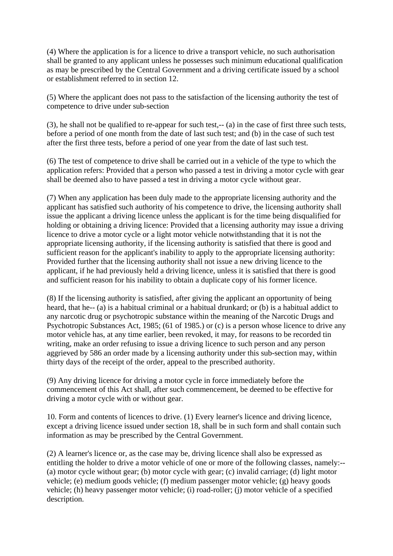(4) Where the application is for a licence to drive a transport vehicle, no such authorisation shall be granted to any applicant unless he possesses such minimum educational qualification as may be prescribed by the Central Government and a driving certificate issued by a school or establishment referred to in section 12.

(5) Where the applicant does not pass to the satisfaction of the licensing authority the test of competence to drive under sub-section

(3), he shall not be qualified to re-appear for such test,-- (a) in the case of first three such tests, before a period of one month from the date of last such test; and (b) in the case of such test after the first three tests, before a period of one year from the date of last such test.

(6) The test of competence to drive shall be carried out in a vehicle of the type to which the application refers: Provided that a person who passed a test in driving a motor cycle with gear shall be deemed also to have passed a test in driving a motor cycle without gear.

(7) When any application has been duly made to the appropriate licensing authority and the applicant has satisfied such authority of his competence to drive, the licensing authority shall issue the applicant a driving licence unless the applicant is for the time being disqualified for holding or obtaining a driving licence: Provided that a licensing authority may issue a driving licence to drive a motor cycle or a light motor vehicle notwithstanding that it is not the appropriate licensing authority, if the licensing authority is satisfied that there is good and sufficient reason for the applicant's inability to apply to the appropriate licensing authority: Provided further that the licensing authority shall not issue a new driving licence to the applicant, if he had previously held a driving licence, unless it is satisfied that there is good and sufficient reason for his inability to obtain a duplicate copy of his former licence.

(8) If the licensing authority is satisfied, after giving the applicant an opportunity of being heard, that he-- (a) is a habitual criminal or a habitual drunkard; or (b) is a habitual addict to any narcotic drug or psychotropic substance within the meaning of the Narcotic Drugs and Psychotropic Substances Act, 1985; (61 of 1985.) or (c) is a person whose licence to drive any motor vehicle has, at any time earlier, been revoked, it may, for reasons to be recorded tin writing, make an order refusing to issue a driving licence to such person and any person aggrieved by 586 an order made by a licensing authority under this sub-section may, within thirty days of the receipt of the order, appeal to the prescribed authority.

(9) Any driving licence for driving a motor cycle in force immediately before the commencement of this Act shall, after such commencement, be deemed to be effective for driving a motor cycle with or without gear.

10. Form and contents of licences to drive. (1) Every learner's licence and driving licence, except a driving licence issued under section 18, shall be in such form and shall contain such information as may be prescribed by the Central Government.

(2) A learner's licence or, as the case may be, driving licence shall also be expressed as entitling the holder to drive a motor vehicle of one or more of the following classes, namely:-- (a) motor cycle without gear; (b) motor cycle with gear; (c) invalid carriage; (d) light motor vehicle; (e) medium goods vehicle; (f) medium passenger motor vehicle; (g) heavy goods vehicle; (h) heavy passenger motor vehicle; (i) road-roller; (j) motor vehicle of a specified description.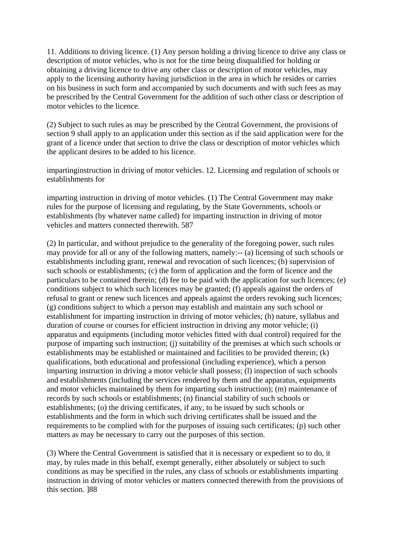11. Additions to driving licence. (1) Any person holding a driving licence to drive any class or description of motor vehicles, who is not for the time being disqualified for holding or obtaining a driving licence to drive any other class or description of motor vehicles, may apply to the licensing authority having jurisdiction in the area in which he resides or carries on his business in such form and accompanied by such documents and with such fees as may be prescribed by the Central Government for the addition of such other class or description of motor vehicles to the licence.

(2) Subject to such rules as may be prescribed by the Central Government, the provisions of section 9 shall apply to an application under this section as if the said application were for the grant of a licence under that section to drive the class or description of motor vehicles which the applicant desires to be added to his licence.

impartinginstruction in driving of motor vehicles. 12. Licensing and regulation of schools or establishments for

imparting instruction in driving of motor vehicles. (1) The Central Government may make rules for the purpose of licensing and regulating, by the State Governments, schools or establishments (by whatever name called) for imparting instruction in driving of motor vehicles and matters connected therewith. 587

(2) In particular, and without prejudice to the generality of the foregoing power, such rules may provide for all or any of the following matters, namely:-- (a) licensing of such schools or establishments including grant, renewal and revocation of such licences; (b) supervision of such schools or establishments; (c) the form of application and the form of licence and the particulars to be contained therein; (d) fee to be paid with the application for such licences; (e) conditions subject to which such licences may be granted; (f) appeals against the orders of refusal to grant or renew such licences and appeals against the orders revoking such licences; (g) conditions subject to which a person may establish and maintain any such school or establishment for imparting instruction in driving of motor vehicles; (h) nature, syllabus and duration of course or courses for efficient instruction in driving any motor vehicle; (i) apparatus and equipments (including motor vehicles fitted with dual control) required for the purpose of imparting such instruction; (j) suitability of the premises at which such schools or establishments may be established or maintained and facilities to be provided therein; (k) qualifications, both educational and professional (including experience), which a person imparting instruction in driving a motor vehicle shall possess; (l) inspection of such schools and establishments (including the services rendered by them and the apparatus, equipments and motor vehicles maintained by them for imparting such instruction); (m) maintenance of records by such schools or establishments; (n) financial stability of such schools or establishments; (o) the driving certificates, if any, to be issued by such schools or establishments and the form in which such driving certificates shall be issued and the requirements to be complied with for the purposes of issuing such certificates; (p) such other matters as may be necessary to carry out the purposes of this section.

(3) Where the Central Government is satisfied that it is necessary or expedient so to do, it may, by rules made in this behalf, exempt generally, either absolutely or subject to such conditions as may be specified in the rules, any class of schools or establishments imparting instruction in driving of motor vehicles or matters connected therewith from the provisions of this section. ]88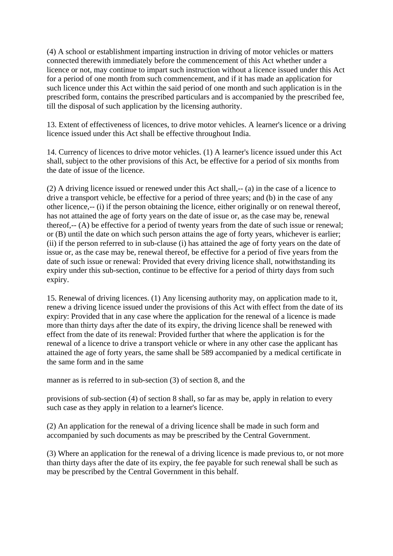(4) A school or establishment imparting instruction in driving of motor vehicles or matters connected therewith immediately before the commencement of this Act whether under a licence or not, may continue to impart such instruction without a licence issued under this Act for a period of one month from such commencement, and if it has made an application for such licence under this Act within the said period of one month and such application is in the prescribed form, contains the prescribed particulars and is accompanied by the prescribed fee, till the disposal of such application by the licensing authority.

13. Extent of effectiveness of licences, to drive motor vehicles. A learner's licence or a driving licence issued under this Act shall be effective throughout India.

14. Currency of licences to drive motor vehicles. (1) A learner's licence issued under this Act shall, subject to the other provisions of this Act, be effective for a period of six months from the date of issue of the licence.

(2) A driving licence issued or renewed under this Act shall,-- (a) in the case of a licence to drive a transport vehicle, be effective for a period of three years; and (b) in the case of any other licence,-- (i) if the person obtaining the licence, either originally or on renewal thereof, has not attained the age of forty years on the date of issue or, as the case may be, renewal thereof,-- (A) be effective for a period of twenty years from the date of such issue or renewal; or (B) until the date on which such person attains the age of forty years, whichever is earlier; (ii) if the person referred to in sub-clause (i) has attained the age of forty years on the date of issue or, as the case may be, renewal thereof, be effective for a period of five years from the date of such issue or renewal: Provided that every driving licence shall, notwithstanding its expiry under this sub-section, continue to be effective for a period of thirty days from such expiry.

15. Renewal of driving licences. (1) Any licensing authority may, on application made to it, renew a driving licence issued under the provisions of this Act with effect from the date of its expiry: Provided that in any case where the application for the renewal of a licence is made more than thirty days after the date of its expiry, the driving licence shall be renewed with effect from the date of its renewal: Provided further that where the application is for the renewal of a licence to drive a transport vehicle or where in any other case the applicant has attained the age of forty years, the same shall be 589 accompanied by a medical certificate in the same form and in the same

manner as is referred to in sub-section (3) of section 8, and the

provisions of sub-section (4) of section 8 shall, so far as may be, apply in relation to every such case as they apply in relation to a learner's licence.

(2) An application for the renewal of a driving licence shall be made in such form and accompanied by such documents as may be prescribed by the Central Government.

(3) Where an application for the renewal of a driving licence is made previous to, or not more than thirty days after the date of its expiry, the fee payable for such renewal shall be such as may be prescribed by the Central Government in this behalf.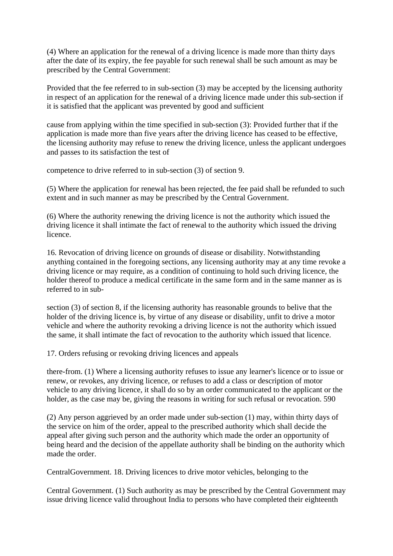(4) Where an application for the renewal of a driving licence is made more than thirty days after the date of its expiry, the fee payable for such renewal shall be such amount as may be prescribed by the Central Government:

Provided that the fee referred to in sub-section (3) may be accepted by the licensing authority in respect of an application for the renewal of a driving licence made under this sub-section if it is satisfied that the applicant was prevented by good and sufficient

cause from applying within the time specified in sub-section (3): Provided further that if the application is made more than five years after the driving licence has ceased to be effective, the licensing authority may refuse to renew the driving licence, unless the applicant undergoes and passes to its satisfaction the test of

competence to drive referred to in sub-section (3) of section 9.

(5) Where the application for renewal has been rejected, the fee paid shall be refunded to such extent and in such manner as may be prescribed by the Central Government.

(6) Where the authority renewing the driving licence is not the authority which issued the driving licence it shall intimate the fact of renewal to the authority which issued the driving licence.

16. Revocation of driving licence on grounds of disease or disability. Notwithstanding anything contained in the foregoing sections, any licensing authority may at any time revoke a driving licence or may require, as a condition of continuing to hold such driving licence, the holder thereof to produce a medical certificate in the same form and in the same manner as is referred to in sub-

section (3) of section 8, if the licensing authority has reasonable grounds to belive that the holder of the driving licence is, by virtue of any disease or disability, unfit to drive a motor vehicle and where the authority revoking a driving licence is not the authority which issued the same, it shall intimate the fact of revocation to the authority which issued that licence.

17. Orders refusing or revoking driving licences and appeals

there-from. (1) Where a licensing authority refuses to issue any learner's licence or to issue or renew, or revokes, any driving licence, or refuses to add a class or description of motor vehicle to any driving licence, it shall do so by an order communicated to the applicant or the holder, as the case may be, giving the reasons in writing for such refusal or revocation. 590

(2) Any person aggrieved by an order made under sub-section (1) may, within thirty days of the service on him of the order, appeal to the prescribed authority which shall decide the appeal after giving such person and the authority which made the order an opportunity of being heard and the decision of the appellate authority shall be binding on the authority which made the order.

CentralGovernment. 18. Driving licences to drive motor vehicles, belonging to the

Central Government. (1) Such authority as may be prescribed by the Central Government may issue driving licence valid throughout India to persons who have completed their eighteenth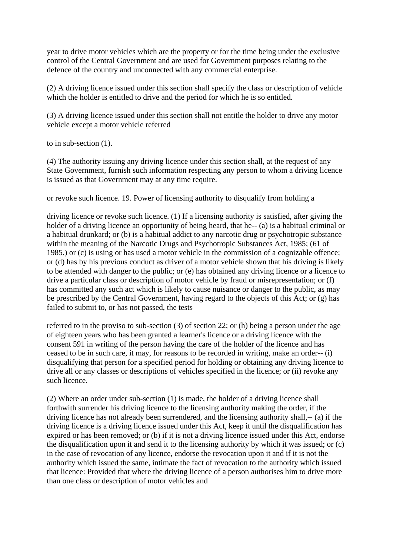year to drive motor vehicles which are the property or for the time being under the exclusive control of the Central Government and are used for Government purposes relating to the defence of the country and unconnected with any commercial enterprise.

(2) A driving licence issued under this section shall specify the class or description of vehicle which the holder is entitled to drive and the period for which he is so entitled.

(3) A driving licence issued under this section shall not entitle the holder to drive any motor vehicle except a motor vehicle referred

to in sub-section (1).

(4) The authority issuing any driving licence under this section shall, at the request of any State Government, furnish such information respecting any person to whom a driving licence is issued as that Government may at any time require.

or revoke such licence. 19. Power of licensing authority to disqualify from holding a

driving licence or revoke such licence. (1) If a licensing authority is satisfied, after giving the holder of a driving licence an opportunity of being heard, that he-- (a) is a habitual criminal or a habitual drunkard; or (b) is a habitual addict to any narcotic drug or psychotropic substance within the meaning of the Narcotic Drugs and Psychotropic Substances Act, 1985; (61 of 1985.) or (c) is using or has used a motor vehicle in the commission of a cognizable offence; or (d) has by his previous conduct as driver of a motor vehicle shown that his driving is likely to be attended with danger to the public; or (e) has obtained any driving licence or a licence to drive a particular class or description of motor vehicle by fraud or misrepresentation; or (f) has committed any such act which is likely to cause nuisance or danger to the public, as may be prescribed by the Central Government, having regard to the objects of this Act; or (g) has failed to submit to, or has not passed, the tests

referred to in the proviso to sub-section (3) of section 22; or (h) being a person under the age of eighteen years who has been granted a learner's licence or a driving licence with the consent 591 in writing of the person having the care of the holder of the licence and has ceased to be in such care, it may, for reasons to be recorded in writing, make an order-- (i) disqualifying that person for a specified period for holding or obtaining any driving licence to drive all or any classes or descriptions of vehicles specified in the licence; or (ii) revoke any such licence.

(2) Where an order under sub-section (1) is made, the holder of a driving licence shall forthwith surrender his driving licence to the licensing authority making the order, if the driving licence has not already been surrendered, and the licensing authority shall,-- (a) if the driving licence is a driving licence issued under this Act, keep it until the disqualification has expired or has been removed; or (b) if it is not a driving licence issued under this Act, endorse the disqualification upon it and send it to the licensing authority by which it was issued; or (c) in the case of revocation of any licence, endorse the revocation upon it and if it is not the authority which issued the same, intimate the fact of revocation to the authority which issued that licence: Provided that where the driving licence of a person authorises him to drive more than one class or description of motor vehicles and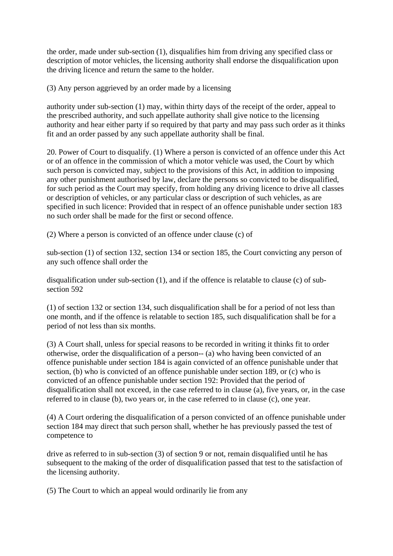the order, made under sub-section (1), disqualifies him from driving any specified class or description of motor vehicles, the licensing authority shall endorse the disqualification upon the driving licence and return the same to the holder.

(3) Any person aggrieved by an order made by a licensing

authority under sub-section (1) may, within thirty days of the receipt of the order, appeal to the prescribed authority, and such appellate authority shall give notice to the licensing authority and hear either party if so required by that party and may pass such order as it thinks fit and an order passed by any such appellate authority shall be final.

20. Power of Court to disqualify. (1) Where a person is convicted of an offence under this Act or of an offence in the commission of which a motor vehicle was used, the Court by which such person is convicted may, subject to the provisions of this Act, in addition to imposing any other punishment authorised by law, declare the persons so convicted to be disqualified, for such period as the Court may specify, from holding any driving licence to drive all classes or description of vehicles, or any particular class or description of such vehicles, as are specified in such licence: Provided that in respect of an offence punishable under section 183 no such order shall be made for the first or second offence.

(2) Where a person is convicted of an offence under clause (c) of

sub-section (1) of section 132, section 134 or section 185, the Court convicting any person of any such offence shall order the

disqualification under sub-section (1), and if the offence is relatable to clause (c) of subsection 592

(1) of section 132 or section 134, such disqualification shall be for a period of not less than one month, and if the offence is relatable to section 185, such disqualification shall be for a period of not less than six months.

(3) A Court shall, unless for special reasons to be recorded in writing it thinks fit to order otherwise, order the disqualification of a person-- (a) who having been convicted of an offence punishable under section 184 is again convicted of an offence punishable under that section, (b) who is convicted of an offence punishable under section 189, or (c) who is convicted of an offence punishable under section 192: Provided that the period of disqualification shall not exceed, in the case referred to in clause (a), five years, or, in the case referred to in clause (b), two years or, in the case referred to in clause (c), one year.

(4) A Court ordering the disqualification of a person convicted of an offence punishable under section 184 may direct that such person shall, whether he has previously passed the test of competence to

drive as referred to in sub-section (3) of section 9 or not, remain disqualified until he has subsequent to the making of the order of disqualification passed that test to the satisfaction of the licensing authority.

(5) The Court to which an appeal would ordinarily lie from any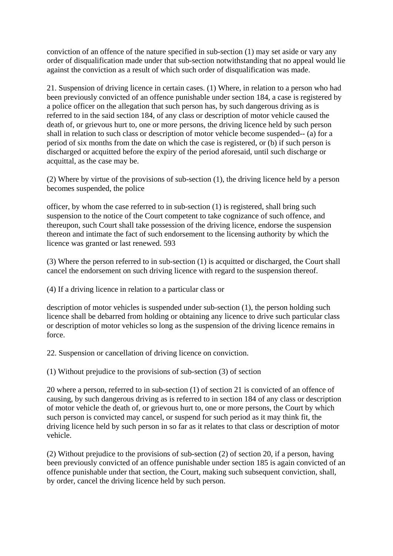conviction of an offence of the nature specified in sub-section (1) may set aside or vary any order of disqualification made under that sub-section notwithstanding that no appeal would lie against the conviction as a result of which such order of disqualification was made.

21. Suspension of driving licence in certain cases. (1) Where, in relation to a person who had been previously convicted of an offence punishable under section 184, a case is registered by a police officer on the allegation that such person has, by such dangerous driving as is referred to in the said section 184, of any class or description of motor vehicle caused the death of, or grievous hurt to, one or more persons, the driving licence held by such person shall in relation to such class or description of motor vehicle become suspended-- (a) for a period of six months from the date on which the case is registered, or (b) if such person is discharged or acquitted before the expiry of the period aforesaid, until such discharge or acquittal, as the case may be.

(2) Where by virtue of the provisions of sub-section (1), the driving licence held by a person becomes suspended, the police

officer, by whom the case referred to in sub-section (1) is registered, shall bring such suspension to the notice of the Court competent to take cognizance of such offence, and thereupon, such Court shall take possession of the driving licence, endorse the suspension thereon and intimate the fact of such endorsement to the licensing authority by which the licence was granted or last renewed. 593

(3) Where the person referred to in sub-section (1) is acquitted or discharged, the Court shall cancel the endorsement on such driving licence with regard to the suspension thereof.

(4) If a driving licence in relation to a particular class or

description of motor vehicles is suspended under sub-section (1), the person holding such licence shall be debarred from holding or obtaining any licence to drive such particular class or description of motor vehicles so long as the suspension of the driving licence remains in force.

22. Suspension or cancellation of driving licence on conviction.

(1) Without prejudice to the provisions of sub-section (3) of section

20 where a person, referred to in sub-section (1) of section 21 is convicted of an offence of causing, by such dangerous driving as is referred to in section 184 of any class or description of motor vehicle the death of, or grievous hurt to, one or more persons, the Court by which such person is convicted may cancel, or suspend for such period as it may think fit, the driving licence held by such person in so far as it relates to that class or description of motor vehicle.

(2) Without prejudice to the provisions of sub-section (2) of section 20, if a person, having been previously convicted of an offence punishable under section 185 is again convicted of an offence punishable under that section, the Court, making such subsequent conviction, shall, by order, cancel the driving licence held by such person.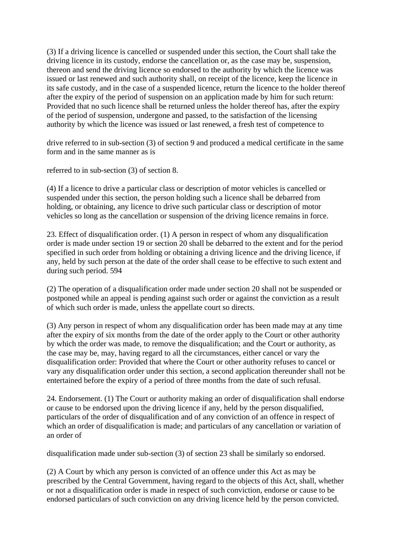(3) If a driving licence is cancelled or suspended under this section, the Court shall take the driving licence in its custody, endorse the cancellation or, as the case may be, suspension, thereon and send the driving licence so endorsed to the authority by which the licence was issued or last renewed and such authority shall, on receipt of the licence, keep the licence in its safe custody, and in the case of a suspended licence, return the licence to the holder thereof after the expiry of the period of suspension on an application made by him for such return: Provided that no such licence shall be returned unless the holder thereof has, after the expiry of the period of suspension, undergone and passed, to the satisfaction of the licensing authority by which the licence was issued or last renewed, a fresh test of competence to

drive referred to in sub-section (3) of section 9 and produced a medical certificate in the same form and in the same manner as is

referred to in sub-section (3) of section 8.

(4) If a licence to drive a particular class or description of motor vehicles is cancelled or suspended under this section, the person holding such a licence shall be debarred from holding, or obtaining, any licence to drive such particular class or description of motor vehicles so long as the cancellation or suspension of the driving licence remains in force.

23. Effect of disqualification order. (1) A person in respect of whom any disqualification order is made under section 19 or section 20 shall be debarred to the extent and for the period specified in such order from holding or obtaining a driving licence and the driving licence, if any, held by such person at the date of the order shall cease to be effective to such extent and during such period. 594

(2) The operation of a disqualification order made under section 20 shall not be suspended or postponed while an appeal is pending against such order or against the conviction as a result of which such order is made, unless the appellate court so directs.

(3) Any person in respect of whom any disqualification order has been made may at any time after the expiry of six months from the date of the order apply to the Court or other authority by which the order was made, to remove the disqualification; and the Court or authority, as the case may be, may, having regard to all the circumstances, either cancel or vary the disqualification order: Provided that where the Court or other authority refuses to cancel or vary any disqualification order under this section, a second application thereunder shall not be entertained before the expiry of a period of three months from the date of such refusal.

24. Endorsement. (1) The Court or authority making an order of disqualification shall endorse or cause to be endorsed upon the driving licence if any, held by the person disqualified, particulars of the order of disqualification and of any conviction of an offence in respect of which an order of disqualification is made; and particulars of any cancellation or variation of an order of

disqualification made under sub-section (3) of section 23 shall be similarly so endorsed.

(2) A Court by which any person is convicted of an offence under this Act as may be prescribed by the Central Government, having regard to the objects of this Act, shall, whether or not a disqualification order is made in respect of such conviction, endorse or cause to be endorsed particulars of such conviction on any driving licence held by the person convicted.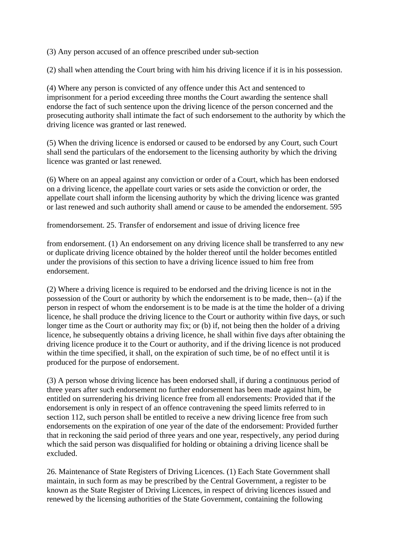(3) Any person accused of an offence prescribed under sub-section

(2) shall when attending the Court bring with him his driving licence if it is in his possession.

(4) Where any person is convicted of any offence under this Act and sentenced to imprisonment for a period exceeding three months the Court awarding the sentence shall endorse the fact of such sentence upon the driving licence of the person concerned and the prosecuting authority shall intimate the fact of such endorsement to the authority by which the driving licence was granted or last renewed.

(5) When the driving licence is endorsed or caused to be endorsed by any Court, such Court shall send the particulars of the endorsement to the licensing authority by which the driving licence was granted or last renewed.

(6) Where on an appeal against any conviction or order of a Court, which has been endorsed on a driving licence, the appellate court varies or sets aside the conviction or order, the appellate court shall inform the licensing authority by which the driving licence was granted or last renewed and such authority shall amend or cause to be amended the endorsement. 595

fromendorsement. 25. Transfer of endorsement and issue of driving licence free

from endorsement. (1) An endorsement on any driving licence shall be transferred to any new or duplicate driving licence obtained by the holder thereof until the holder becomes entitled under the provisions of this section to have a driving licence issued to him free from endorsement.

(2) Where a driving licence is required to be endorsed and the driving licence is not in the possession of the Court or authority by which the endorsement is to be made, then-- (a) if the person in respect of whom the endorsement is to be made is at the time the holder of a driving licence, he shall produce the driving licence to the Court or authority within five days, or such longer time as the Court or authority may fix; or (b) if, not being then the holder of a driving licence, he subsequently obtains a driving licence, he shall within five days after obtaining the driving licence produce it to the Court or authority, and if the driving licence is not produced within the time specified, it shall, on the expiration of such time, be of no effect until it is produced for the purpose of endorsement.

(3) A person whose driving licence has been endorsed shall, if during a continuous period of three years after such endorsement no further endorsement has been made against him, be entitled on surrendering his driving licence free from all endorsements: Provided that if the endorsement is only in respect of an offence contravening the speed limits referred to in section 112, such person shall be entitled to receive a new driving licence free from such endorsements on the expiration of one year of the date of the endorsement: Provided further that in reckoning the said period of three years and one year, respectively, any period during which the said person was disqualified for holding or obtaining a driving licence shall be excluded.

26. Maintenance of State Registers of Driving Licences. (1) Each State Government shall maintain, in such form as may be prescribed by the Central Government, a register to be known as the State Register of Driving Licences, in respect of driving licences issued and renewed by the licensing authorities of the State Government, containing the following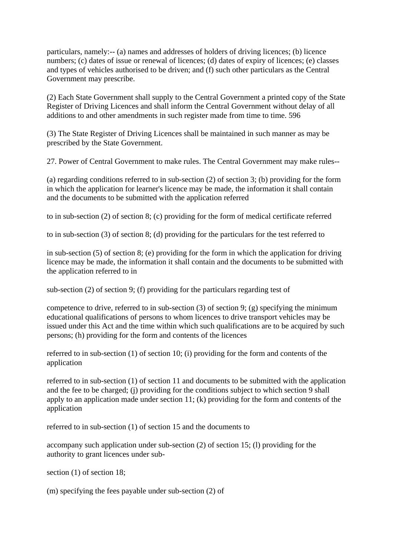particulars, namely:-- (a) names and addresses of holders of driving licences; (b) licence numbers; (c) dates of issue or renewal of licences; (d) dates of expiry of licences; (e) classes and types of vehicles authorised to be driven; and (f) such other particulars as the Central Government may prescribe.

(2) Each State Government shall supply to the Central Government a printed copy of the State Register of Driving Licences and shall inform the Central Government without delay of all additions to and other amendments in such register made from time to time. 596

(3) The State Register of Driving Licences shall be maintained in such manner as may be prescribed by the State Government.

27. Power of Central Government to make rules. The Central Government may make rules--

(a) regarding conditions referred to in sub-section (2) of section 3; (b) providing for the form in which the application for learner's licence may be made, the information it shall contain and the documents to be submitted with the application referred

to in sub-section (2) of section 8; (c) providing for the form of medical certificate referred

to in sub-section (3) of section 8; (d) providing for the particulars for the test referred to

in sub-section (5) of section 8; (e) providing for the form in which the application for driving licence may be made, the information it shall contain and the documents to be submitted with the application referred to in

sub-section (2) of section 9; (f) providing for the particulars regarding test of

competence to drive, referred to in sub-section (3) of section 9; (g) specifying the minimum educational qualifications of persons to whom licences to drive transport vehicles may be issued under this Act and the time within which such qualifications are to be acquired by such persons; (h) providing for the form and contents of the licences

referred to in sub-section (1) of section 10; (i) providing for the form and contents of the application

referred to in sub-section (1) of section 11 and documents to be submitted with the application and the fee to be charged; (j) providing for the conditions subject to which section 9 shall apply to an application made under section 11; (k) providing for the form and contents of the application

referred to in sub-section (1) of section 15 and the documents to

accompany such application under sub-section (2) of section 15; (l) providing for the authority to grant licences under sub-

section (1) of section 18;

(m) specifying the fees payable under sub-section (2) of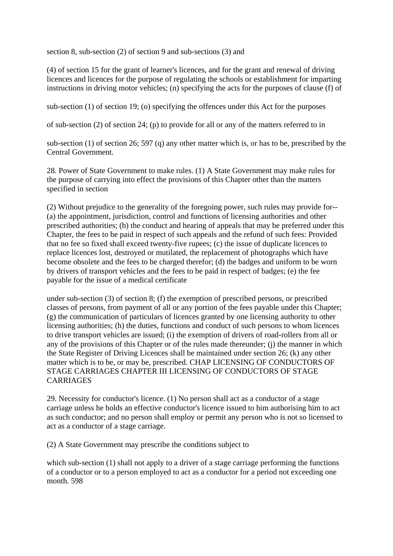section 8, sub-section (2) of section 9 and sub-sections (3) and

(4) of section 15 for the grant of learner's licences, and for the grant and renewal of driving licences and licences for the purpose of regulating the schools or establishment for imparting instructions in driving motor vehicles; (n) specifying the acts for the purposes of clause (f) of

sub-section (1) of section 19; (o) specifying the offences under this Act for the purposes

of sub-section (2) of section 24; (p) to provide for all or any of the matters referred to in

sub-section (1) of section 26; 597 (q) any other matter which is, or has to be, prescribed by the Central Government.

28. Power of State Government to make rules. (1) A State Government may make rules for the purpose of carrying into effect the provisions of this Chapter other than the matters specified in section

(2) Without prejudice to the generality of the foregoing power, such rules may provide for-- (a) the appointment, jurisdiction, control and functions of licensing authorities and other prescribed authorities; (b) the conduct and hearing of appeals that may be preferred under this Chapter, the fees to be paid in respect of such appeals and the refund of such fees: Provided that no fee so fixed shall exceed twenty-five rupees; (c) the issue of duplicate licences to replace licences lost, destroyed or mutilated, the replacement of photographs which have become obsolete and the fees to be charged therefor; (d) the badges and uniform to be worn by drivers of transport vehicles and the fees to be paid in respect of badges; (e) the fee payable for the issue of a medical certificate

under sub-section (3) of section 8; (f) the exemption of prescribed persons, or prescribed classes of persons, from payment of all or any portion of the fees payable under this Chapter; (g) the communication of particulars of licences granted by one licensing authority to other licensing authorities; (h) the duties, functions and conduct of such persons to whom licences to drive transport vehicles are issued; (i) the exemption of drivers of road-rollers from all or any of the provisions of this Chapter or of the rules made thereunder; (j) the manner in which the State Register of Driving Licences shall be maintained under section 26; (k) any other matter which is to be, or may be, prescribed. CHAP LICENSING OF CONDUCTORS OF STAGE CARRIAGES CHAPTER III LICENSING OF CONDUCTORS OF STAGE CARRIAGES

29. Necessity for conductor's licence. (1) No person shall act as a conductor of a stage carriage unless he holds an effective conductor's licence issued to him authorising him to act as such conductor; and no person shall employ or permit any person who is not so licensed to act as a conductor of a stage carriage.

(2) A State Government may prescribe the conditions subject to

which sub-section (1) shall not apply to a driver of a stage carriage performing the functions of a conductor or to a person employed to act as a conductor for a period not exceeding one month. 598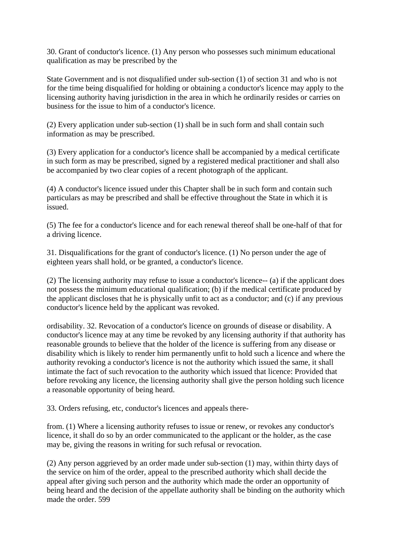30. Grant of conductor's licence. (1) Any person who possesses such minimum educational qualification as may be prescribed by the

State Government and is not disqualified under sub-section (1) of section 31 and who is not for the time being disqualified for holding or obtaining a conductor's licence may apply to the licensing authority having jurisdiction in the area in which he ordinarily resides or carries on business for the issue to him of a conductor's licence.

(2) Every application under sub-section (1) shall be in such form and shall contain such information as may be prescribed.

(3) Every application for a conductor's licence shall be accompanied by a medical certificate in such form as may be prescribed, signed by a registered medical practitioner and shall also be accompanied by two clear copies of a recent photograph of the applicant.

(4) A conductor's licence issued under this Chapter shall be in such form and contain such particulars as may be prescribed and shall be effective throughout the State in which it is issued.

(5) The fee for a conductor's licence and for each renewal thereof shall be one-half of that for a driving licence.

31. Disqualifications for the grant of conductor's licence. (1) No person under the age of eighteen years shall hold, or be granted, a conductor's licence.

(2) The licensing authority may refuse to issue a conductor's licence-- (a) if the applicant does not possess the minimum educational qualification; (b) if the medical certificate produced by the applicant discloses that he is physically unfit to act as a conductor; and (c) if any previous conductor's licence held by the applicant was revoked.

ordisability. 32. Revocation of a conductor's licence on grounds of disease or disability. A conductor's licence may at any time be revoked by any licensing authority if that authority has reasonable grounds to believe that the holder of the licence is suffering from any disease or disability which is likely to render him permanently unfit to hold such a licence and where the authority revoking a conductor's licence is not the authority which issued the same, it shall intimate the fact of such revocation to the authority which issued that licence: Provided that before revoking any licence, the licensing authority shall give the person holding such licence a reasonable opportunity of being heard.

33. Orders refusing, etc, conductor's licences and appeals there-

from. (1) Where a licensing authority refuses to issue or renew, or revokes any conductor's licence, it shall do so by an order communicated to the applicant or the holder, as the case may be, giving the reasons in writing for such refusal or revocation.

(2) Any person aggrieved by an order made under sub-section (1) may, within thirty days of the service on him of the order, appeal to the prescribed authority which shall decide the appeal after giving such person and the authority which made the order an opportunity of being heard and the decision of the appellate authority shall be binding on the authority which made the order. 599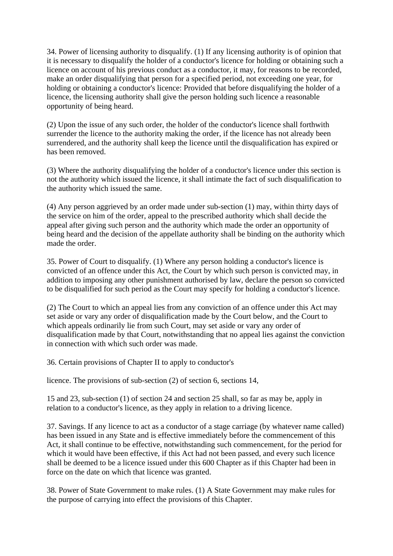34. Power of licensing authority to disqualify. (1) If any licensing authority is of opinion that it is necessary to disqualify the holder of a conductor's licence for holding or obtaining such a licence on account of his previous conduct as a conductor, it may, for reasons to be recorded, make an order disqualifying that person for a specified period, not exceeding one year, for holding or obtaining a conductor's licence: Provided that before disqualifying the holder of a licence, the licensing authority shall give the person holding such licence a reasonable opportunity of being heard.

(2) Upon the issue of any such order, the holder of the conductor's licence shall forthwith surrender the licence to the authority making the order, if the licence has not already been surrendered, and the authority shall keep the licence until the disqualification has expired or has been removed.

(3) Where the authority disqualifying the holder of a conductor's licence under this section is not the authority which issued the licence, it shall intimate the fact of such disqualification to the authority which issued the same.

(4) Any person aggrieved by an order made under sub-section (1) may, within thirty days of the service on him of the order, appeal to the prescribed authority which shall decide the appeal after giving such person and the authority which made the order an opportunity of being heard and the decision of the appellate authority shall be binding on the authority which made the order.

35. Power of Court to disqualify. (1) Where any person holding a conductor's licence is convicted of an offence under this Act, the Court by which such person is convicted may, in addition to imposing any other punishment authorised by law, declare the person so convicted to be disqualified for such period as the Court may specify for holding a conductor's licence.

(2) The Court to which an appeal lies from any conviction of an offence under this Act may set aside or vary any order of disqualification made by the Court below, and the Court to which appeals ordinarily lie from such Court, may set aside or vary any order of disqualification made by that Court, notwithstanding that no appeal lies against the conviction in connection with which such order was made.

36. Certain provisions of Chapter II to apply to conductor's

licence. The provisions of sub-section (2) of section 6, sections 14,

15 and 23, sub-section (1) of section 24 and section 25 shall, so far as may be, apply in relation to a conductor's licence, as they apply in relation to a driving licence.

37. Savings. If any licence to act as a conductor of a stage carriage (by whatever name called) has been issued in any State and is effective immediately before the commencement of this Act, it shall continue to be effective, notwithstanding such commencement, for the period for which it would have been effective, if this Act had not been passed, and every such licence shall be deemed to be a licence issued under this 600 Chapter as if this Chapter had been in force on the date on which that licence was granted.

38. Power of State Government to make rules. (1) A State Government may make rules for the purpose of carrying into effect the provisions of this Chapter.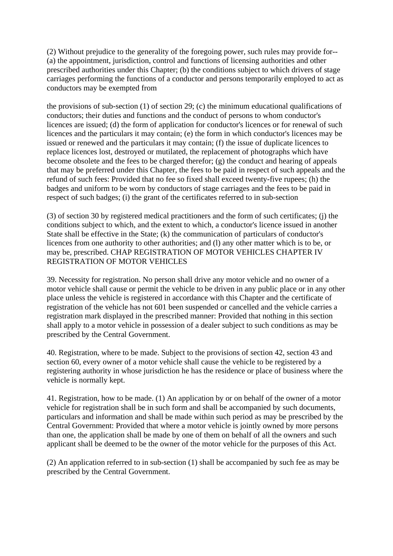(2) Without prejudice to the generality of the foregoing power, such rules may provide for-- (a) the appointment, jurisdiction, control and functions of licensing authorities and other prescribed authorities under this Chapter; (b) the conditions subject to which drivers of stage carriages performing the functions of a conductor and persons temporarily employed to act as conductors may be exempted from

the provisions of sub-section (1) of section 29; (c) the minimum educational qualifications of conductors; their duties and functions and the conduct of persons to whom conductor's licences are issued; (d) the form of application for conductor's licences or for renewal of such licences and the particulars it may contain; (e) the form in which conductor's licences may be issued or renewed and the particulars it may contain; (f) the issue of duplicate licences to replace licences lost, destroyed or mutilated, the replacement of photographs which have become obsolete and the fees to be charged therefor; (g) the conduct and hearing of appeals that may be preferred under this Chapter, the fees to be paid in respect of such appeals and the refund of such fees: Provided that no fee so fixed shall exceed twenty-five rupees; (h) the badges and uniform to be worn by conductors of stage carriages and the fees to be paid in respect of such badges; (i) the grant of the certificates referred to in sub-section

(3) of section 30 by registered medical practitioners and the form of such certificates; (j) the conditions subject to which, and the extent to which, a conductor's licence issued in another State shall be effective in the State; (k) the communication of particulars of conductor's licences from one authority to other authorities; and (l) any other matter which is to be, or may be, prescribed. CHAP REGISTRATION OF MOTOR VEHICLES CHAPTER IV REGISTRATION OF MOTOR VEHICLES

39. Necessity for registration. No person shall drive any motor vehicle and no owner of a motor vehicle shall cause or permit the vehicle to be driven in any public place or in any other place unless the vehicle is registered in accordance with this Chapter and the certificate of registration of the vehicle has not 601 been suspended or cancelled and the vehicle carries a registration mark displayed in the prescribed manner: Provided that nothing in this section shall apply to a motor vehicle in possession of a dealer subject to such conditions as may be prescribed by the Central Government.

40. Registration, where to be made. Subject to the provisions of section 42, section 43 and section 60, every owner of a motor vehicle shall cause the vehicle to be registered by a registering authority in whose jurisdiction he has the residence or place of business where the vehicle is normally kept.

41. Registration, how to be made. (1) An application by or on behalf of the owner of a motor vehicle for registration shall be in such form and shall be accompanied by such documents, particulars and information and shall be made within such period as may be prescribed by the Central Government: Provided that where a motor vehicle is jointly owned by more persons than one, the application shall be made by one of them on behalf of all the owners and such applicant shall be deemed to be the owner of the motor vehicle for the purposes of this Act.

(2) An application referred to in sub-section (1) shall be accompanied by such fee as may be prescribed by the Central Government.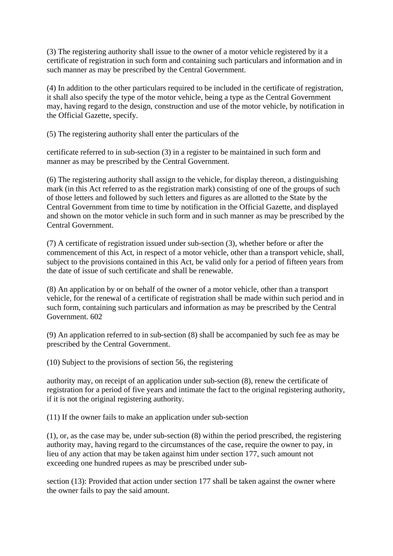(3) The registering authority shall issue to the owner of a motor vehicle registered by it a certificate of registration in such form and containing such particulars and information and in such manner as may be prescribed by the Central Government.

(4) In addition to the other particulars required to be included in the certificate of registration, it shall also specify the type of the motor vehicle, being a type as the Central Government may, having regard to the design, construction and use of the motor vehicle, by notification in the Official Gazette, specify.

(5) The registering authority shall enter the particulars of the

certificate referred to in sub-section (3) in a register to be maintained in such form and manner as may be prescribed by the Central Government.

(6) The registering authority shall assign to the vehicle, for display thereon, a distinguishing mark (in this Act referred to as the registration mark) consisting of one of the groups of such of those letters and followed by such letters and figures as are allotted to the State by the Central Government from time to time by notification in the Official Gazette, and displayed and shown on the motor vehicle in such form and in such manner as may be prescribed by the Central Government.

(7) A certificate of registration issued under sub-section (3), whether before or after the commencement of this Act, in respect of a motor vehicle, other than a transport vehicle, shall, subject to the provisions contained in this Act, be valid only for a period of fifteen years from the date of issue of such certificate and shall be renewable.

(8) An application by or on behalf of the owner of a motor vehicle, other than a transport vehicle, for the renewal of a certificate of registration shall be made within such period and in such form, containing such particulars and information as may be prescribed by the Central Government. 602

(9) An application referred to in sub-section (8) shall be accompanied by such fee as may be prescribed by the Central Government.

(10) Subject to the provisions of section 56, the registering

authority may, on receipt of an application under sub-section (8), renew the certificate of registration for a period of five years and intimate the fact to the original registering authority, if it is not the original registering authority.

(11) If the owner fails to make an application under sub-section

(1), or, as the case may be, under sub-section (8) within the period prescribed, the registering authority may, having regard to the circumstances of the case, require the owner to pay, in lieu of any action that may be taken against him under section 177, such amount not exceeding one hundred rupees as may be prescribed under sub-

section (13): Provided that action under section 177 shall be taken against the owner where the owner fails to pay the said amount.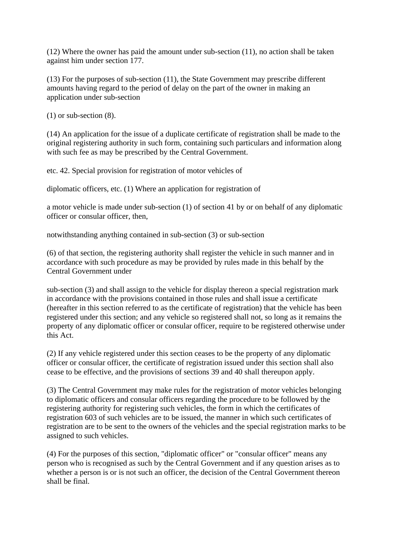(12) Where the owner has paid the amount under sub-section (11), no action shall be taken against him under section 177.

(13) For the purposes of sub-section (11), the State Government may prescribe different amounts having regard to the period of delay on the part of the owner in making an application under sub-section

 $(1)$  or sub-section  $(8)$ .

(14) An application for the issue of a duplicate certificate of registration shall be made to the original registering authority in such form, containing such particulars and information along with such fee as may be prescribed by the Central Government.

etc. 42. Special provision for registration of motor vehicles of

diplomatic officers, etc. (1) Where an application for registration of

a motor vehicle is made under sub-section (1) of section 41 by or on behalf of any diplomatic officer or consular officer, then,

notwithstanding anything contained in sub-section (3) or sub-section

(6) of that section, the registering authority shall register the vehicle in such manner and in accordance with such procedure as may be provided by rules made in this behalf by the Central Government under

sub-section (3) and shall assign to the vehicle for display thereon a special registration mark in accordance with the provisions contained in those rules and shall issue a certificate (hereafter in this section referred to as the certificate of registration) that the vehicle has been registered under this section; and any vehicle so registered shall not, so long as it remains the property of any diplomatic officer or consular officer, require to be registered otherwise under this Act.

(2) If any vehicle registered under this section ceases to be the property of any diplomatic officer or consular officer, the certificate of registration issued under this section shall also cease to be effective, and the provisions of sections 39 and 40 shall thereupon apply.

(3) The Central Government may make rules for the registration of motor vehicles belonging to diplomatic officers and consular officers regarding the procedure to be followed by the registering authority for registering such vehicles, the form in which the certificates of registration 603 of such vehicles are to be issued, the manner in which such certificates of registration are to be sent to the owners of the vehicles and the special registration marks to be assigned to such vehicles.

(4) For the purposes of this section, "diplomatic officer" or "consular officer" means any person who is recognised as such by the Central Government and if any question arises as to whether a person is or is not such an officer, the decision of the Central Government thereon shall be final.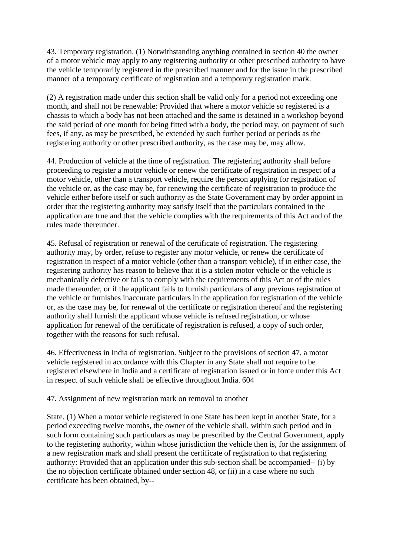43. Temporary registration. (1) Notwithstanding anything contained in section 40 the owner of a motor vehicle may apply to any registering authority or other prescribed authority to have the vehicle temporarily registered in the prescribed manner and for the issue in the prescribed manner of a temporary certificate of registration and a temporary registration mark.

(2) A registration made under this section shall be valid only for a period not exceeding one month, and shall not be renewable: Provided that where a motor vehicle so registered is a chassis to which a body has not been attached and the same is detained in a workshop beyond the said period of one month for being fitted with a body, the period may, on payment of such fees, if any, as may be prescribed, be extended by such further period or periods as the registering authority or other prescribed authority, as the case may be, may allow.

44. Production of vehicle at the time of registration. The registering authority shall before proceeding to register a motor vehicle or renew the certificate of registration in respect of a motor vehicle, other than a transport vehicle, require the person applying for registration of the vehicle or, as the case may be, for renewing the certificate of registration to produce the vehicle either before itself or such authority as the State Government may by order appoint in order that the registering authority may satisfy itself that the particulars contained in the application are true and that the vehicle complies with the requirements of this Act and of the rules made thereunder.

45. Refusal of registration or renewal of the certificate of registration. The registering authority may, by order, refuse to register any motor vehicle, or renew the certificate of registration in respect of a motor vehicle (other than a transport vehicle), if in either case, the registering authority has reason to believe that it is a stolen motor vehicle or the vehicle is mechanically defective or fails to comply with the requirements of this Act or of the rules made thereunder, or if the applicant fails to furnish particulars of any previous registration of the vehicle or furnishes inaccurate particulars in the application for registration of the vehicle or, as the case may be, for renewal of the certificate or registration thereof and the registering authority shall furnish the applicant whose vehicle is refused registration, or whose application for renewal of the certificate of registration is refused, a copy of such order, together with the reasons for such refusal.

46. Effectiveness in India of registration. Subject to the provisions of section 47, a motor vehicle registered in accordance with this Chapter in any State shall not require to be registered elsewhere in India and a certificate of registration issued or in force under this Act in respect of such vehicle shall be effective throughout India. 604

47. Assignment of new registration mark on removal to another

State. (1) When a motor vehicle registered in one State has been kept in another State, for a period exceeding twelve months, the owner of the vehicle shall, within such period and in such form containing such particulars as may be prescribed by the Central Government, apply to the registering authority, within whose jurisdiction the vehicle then is, for the assignment of a new registration mark and shall present the certificate of registration to that registering authority: Provided that an application under this sub-section shall be accompanied-- (i) by the no objection certificate obtained under section 48, or (ii) in a case where no such certificate has been obtained, by--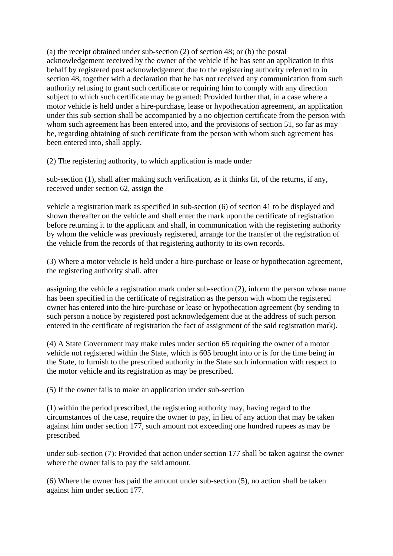(a) the receipt obtained under sub-section (2) of section 48; or (b) the postal acknowledgement received by the owner of the vehicle if he has sent an application in this behalf by registered post acknowledgement due to the registering authority referred to in section 48, together with a declaration that he has not received any communication from such authority refusing to grant such certificate or requiring him to comply with any direction subject to which such certificate may be granted: Provided further that, in a case where a motor vehicle is held under a hire-purchase, lease or hypothecation agreement, an application under this sub-section shall be accompanied by a no objection certificate from the person with whom such agreement has been entered into, and the provisions of section 51, so far as may be, regarding obtaining of such certificate from the person with whom such agreement has been entered into, shall apply.

(2) The registering authority, to which application is made under

sub-section (1), shall after making such verification, as it thinks fit, of the returns, if any, received under section 62, assign the

vehicle a registration mark as specified in sub-section (6) of section 41 to be displayed and shown thereafter on the vehicle and shall enter the mark upon the certificate of registration before returning it to the applicant and shall, in communication with the registering authority by whom the vehicle was previously registered, arrange for the transfer of the registration of the vehicle from the records of that registering authority to its own records.

(3) Where a motor vehicle is held under a hire-purchase or lease or hypothecation agreement, the registering authority shall, after

assigning the vehicle a registration mark under sub-section (2), inform the person whose name has been specified in the certificate of registration as the person with whom the registered owner has entered into the hire-purchase or lease or hypothecation agreement (by sending to such person a notice by registered post acknowledgement due at the address of such person entered in the certificate of registration the fact of assignment of the said registration mark).

(4) A State Government may make rules under section 65 requiring the owner of a motor vehicle not registered within the State, which is 605 brought into or is for the time being in the State, to furnish to the prescribed authority in the State such information with respect to the motor vehicle and its registration as may be prescribed.

(5) If the owner fails to make an application under sub-section

(1) within the period prescribed, the registering authority may, having regard to the circumstances of the case, require the owner to pay, in lieu of any action that may be taken against him under section 177, such amount not exceeding one hundred rupees as may be prescribed

under sub-section (7): Provided that action under section 177 shall be taken against the owner where the owner fails to pay the said amount.

(6) Where the owner has paid the amount under sub-section (5), no action shall be taken against him under section 177.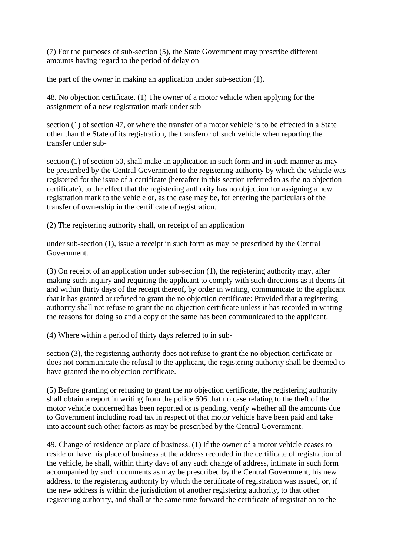(7) For the purposes of sub-section (5), the State Government may prescribe different amounts having regard to the period of delay on

the part of the owner in making an application under sub-section (1).

48. No objection certificate. (1) The owner of a motor vehicle when applying for the assignment of a new registration mark under sub-

section (1) of section 47, or where the transfer of a motor vehicle is to be effected in a State other than the State of its registration, the transferor of such vehicle when reporting the transfer under sub-

section (1) of section 50, shall make an application in such form and in such manner as may be prescribed by the Central Government to the registering authority by which the vehicle was registered for the issue of a certificate (hereafter in this section referred to as the no objection certificate), to the effect that the registering authority has no objection for assigning a new registration mark to the vehicle or, as the case may be, for entering the particulars of the transfer of ownership in the certificate of registration.

(2) The registering authority shall, on receipt of an application

under sub-section (1), issue a receipt in such form as may be prescribed by the Central Government.

(3) On receipt of an application under sub-section (1), the registering authority may, after making such inquiry and requiring the applicant to comply with such directions as it deems fit and within thirty days of the receipt thereof, by order in writing, communicate to the applicant that it has granted or refused to grant the no objection certificate: Provided that a registering authority shall not refuse to grant the no objection certificate unless it has recorded in writing the reasons for doing so and a copy of the same has been communicated to the applicant.

(4) Where within a period of thirty days referred to in sub-

section (3), the registering authority does not refuse to grant the no objection certificate or does not communicate the refusal to the applicant, the registering authority shall be deemed to have granted the no objection certificate.

(5) Before granting or refusing to grant the no objection certificate, the registering authority shall obtain a report in writing from the police 606 that no case relating to the theft of the motor vehicle concerned has been reported or is pending, verify whether all the amounts due to Government including road tax in respect of that motor vehicle have been paid and take into account such other factors as may be prescribed by the Central Government.

49. Change of residence or place of business. (1) If the owner of a motor vehicle ceases to reside or have his place of business at the address recorded in the certificate of registration of the vehicle, he shall, within thirty days of any such change of address, intimate in such form accompanied by such documents as may be prescribed by the Central Government, his new address, to the registering authority by which the certificate of registration was issued, or, if the new address is within the jurisdiction of another registering authority, to that other registering authority, and shall at the same time forward the certificate of registration to the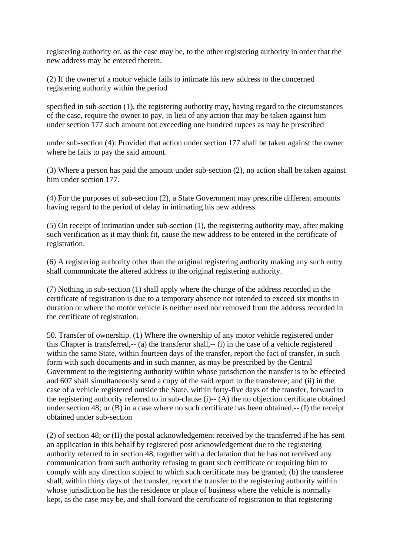registering authority or, as the case may be, to the other registering authority in order that the new address may be entered therein.

(2) If the owner of a motor vehicle fails to intimate his new address to the concerned registering authority within the period

specified in sub-section (1), the registering authority may, having regard to the circumstances of the case, require the owner to pay, in lieu of any action that may be taken against him under section 177 such amount not exceeding one hundred rupees as may be prescribed

under sub-section (4): Provided that action under section 177 shall be taken against the owner where he fails to pay the said amount.

(3) Where a person has paid the amount under sub-section (2), no action shall be taken against him under section 177.

(4) For the purposes of sub-section (2), a State Government may prescribe different amounts having regard to the period of delay in intimating his new address.

(5) On receipt of intimation under sub-section (1), the registering authority may, after making such verification as it may think fit, cause the new address to be entered in the certificate of registration.

(6) A registering authority other than the original registering authority making any such entry shall communicate the altered address to the original registering authority.

(7) Nothing in sub-section (1) shall apply where the change of the address recorded in the certificate of registration is due to a temporary absence not intended to exceed six months in duration or where the motor vehicle is neither used nor removed from the address recorded in the certificate of registration.

50. Transfer of ownership. (1) Where the ownership of any motor vehicle registered under this Chapter is transferred,-- (a) the transferor shall,-- (i) in the case of a vehicle registered within the same State, within fourteen days of the transfer, report the fact of transfer, in such form with such documents and in such manner, as may be prescribed by the Central Government to the registering authority within whose jurisdiction the transfer is to be effected and 607 shall simultaneously send a copy of the said report to the transferee; and (ii) in the case of a vehicle registered outside the State, within forty-five days of the transfer, forward to the registering authority referred to in sub-clause (i)-- (A) the no objection certificate obtained under section 48; or (B) in a case where no such certificate has been obtained,-- (I) the receipt obtained under sub-section

(2) of section 48; or (II) the postal acknowledgement received by the transferred if he has sent an application in this behalf by registered post acknowledgement due to the registering authority referred to in section 48, together with a declaration that he has not received any communication from such authority refusing to grant such certificate or requiring him to comply with any direction subject to which such certificate may be granted; (b) the transferee shall, within thirty days of the transfer, report the transfer to the registering authority within whose jurisdiction he has the residence or place of business where the vehicle is normally kept, as the case may be, and shall forward the certificate of registration to that registering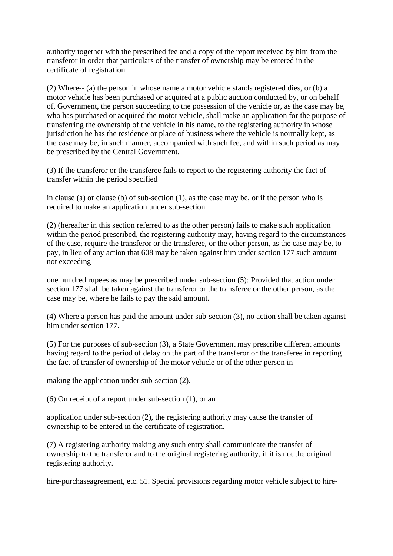authority together with the prescribed fee and a copy of the report received by him from the transferor in order that particulars of the transfer of ownership may be entered in the certificate of registration.

(2) Where-- (a) the person in whose name a motor vehicle stands registered dies, or (b) a motor vehicle has been purchased or acquired at a public auction conducted by, or on behalf of, Government, the person succeeding to the possession of the vehicle or, as the case may be, who has purchased or acquired the motor vehicle, shall make an application for the purpose of transferring the ownership of the vehicle in his name, to the registering authority in whose jurisdiction he has the residence or place of business where the vehicle is normally kept, as the case may be, in such manner, accompanied with such fee, and within such period as may be prescribed by the Central Government.

(3) If the transferor or the transferee fails to report to the registering authority the fact of transfer within the period specified

in clause (a) or clause (b) of sub-section (1), as the case may be, or if the person who is required to make an application under sub-section

(2) (hereafter in this section referred to as the other person) fails to make such application within the period prescribed, the registering authority may, having regard to the circumstances of the case, require the transferor or the transferee, or the other person, as the case may be, to pay, in lieu of any action that 608 may be taken against him under section 177 such amount not exceeding

one hundred rupees as may be prescribed under sub-section (5): Provided that action under section 177 shall be taken against the transferor or the transferee or the other person, as the case may be, where he fails to pay the said amount.

(4) Where a person has paid the amount under sub-section (3), no action shall be taken against him under section 177.

(5) For the purposes of sub-section (3), a State Government may prescribe different amounts having regard to the period of delay on the part of the transferor or the transferee in reporting the fact of transfer of ownership of the motor vehicle or of the other person in

making the application under sub-section (2).

(6) On receipt of a report under sub-section (1), or an

application under sub-section (2), the registering authority may cause the transfer of ownership to be entered in the certificate of registration.

(7) A registering authority making any such entry shall communicate the transfer of ownership to the transferor and to the original registering authority, if it is not the original registering authority.

hire-purchaseagreement, etc. 51. Special provisions regarding motor vehicle subject to hire-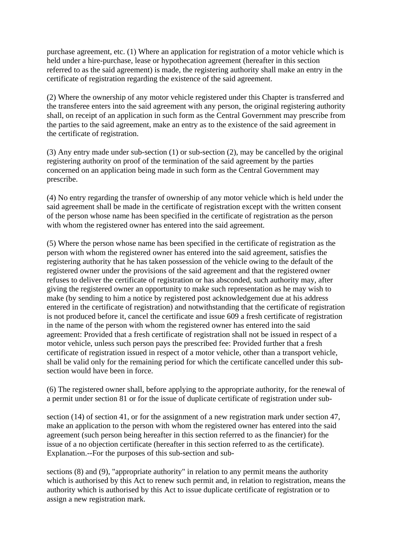purchase agreement, etc. (1) Where an application for registration of a motor vehicle which is held under a hire-purchase, lease or hypothecation agreement (hereafter in this section referred to as the said agreement) is made, the registering authority shall make an entry in the certificate of registration regarding the existence of the said agreement.

(2) Where the ownership of any motor vehicle registered under this Chapter is transferred and the transferee enters into the said agreement with any person, the original registering authority shall, on receipt of an application in such form as the Central Government may prescribe from the parties to the said agreement, make an entry as to the existence of the said agreement in the certificate of registration.

(3) Any entry made under sub-section (1) or sub-section (2), may be cancelled by the original registering authority on proof of the termination of the said agreement by the parties concerned on an application being made in such form as the Central Government may prescribe.

(4) No entry regarding the transfer of ownership of any motor vehicle which is held under the said agreement shall be made in the certificate of registration except with the written consent of the person whose name has been specified in the certificate of registration as the person with whom the registered owner has entered into the said agreement.

(5) Where the person whose name has been specified in the certificate of registration as the person with whom the registered owner has entered into the said agreement, satisfies the registering authority that he has taken possession of the vehicle owing to the default of the registered owner under the provisions of the said agreement and that the registered owner refuses to deliver the certificate of registration or has absconded, such authority may, after giving the registered owner an opportunity to make such representation as he may wish to make (by sending to him a notice by registered post acknowledgement due at his address entered in the certificate of registration) and notwithstanding that the certificate of registration is not produced before it, cancel the certificate and issue 609 a fresh certificate of registration in the name of the person with whom the registered owner has entered into the said agreement: Provided that a fresh certificate of registration shall not be issued in respect of a motor vehicle, unless such person pays the prescribed fee: Provided further that a fresh certificate of registration issued in respect of a motor vehicle, other than a transport vehicle, shall be valid only for the remaining period for which the certificate cancelled under this subsection would have been in force.

(6) The registered owner shall, before applying to the appropriate authority, for the renewal of a permit under section 81 or for the issue of duplicate certificate of registration under sub-

section (14) of section 41, or for the assignment of a new registration mark under section 47, make an application to the person with whom the registered owner has entered into the said agreement (such person being hereafter in this section referred to as the financier) for the issue of a no objection certificate (hereafter in this section referred to as the certificate). Explanation.--For the purposes of this sub-section and sub-

sections (8) and (9), "appropriate authority" in relation to any permit means the authority which is authorised by this Act to renew such permit and, in relation to registration, means the authority which is authorised by this Act to issue duplicate certificate of registration or to assign a new registration mark.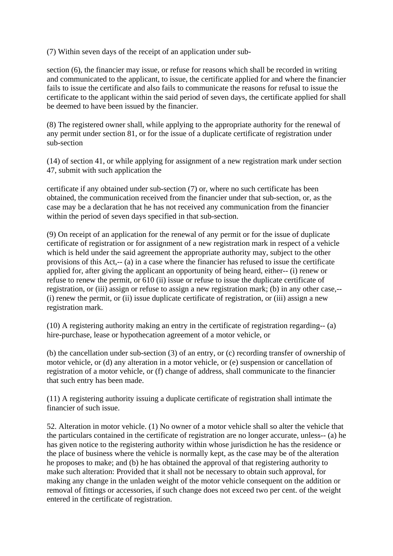(7) Within seven days of the receipt of an application under sub-

section (6), the financier may issue, or refuse for reasons which shall be recorded in writing and communicated to the applicant, to issue, the certificate applied for and where the financier fails to issue the certificate and also fails to communicate the reasons for refusal to issue the certificate to the applicant within the said period of seven days, the certificate applied for shall be deemed to have been issued by the financier.

(8) The registered owner shall, while applying to the appropriate authority for the renewal of any permit under section 81, or for the issue of a duplicate certificate of registration under sub-section

(14) of section 41, or while applying for assignment of a new registration mark under section 47, submit with such application the

certificate if any obtained under sub-section (7) or, where no such certificate has been obtained, the communication received from the financier under that sub-section, or, as the case may be a declaration that he has not received any communication from the financier within the period of seven days specified in that sub-section.

(9) On receipt of an application for the renewal of any permit or for the issue of duplicate certificate of registration or for assignment of a new registration mark in respect of a vehicle which is held under the said agreement the appropriate authority may, subject to the other provisions of this Act,-- (a) in a case where the financier has refused to issue the certificate applied for, after giving the applicant an opportunity of being heard, either-- (i) renew or refuse to renew the permit, or 610 (ii) issue or refuse to issue the duplicate certificate of registration, or (iii) assign or refuse to assign a new registration mark; (b) in any other case,-- (i) renew the permit, or (ii) issue duplicate certificate of registration, or (iii) assign a new registration mark.

(10) A registering authority making an entry in the certificate of registration regarding-- (a) hire-purchase, lease or hypothecation agreement of a motor vehicle, or

(b) the cancellation under sub-section (3) of an entry, or (c) recording transfer of ownership of motor vehicle, or (d) any alteration in a motor vehicle, or (e) suspension or cancellation of registration of a motor vehicle, or (f) change of address, shall communicate to the financier that such entry has been made.

(11) A registering authority issuing a duplicate certificate of registration shall intimate the financier of such issue.

52. Alteration in motor vehicle. (1) No owner of a motor vehicle shall so alter the vehicle that the particulars contained in the certificate of registration are no longer accurate, unless-- (a) he has given notice to the registering authority within whose jurisdiction he has the residence or the place of business where the vehicle is normally kept, as the case may be of the alteration he proposes to make; and (b) he has obtained the approval of that registering authority to make such alteration: Provided that it shall not be necessary to obtain such approval, for making any change in the unladen weight of the motor vehicle consequent on the addition or removal of fittings or accessories, if such change does not exceed two per cent. of the weight entered in the certificate of registration.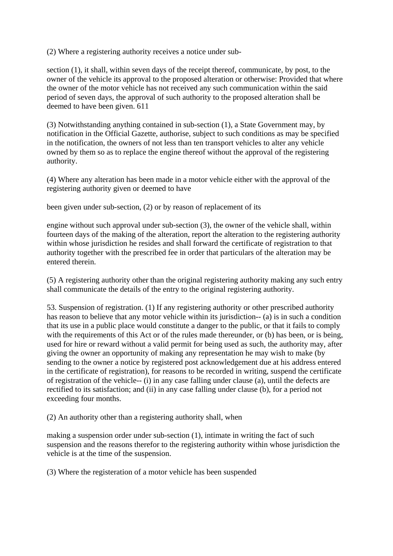(2) Where a registering authority receives a notice under sub-

section (1), it shall, within seven days of the receipt thereof, communicate, by post, to the owner of the vehicle its approval to the proposed alteration or otherwise: Provided that where the owner of the motor vehicle has not received any such communication within the said period of seven days, the approval of such authority to the proposed alteration shall be deemed to have been given. 611

(3) Notwithstanding anything contained in sub-section (1), a State Government may, by notification in the Official Gazette, authorise, subject to such conditions as may be specified in the notification, the owners of not less than ten transport vehicles to alter any vehicle owned by them so as to replace the engine thereof without the approval of the registering authority.

(4) Where any alteration has been made in a motor vehicle either with the approval of the registering authority given or deemed to have

been given under sub-section, (2) or by reason of replacement of its

engine without such approval under sub-section (3), the owner of the vehicle shall, within fourteen days of the making of the alteration, report the alteration to the registering authority within whose jurisdiction he resides and shall forward the certificate of registration to that authority together with the prescribed fee in order that particulars of the alteration may be entered therein.

(5) A registering authority other than the original registering authority making any such entry shall communicate the details of the entry to the original registering authority.

53. Suspension of registration. (1) If any registering authority or other prescribed authority has reason to believe that any motor vehicle within its jurisdiction-- (a) is in such a condition that its use in a public place would constitute a danger to the public, or that it fails to comply with the requirements of this Act or of the rules made thereunder, or (b) has been, or is being, used for hire or reward without a valid permit for being used as such, the authority may, after giving the owner an opportunity of making any representation he may wish to make (by sending to the owner a notice by registered post acknowledgement due at his address entered in the certificate of registration), for reasons to be recorded in writing, suspend the certificate of registration of the vehicle-- (i) in any case falling under clause (a), until the defects are rectified to its satisfaction; and (ii) in any case falling under clause (b), for a period not exceeding four months.

(2) An authority other than a registering authority shall, when

making a suspension order under sub-section (1), intimate in writing the fact of such suspension and the reasons therefor to the registering authority within whose jurisdiction the vehicle is at the time of the suspension.

(3) Where the registeration of a motor vehicle has been suspended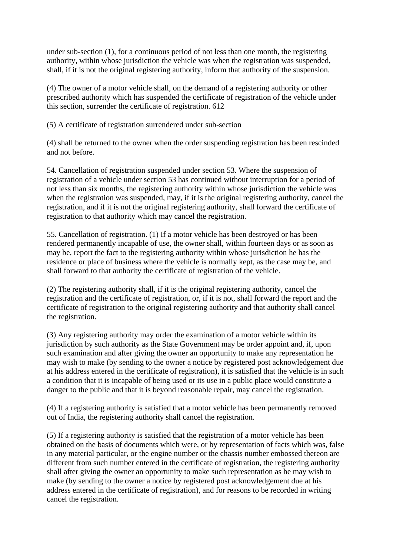under sub-section (1), for a continuous period of not less than one month, the registering authority, within whose jurisdiction the vehicle was when the registration was suspended, shall, if it is not the original registering authority, inform that authority of the suspension.

(4) The owner of a motor vehicle shall, on the demand of a registering authority or other prescribed authority which has suspended the certificate of registration of the vehicle under this section, surrender the certificate of registration. 612

(5) A certificate of registration surrendered under sub-section

(4) shall be returned to the owner when the order suspending registration has been rescinded and not before.

54. Cancellation of registration suspended under section 53. Where the suspension of registration of a vehicle under section 53 has continued without interruption for a period of not less than six months, the registering authority within whose jurisdiction the vehicle was when the registration was suspended, may, if it is the original registering authority, cancel the registration, and if it is not the original registering authority, shall forward the certificate of registration to that authority which may cancel the registration.

55. Cancellation of registration. (1) If a motor vehicle has been destroyed or has been rendered permanently incapable of use, the owner shall, within fourteen days or as soon as may be, report the fact to the registering authority within whose jurisdiction he has the residence or place of business where the vehicle is normally kept, as the case may be, and shall forward to that authority the certificate of registration of the vehicle.

(2) The registering authority shall, if it is the original registering authority, cancel the registration and the certificate of registration, or, if it is not, shall forward the report and the certificate of registration to the original registering authority and that authority shall cancel the registration.

(3) Any registering authority may order the examination of a motor vehicle within its jurisdiction by such authority as the State Government may be order appoint and, if, upon such examination and after giving the owner an opportunity to make any representation he may wish to make (by sending to the owner a notice by registered post acknowledgement due at his address entered in the certificate of registration), it is satisfied that the vehicle is in such a condition that it is incapable of being used or its use in a public place would constitute a danger to the public and that it is beyond reasonable repair, may cancel the registration.

(4) If a registering authority is satisfied that a motor vehicle has been permanently removed out of India, the registering authority shall cancel the registration.

(5) If a registering authority is satisfied that the registration of a motor vehicle has been obtained on the basis of documents which were, or by representation of facts which was, false in any material particular, or the engine number or the chassis number embossed thereon are different from such number entered in the certificate of registration, the registering authority shall after giving the owner an opportunity to make such representation as he may wish to make (by sending to the owner a notice by registered post acknowledgement due at his address entered in the certificate of registration), and for reasons to be recorded in writing cancel the registration.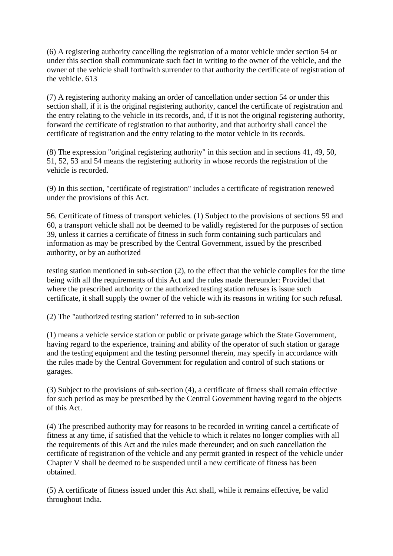(6) A registering authority cancelling the registration of a motor vehicle under section 54 or under this section shall communicate such fact in writing to the owner of the vehicle, and the owner of the vehicle shall forthwith surrender to that authority the certificate of registration of the vehicle. 613

(7) A registering authority making an order of cancellation under section 54 or under this section shall, if it is the original registering authority, cancel the certificate of registration and the entry relating to the vehicle in its records, and, if it is not the original registering authority, forward the certificate of registration to that authority, and that authority shall cancel the certificate of registration and the entry relating to the motor vehicle in its records.

(8) The expression "original registering authority" in this section and in sections 41, 49, 50, 51, 52, 53 and 54 means the registering authority in whose records the registration of the vehicle is recorded.

(9) In this section, "certificate of registration" includes a certificate of registration renewed under the provisions of this Act.

56. Certificate of fitness of transport vehicles. (1) Subject to the provisions of sections 59 and 60, a transport vehicle shall not be deemed to be validly registered for the purposes of section 39, unless it carries a certificate of fitness in such form containing such particulars and information as may be prescribed by the Central Government, issued by the prescribed authority, or by an authorized

testing station mentioned in sub-section (2), to the effect that the vehicle complies for the time being with all the requirements of this Act and the rules made thereunder: Provided that where the prescribed authority or the authorized testing station refuses is issue such certificate, it shall supply the owner of the vehicle with its reasons in writing for such refusal.

(2) The "authorized testing station" referred to in sub-section

(1) means a vehicle service station or public or private garage which the State Government, having regard to the experience, training and ability of the operator of such station or garage and the testing equipment and the testing personnel therein, may specify in accordance with the rules made by the Central Government for regulation and control of such stations or garages.

(3) Subject to the provisions of sub-section (4), a certificate of fitness shall remain effective for such period as may be prescribed by the Central Government having regard to the objects of this Act.

(4) The prescribed authority may for reasons to be recorded in writing cancel a certificate of fitness at any time, if satisfied that the vehicle to which it relates no longer complies with all the requirements of this Act and the rules made thereunder; and on such cancellation the certificate of registration of the vehicle and any permit granted in respect of the vehicle under Chapter V shall be deemed to be suspended until a new certificate of fitness has been obtained.

(5) A certificate of fitness issued under this Act shall, while it remains effective, be valid throughout India.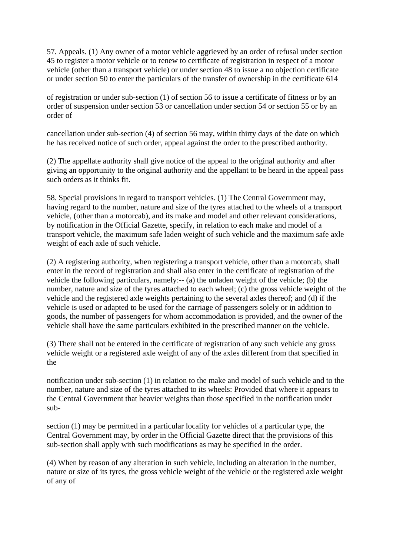57. Appeals. (1) Any owner of a motor vehicle aggrieved by an order of refusal under section 45 to register a motor vehicle or to renew to certificate of registration in respect of a motor vehicle (other than a transport vehicle) or under section 48 to issue a no objection certificate or under section 50 to enter the particulars of the transfer of ownership in the certificate 614

of registration or under sub-section (1) of section 56 to issue a certificate of fitness or by an order of suspension under section 53 or cancellation under section 54 or section 55 or by an order of

cancellation under sub-section (4) of section 56 may, within thirty days of the date on which he has received notice of such order, appeal against the order to the prescribed authority.

(2) The appellate authority shall give notice of the appeal to the original authority and after giving an opportunity to the original authority and the appellant to be heard in the appeal pass such orders as it thinks fit.

58. Special provisions in regard to transport vehicles. (1) The Central Government may, having regard to the number, nature and size of the tyres attached to the wheels of a transport vehicle, (other than a motorcab), and its make and model and other relevant considerations, by notification in the Official Gazette, specify, in relation to each make and model of a transport vehicle, the maximum safe laden weight of such vehicle and the maximum safe axle weight of each axle of such vehicle.

(2) A registering authority, when registering a transport vehicle, other than a motorcab, shall enter in the record of registration and shall also enter in the certificate of registration of the vehicle the following particulars, namely:-- (a) the unladen weight of the vehicle; (b) the number, nature and size of the tyres attached to each wheel; (c) the gross vehicle weight of the vehicle and the registered axle weights pertaining to the several axles thereof; and (d) if the vehicle is used or adapted to be used for the carriage of passengers solely or in addition to goods, the number of passengers for whom accommodation is provided, and the owner of the vehicle shall have the same particulars exhibited in the prescribed manner on the vehicle.

(3) There shall not be entered in the certificate of registration of any such vehicle any gross vehicle weight or a registered axle weight of any of the axles different from that specified in the

notification under sub-section (1) in relation to the make and model of such vehicle and to the number, nature and size of the tyres attached to its wheels: Provided that where it appears to the Central Government that heavier weights than those specified in the notification under sub-

section (1) may be permitted in a particular locality for vehicles of a particular type, the Central Government may, by order in the Official Gazette direct that the provisions of this sub-section shall apply with such modifications as may be specified in the order.

(4) When by reason of any alteration in such vehicle, including an alteration in the number, nature or size of its tyres, the gross vehicle weight of the vehicle or the registered axle weight of any of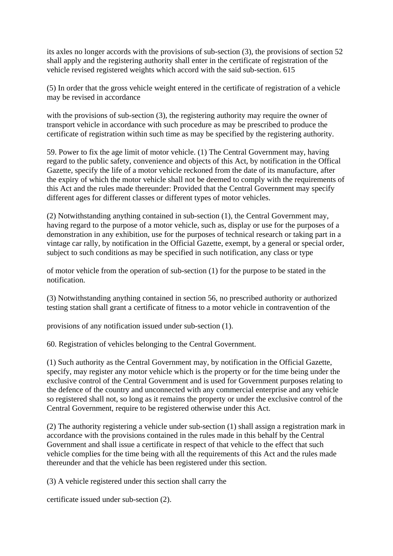its axles no longer accords with the provisions of sub-section (3), the provisions of section 52 shall apply and the registering authority shall enter in the certificate of registration of the vehicle revised registered weights which accord with the said sub-section. 615

(5) In order that the gross vehicle weight entered in the certificate of registration of a vehicle may be revised in accordance

with the provisions of sub-section (3), the registering authority may require the owner of transport vehicle in accordance with such procedure as may be prescribed to produce the certificate of registration within such time as may be specified by the registering authority.

59. Power to fix the age limit of motor vehicle. (1) The Central Government may, having regard to the public safety, convenience and objects of this Act, by notification in the Offical Gazette, specify the life of a motor vehicle reckoned from the date of its manufacture, after the expiry of which the motor vehicle shall not be deemed to comply with the requirements of this Act and the rules made thereunder: Provided that the Central Government may specify different ages for different classes or different types of motor vehicles.

(2) Notwithstanding anything contained in sub-section (1), the Central Government may, having regard to the purpose of a motor vehicle, such as, display or use for the purposes of a demonstration in any exhibition, use for the purposes of technical research or taking part in a vintage car rally, by notification in the Official Gazette, exempt, by a general or special order, subject to such conditions as may be specified in such notification, any class or type

of motor vehicle from the operation of sub-section (1) for the purpose to be stated in the notification.

(3) Notwithstanding anything contained in section 56, no prescribed authority or authorized testing station shall grant a certificate of fitness to a motor vehicle in contravention of the

provisions of any notification issued under sub-section (1).

60. Registration of vehicles belonging to the Central Government.

(1) Such authority as the Central Government may, by notification in the Official Gazette, specify, may register any motor vehicle which is the property or for the time being under the exclusive control of the Central Government and is used for Government purposes relating to the defence of the country and unconnected with any commercial enterprise and any vehicle so registered shall not, so long as it remains the property or under the exclusive control of the Central Government, require to be registered otherwise under this Act.

(2) The authority registering a vehicle under sub-section (1) shall assign a registration mark in accordance with the provisions contained in the rules made in this behalf by the Central Government and shall issue a certificate in respect of that vehicle to the effect that such vehicle complies for the time being with all the requirements of this Act and the rules made thereunder and that the vehicle has been registered under this section.

(3) A vehicle registered under this section shall carry the

certificate issued under sub-section (2).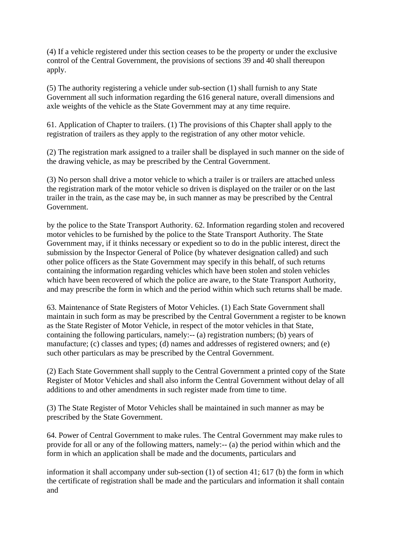(4) If a vehicle registered under this section ceases to be the property or under the exclusive control of the Central Government, the provisions of sections 39 and 40 shall thereupon apply.

(5) The authority registering a vehicle under sub-section (1) shall furnish to any State Government all such information regarding the 616 general nature, overall dimensions and axle weights of the vehicle as the State Government may at any time require.

61. Application of Chapter to trailers. (1) The provisions of this Chapter shall apply to the registration of trailers as they apply to the registration of any other motor vehicle.

(2) The registration mark assigned to a trailer shall be displayed in such manner on the side of the drawing vehicle, as may be prescribed by the Central Government.

(3) No person shall drive a motor vehicle to which a trailer is or trailers are attached unless the registration mark of the motor vehicle so driven is displayed on the trailer or on the last trailer in the train, as the case may be, in such manner as may be prescribed by the Central Government.

by the police to the State Transport Authority. 62. Information regarding stolen and recovered motor vehicles to be furnished by the police to the State Transport Authority. The State Government may, if it thinks necessary or expedient so to do in the public interest, direct the submission by the Inspector General of Police (by whatever designation called) and such other police officers as the State Government may specify in this behalf, of such returns containing the information regarding vehicles which have been stolen and stolen vehicles which have been recovered of which the police are aware, to the State Transport Authority, and may prescribe the form in which and the period within which such returns shall be made.

63. Maintenance of State Registers of Motor Vehicles. (1) Each State Government shall maintain in such form as may be prescribed by the Central Government a register to be known as the State Register of Motor Vehicle, in respect of the motor vehicles in that State, containing the following particulars, namely:-- (a) registration numbers; (b) years of manufacture; (c) classes and types; (d) names and addresses of registered owners; and (e) such other particulars as may be prescribed by the Central Government.

(2) Each State Government shall supply to the Central Government a printed copy of the State Register of Motor Vehicles and shall also inform the Central Government without delay of all additions to and other amendments in such register made from time to time.

(3) The State Register of Motor Vehicles shall be maintained in such manner as may be prescribed by the State Government.

64. Power of Central Government to make rules. The Central Government may make rules to provide for all or any of the following matters, namely:-- (a) the period within which and the form in which an application shall be made and the documents, particulars and

information it shall accompany under sub-section (1) of section 41; 617 (b) the form in which the certificate of registration shall be made and the particulars and information it shall contain and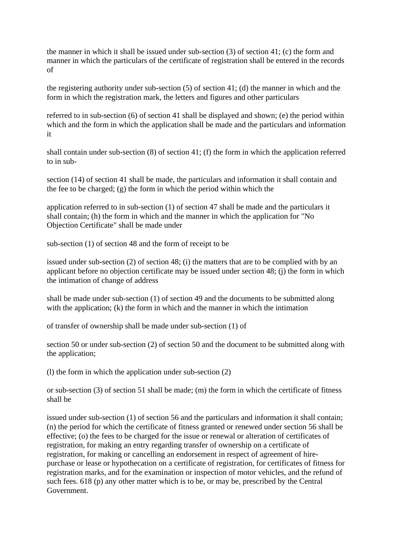the manner in which it shall be issued under sub-section (3) of section 41; (c) the form and manner in which the particulars of the certificate of registration shall be entered in the records of

the registering authority under sub-section (5) of section 41; (d) the manner in which and the form in which the registration mark, the letters and figures and other particulars

referred to in sub-section (6) of section 41 shall be displayed and shown; (e) the period within which and the form in which the application shall be made and the particulars and information it

shall contain under sub-section (8) of section 41; (f) the form in which the application referred to in sub-

section (14) of section 41 shall be made, the particulars and information it shall contain and the fee to be charged; (g) the form in which the period within which the

application referred to in sub-section (1) of section 47 shall be made and the particulars it shall contain; (h) the form in which and the manner in which the application for "No Objection Certificate" shall be made under

sub-section (1) of section 48 and the form of receipt to be

issued under sub-section (2) of section 48; (i) the matters that are to be complied with by an applicant before no objection certificate may be issued under section 48; (j) the form in which the intimation of change of address

shall be made under sub-section (1) of section 49 and the documents to be submitted along with the application; (k) the form in which and the manner in which the intimation

of transfer of ownership shall be made under sub-section (1) of

section 50 or under sub-section (2) of section 50 and the document to be submitted along with the application;

(l) the form in which the application under sub-section (2)

or sub-section (3) of section 51 shall be made; (m) the form in which the certificate of fitness shall be

issued under sub-section (1) of section 56 and the particulars and information it shall contain; (n) the period for which the certificate of fitness granted or renewed under section 56 shall be effective; (o) the fees to be charged for the issue or renewal or alteration of certificates of registration, for making an entry regarding transfer of ownership on a certificate of registration, for making or cancelling an endorsement in respect of agreement of hirepurchase or lease or hypothecation on a certificate of registration, for certificates of fitness for registration marks, and for the examination or inspection of motor vehicles, and the refund of such fees. 618 (p) any other matter which is to be, or may be, prescribed by the Central Government.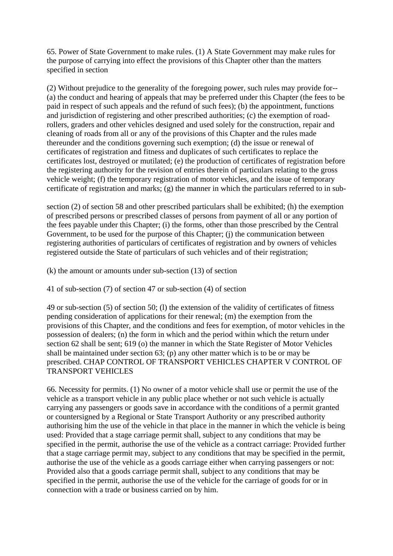65. Power of State Government to make rules. (1) A State Government may make rules for the purpose of carrying into effect the provisions of this Chapter other than the matters specified in section

(2) Without prejudice to the generality of the foregoing power, such rules may provide for-- (a) the conduct and hearing of appeals that may be preferred under this Chapter (the fees to be paid in respect of such appeals and the refund of such fees); (b) the appointment, functions and jurisdiction of registering and other prescribed authorities; (c) the exemption of roadrollers, graders and other vehicles designed and used solely for the construction, repair and cleaning of roads from all or any of the provisions of this Chapter and the rules made thereunder and the conditions governing such exemption; (d) the issue or renewal of certificates of registration and fitness and duplicates of such certificates to replace the certificates lost, destroyed or mutilated; (e) the production of certificates of registration before the registering authority for the revision of entries therein of particulars relating to the gross vehicle weight; (f) the temporary registration of motor vehicles, and the issue of temporary certificate of registration and marks; (g) the manner in which the particulars referred to in sub-

section (2) of section 58 and other prescribed particulars shall be exhibited; (h) the exemption of prescribed persons or prescribed classes of persons from payment of all or any portion of the fees payable under this Chapter; (i) the forms, other than those prescribed by the Central Government, to be used for the purpose of this Chapter; (j) the communication between registering authorities of particulars of certificates of registration and by owners of vehicles registered outside the State of particulars of such vehicles and of their registration;

(k) the amount or amounts under sub-section (13) of section

41 of sub-section (7) of section 47 or sub-section (4) of section

49 or sub-section (5) of section 50; (l) the extension of the validity of certificates of fitness pending consideration of applications for their renewal; (m) the exemption from the provisions of this Chapter, and the conditions and fees for exemption, of motor vehicles in the possession of dealers; (n) the form in which and the period within which the return under section 62 shall be sent; 619 (o) the manner in which the State Register of Motor Vehicles shall be maintained under section 63; (p) any other matter which is to be or may be prescribed. CHAP CONTROL OF TRANSPORT VEHICLES CHAPTER V CONTROL OF TRANSPORT VEHICLES

66. Necessity for permits. (1) No owner of a motor vehicle shall use or permit the use of the vehicle as a transport vehicle in any public place whether or not such vehicle is actually carrying any passengers or goods save in accordance with the conditions of a permit granted or countersigned by a Regional or State Transport Authority or any prescribed authority authorising him the use of the vehicle in that place in the manner in which the vehicle is being used: Provided that a stage carriage permit shall, subject to any conditions that may be specified in the permit, authorise the use of the vehicle as a contract carriage: Provided further that a stage carriage permit may, subject to any conditions that may be specified in the permit, authorise the use of the vehicle as a goods carriage either when carrying passengers or not: Provided also that a goods carriage permit shall, subject to any conditions that may be specified in the permit, authorise the use of the vehicle for the carriage of goods for or in connection with a trade or business carried on by him.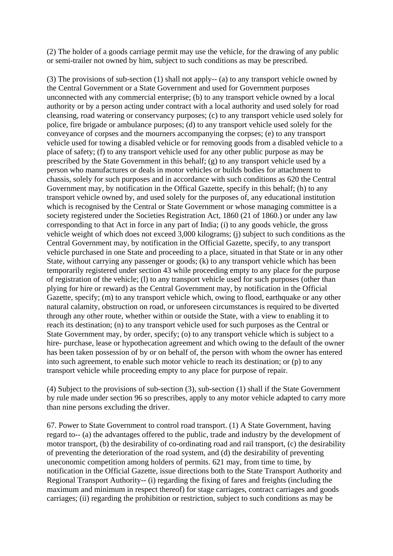(2) The holder of a goods carriage permit may use the vehicle, for the drawing of any public or semi-trailer not owned by him, subject to such conditions as may be prescribed.

(3) The provisions of sub-section (1) shall not apply-- (a) to any transport vehicle owned by the Central Government or a State Government and used for Government purposes unconnected with any commercial enterprise; (b) to any transport vehicle owned by a local authority or by a person acting under contract with a local authority and used solely for road cleansing, road watering or conservancy purposes; (c) to any transport vehicle used solely for police, fire brigade or ambulance purposes; (d) to any transport vehicle used solely for the conveyance of corpses and the mourners accompanying the corpses; (e) to any transport vehicle used for towing a disabled vehicle or for removing goods from a disabled vehicle to a place of safety; (f) to any transport vehicle used for any other public purpose as may be prescribed by the State Government in this behalf; (g) to any transport vehicle used by a person who manufactures or deals in motor vehicles or builds bodies for attachment to chassis, solely for such purposes and in accordance with such conditions as 620 the Central Government may, by notification in the Offical Gazette, specify in this behalf; (h) to any transport vehicle owned by, and used solely for the purposes of, any educational institution which is recognised by the Central or State Government or whose managing committee is a society registered under the Societies Registration Act, 1860 (21 of 1860.) or under any law corresponding to that Act in force in any part of India; (i) to any goods vehicle, the gross vehicle weight of which does not exceed 3,000 kilograms; (j) subject to such conditions as the Central Government may, by notification in the Official Gazette, specify, to any transport vehicle purchased in one State and proceeding to a place, situated in that State or in any other State, without carrying any passenger or goods; (k) to any transport vehicle which has been temporarily registered under section 43 while proceeding empty to any place for the purpose of registration of the vehicle; (l) to any transport vehicle used for such purposes (other than plying for hire or reward) as the Central Government may, by notification in the Official Gazette, specify; (m) to any transport vehicle which, owing to flood, earthquake or any other natural calamity, obstruction on road, or unforeseen circumstances is required to be diverted through any other route, whether within or outside the State, with a view to enabling it to reach its destination; (n) to any transport vehicle used for such purposes as the Central or State Government may, by order, specify; (o) to any transport vehicle which is subject to a hire- purchase, lease or hypothecation agreement and which owing to the default of the owner has been taken possession of by or on behalf of, the person with whom the owner has entered into such agreement, to enable such motor vehicle to reach its destination; or (p) to any transport vehicle while proceeding empty to any place for purpose of repair.

(4) Subject to the provisions of sub-section (3), sub-section (1) shall if the State Government by rule made under section 96 so prescribes, apply to any motor vehicle adapted to carry more than nine persons excluding the driver.

67. Power to State Government to control road transport. (1) A State Government, having regard to-- (a) the advantages offered to the public, trade and industry by the development of motor transport, (b) the desirability of co-ordinating road and rail transport, (c) the desirability of preventing the deterioration of the road system, and (d) the desirability of preventing uneconomic competition among holders of permits. 621 may, from time to time, by notification in the Official Gazette, issue directions both to the State Transport Authority and Regional Transport Authority-- (i) regarding the fixing of fares and freights (including the maximum and minimum in respect thereof) for stage carriages, contract carriages and goods carriages; (ii) regarding the prohibition or restriction, subject to such conditions as may be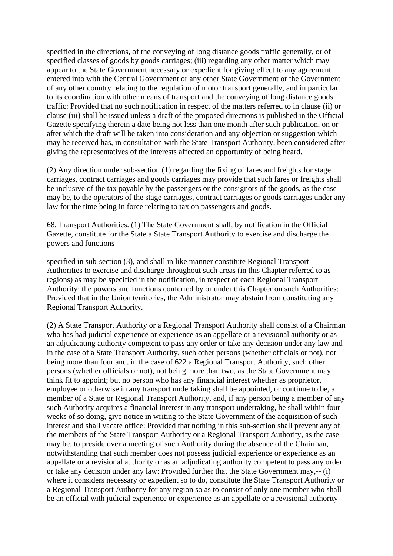specified in the directions, of the conveying of long distance goods traffic generally, or of specified classes of goods by goods carriages; (iii) regarding any other matter which may appear to the State Government necessary or expedient for giving effect to any agreement entered into with the Central Government or any other State Government or the Government of any other country relating to the regulation of motor transport generally, and in particular to its coordination with other means of transport and the conveying of long distance goods traffic: Provided that no such notification in respect of the matters referred to in clause (ii) or clause (iii) shall be issued unless a draft of the proposed directions is published in the Official Gazette specifying therein a date being not less than one month after such publication, on or after which the draft will be taken into consideration and any objection or suggestion which may be received has, in consultation with the State Transport Authority, been considered after giving the representatives of the interests affected an opportunity of being heard.

(2) Any direction under sub-section (1) regarding the fixing of fares and freights for stage carriages, contract carriages and goods carriages may provide that such fares or freights shall be inclusive of the tax payable by the passengers or the consignors of the goods, as the case may be, to the operators of the stage carriages, contract carriages or goods carriages under any law for the time being in force relating to tax on passengers and goods.

68. Transport Authorities. (1) The State Government shall, by notification in the Official Gazette, constitute for the State a State Transport Authority to exercise and discharge the powers and functions

specified in sub-section (3), and shall in like manner constitute Regional Transport Authorities to exercise and discharge throughout such areas (in this Chapter referred to as regions) as may be specified in the notification, in respect of each Regional Transport Authority; the powers and functions conferred by or under this Chapter on such Authorities: Provided that in the Union territories, the Administrator may abstain from constituting any Regional Transport Authority.

(2) A State Transport Authority or a Regional Transport Authority shall consist of a Chairman who has had judicial experience or experience as an appellate or a revisional authority or as an adjudicating authority competent to pass any order or take any decision under any law and in the case of a State Transport Authority, such other persons (whether officials or not), not being more than four and, in the case of 622 a Regional Transport Authority, such other persons (whether officials or not), not being more than two, as the State Government may think fit to appoint; but no person who has any financial interest whether as proprietor, employee or otherwise in any transport undertaking shall be appointed, or continue to be, a member of a State or Regional Transport Authority, and, if any person being a member of any such Authority acquires a financial interest in any transport undertaking, he shall within four weeks of so doing, give notice in writing to the State Government of the acquisition of such interest and shall vacate office: Provided that nothing in this sub-section shall prevent any of the members of the State Transport Authority or a Regional Transport Authority, as the case may be, to preside over a meeting of such Authority during the absence of the Chairman, notwithstanding that such member does not possess judicial experience or experience as an appellate or a revisional authority or as an adjudicating authority competent to pass any order or take any decision under any law: Provided further that the State Government may,-- (i) where it considers necessary or expedient so to do, constitute the State Transport Authority or a Regional Transport Authority for any region so as to consist of only one member who shall be an official with judicial experience or experience as an appellate or a revisional authority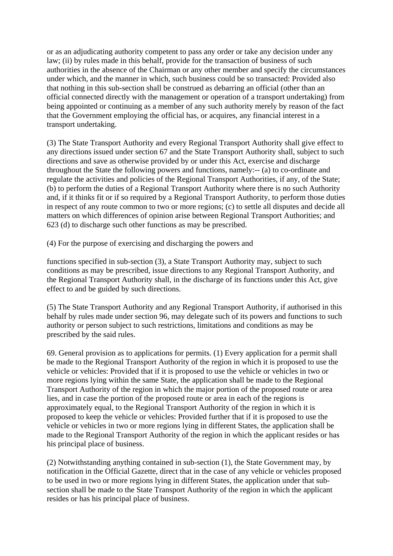or as an adjudicating authority competent to pass any order or take any decision under any law; (ii) by rules made in this behalf, provide for the transaction of business of such authorities in the absence of the Chairman or any other member and specify the circumstances under which, and the manner in which, such business could be so transacted: Provided also that nothing in this sub-section shall be construed as debarring an official (other than an official connected directly with the management or operation of a transport undertaking) from being appointed or continuing as a member of any such authority merely by reason of the fact that the Government employing the official has, or acquires, any financial interest in a transport undertaking.

(3) The State Transport Authority and every Regional Transport Authority shall give effect to any directions issued under section 67 and the State Transport Authority shall, subject to such directions and save as otherwise provided by or under this Act, exercise and discharge throughout the State the following powers and functions, namely:-- (a) to co-ordinate and regulate the activities and policies of the Regional Transport Authorities, if any, of the State; (b) to perform the duties of a Regional Transport Authority where there is no such Authority and, if it thinks fit or if so required by a Regional Transport Authority, to perform those duties in respect of any route common to two or more regions; (c) to settle all disputes and decide all matters on which differences of opinion arise between Regional Transport Authorities; and 623 (d) to discharge such other functions as may be prescribed.

(4) For the purpose of exercising and discharging the powers and

functions specified in sub-section (3), a State Transport Authority may, subject to such conditions as may be prescribed, issue directions to any Regional Transport Authority, and the Regional Transport Authority shall, in the discharge of its functions under this Act, give effect to and be guided by such directions.

(5) The State Transport Authority and any Regional Transport Authority, if authorised in this behalf by rules made under section 96, may delegate such of its powers and functions to such authority or person subject to such restrictions, limitations and conditions as may be prescribed by the said rules.

69. General provision as to applications for permits. (1) Every application for a permit shall be made to the Regional Transport Authority of the region in which it is proposed to use the vehicle or vehicles: Provided that if it is proposed to use the vehicle or vehicles in two or more regions lying within the same State, the application shall be made to the Regional Transport Authority of the region in which the major portion of the proposed route or area lies, and in case the portion of the proposed route or area in each of the regions is approximately equal, to the Regional Transport Authority of the region in which it is proposed to keep the vehicle or vehicles: Provided further that if it is proposed to use the vehicle or vehicles in two or more regions lying in different States, the application shall be made to the Regional Transport Authority of the region in which the applicant resides or has his principal place of business.

(2) Notwithstanding anything contained in sub-section (1), the State Government may, by notification in the Official Gazette, direct that in the case of any vehicle or vehicles proposed to be used in two or more regions lying in different States, the application under that subsection shall be made to the State Transport Authority of the region in which the applicant resides or has his principal place of business.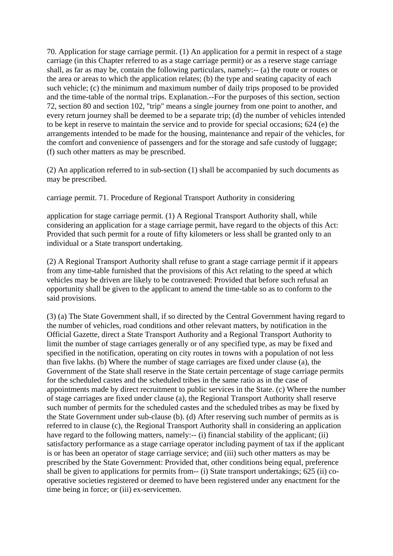70. Application for stage carriage permit. (1) An application for a permit in respect of a stage carriage (in this Chapter referred to as a stage carriage permit) or as a reserve stage carriage shall, as far as may be, contain the following particulars, namely:-- (a) the route or routes or the area or areas to which the application relates; (b) the type and seating capacity of each such vehicle; (c) the minimum and maximum number of daily trips proposed to be provided and the time-table of the normal trips. Explanation.--For the purposes of this section, section 72, section 80 and section 102, "trip" means a single journey from one point to another, and every return journey shall be deemed to be a separate trip; (d) the number of vehicles intended to be kept in reserve to maintain the service and to provide for special occasions; 624 (e) the arrangements intended to be made for the housing, maintenance and repair of the vehicles, for the comfort and convenience of passengers and for the storage and safe custody of luggage; (f) such other matters as may be prescribed.

(2) An application referred to in sub-section (1) shall be accompanied by such documents as may be prescribed.

carriage permit. 71. Procedure of Regional Transport Authority in considering

application for stage carriage permit. (1) A Regional Transport Authority shall, while considering an application for a stage carriage permit, have regard to the objects of this Act: Provided that such permit for a route of fifty kilometers or less shall be granted only to an individual or a State transport undertaking.

(2) A Regional Transport Authority shall refuse to grant a stage carriage permit if it appears from any time-table furnished that the provisions of this Act relating to the speed at which vehicles may be driven are likely to be contravened: Provided that before such refusal an opportunity shall be given to the applicant to amend the time-table so as to conform to the said provisions.

(3) (a) The State Government shall, if so directed by the Central Government having regard to the number of vehicles, road conditions and other relevant matters, by notification in the Official Gazette, direct a State Transport Authority and a Regional Transport Authority to limit the number of stage carriages generally or of any specified type, as may be fixed and specified in the notification, operating on city routes in towns with a population of not less than five lakhs. (b) Where the number of stage carriages are fixed under clause (a), the Government of the State shall reserve in the State certain percentage of stage carriage permits for the scheduled castes and the scheduled tribes in the same ratio as in the case of appointments made by direct recruitment to public services in the State. (c) Where the number of stage carriages are fixed under clause (a), the Regional Transport Authority shall reserve such number of permits for the scheduled castes and the scheduled tribes as may be fixed by the State Government under sub-clause (b). (d) After reserving such number of permits as is referred to in clause (c), the Regional Transport Authority shall in considering an application have regard to the following matters, namely:-- (i) financial stability of the applicant; (ii) satisfactory performance as a stage carriage operator including payment of tax if the applicant is or has been an operator of stage carriage service; and (iii) such other matters as may be prescribed by the State Government: Provided that, other conditions being equal, preference shall be given to applications for permits from-- (i) State transport undertakings; 625 (ii) cooperative societies registered or deemed to have been registered under any enactment for the time being in force; or (iii) ex-servicemen.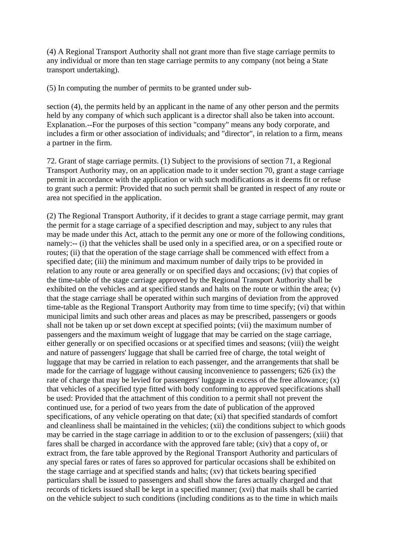(4) A Regional Transport Authority shall not grant more than five stage carriage permits to any individual or more than ten stage carriage permits to any company (not being a State transport undertaking).

(5) In computing the number of permits to be granted under sub-

section (4), the permits held by an applicant in the name of any other person and the permits held by any company of which such applicant is a director shall also be taken into account. Explanation.--For the purposes of this section "company" means any body corporate, and includes a firm or other association of individuals; and "director", in relation to a firm, means a partner in the firm.

72. Grant of stage carriage permits. (1) Subject to the provisions of section 71, a Regional Transport Authority may, on an application made to it under section 70, grant a stage carriage permit in accordance with the application or with such modifications as it deems fit or refuse to grant such a permit: Provided that no such permit shall be granted in respect of any route or area not specified in the application.

(2) The Regional Transport Authority, if it decides to grant a stage carriage permit, may grant the permit for a stage carriage of a specified description and may, subject to any rules that may be made under this Act, attach to the permit any one or more of the following conditions, namely:-- (i) that the vehicles shall be used only in a specified area, or on a specified route or routes; (ii) that the operation of the stage carriage shall be commenced with effect from a specified date; (iii) the minimum and maximum number of daily trips to be provided in relation to any route or area generally or on specified days and occasions; (iv) that copies of the time-table of the stage carriage approved by the Regional Transport Authority shall be exhibited on the vehicles and at specified stands and halts on the route or within the area; (v) that the stage carriage shall be operated within such margins of deviation from the approved time-table as the Regional Transport Authority may from time to time specify; (vi) that within municipal limits and such other areas and places as may be prescribed, passengers or goods shall not be taken up or set down except at specified points; (vii) the maximum number of passengers and the maximum weight of luggage that may be carried on the stage carriage, either generally or on specified occasions or at specified times and seasons; (viii) the weight and nature of passengers' luggage that shall be carried free of charge, the total weight of luggage that may be carried in relation to each passenger, and the arrangements that shall be made for the carriage of luggage without causing inconvenience to passengers; 626 (ix) the rate of charge that may be levied for passengers' luggage in excess of the free allowance; (x) that vehicles of a specified type fitted with body conforming to approved specifications shall be used: Provided that the attachment of this condition to a permit shall not prevent the continued use, for a period of two years from the date of publication of the approved specifications, of any vehicle operating on that date; (xi) that specified standards of comfort and cleanliness shall be maintained in the vehicles; (xii) the conditions subject to which goods may be carried in the stage carriage in addition to or to the exclusion of passengers; (xiii) that fares shall be charged in accordance with the approved fare table; (xiv) that a copy of, or extract from, the fare table approved by the Regional Transport Authority and particulars of any special fares or rates of fares so approved for particular occasions shall be exhibited on the stage carriage and at specified stands and halts; (xv) that tickets bearing specified particulars shall be issued to passengers and shall show the fares actually charged and that records of tickets issued shall be kept in a specified manner; (xvi) that mails shall be carried on the vehicle subject to such conditions (including conditions as to the time in which mails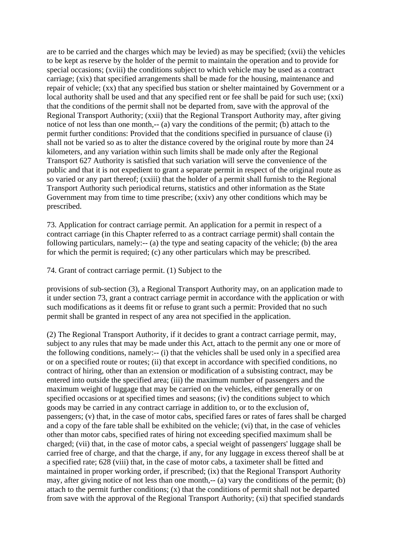are to be carried and the charges which may be levied) as may be specified; (xvii) the vehicles to be kept as reserve by the holder of the permit to maintain the operation and to provide for special occasions; (xviii) the conditions subject to which vehicle may be used as a contract carriage; (xix) that specified arrangements shall be made for the housing, maintenance and repair of vehicle; (xx) that any specified bus station or shelter maintained by Government or a local authority shall be used and that any specified rent or fee shall be paid for such use; (xxi) that the conditions of the permit shall not be departed from, save with the approval of the Regional Transport Authority; (xxii) that the Regional Transport Authority may, after giving notice of not less than one month,-- (a) vary the conditions of the permit; (b) attach to the permit further conditions: Provided that the conditions specified in pursuance of clause (i) shall not be varied so as to alter the distance covered by the original route by more than 24 kilometers, and any variation within such limits shall be made only after the Regional Transport 627 Authority is satisfied that such variation will serve the convenience of the public and that it is not expedient to grant a separate permit in respect of the original route as so varied or any part thereof; (xxiii) that the holder of a permit shall furnish to the Regional Transport Authority such periodical returns, statistics and other information as the State Government may from time to time prescribe; (xxiv) any other conditions which may be prescribed.

73. Application for contract carriage permit. An application for a permit in respect of a contract carriage (in this Chapter referred to as a contract carriage permit) shall contain the following particulars, namely:-- (a) the type and seating capacity of the vehicle; (b) the area for which the permit is required; (c) any other particulars which may be prescribed.

74. Grant of contract carriage permit. (1) Subject to the

provisions of sub-section (3), a Regional Transport Authority may, on an application made to it under section 73, grant a contract carriage permit in accordance with the application or with such modifications as it deems fit or refuse to grant such a permit: Provided that no such permit shall be granted in respect of any area not specified in the application.

(2) The Regional Transport Authority, if it decides to grant a contract carriage permit, may, subject to any rules that may be made under this Act, attach to the permit any one or more of the following conditions, namely:-- (i) that the vehicles shall be used only in a specified area or on a specified route or routes; (ii) that except in accordance with specified conditions, no contract of hiring, other than an extension or modification of a subsisting contract, may be entered into outside the specified area; (iii) the maximum number of passengers and the maximum weight of luggage that may be carried on the vehicles, either generally or on specified occasions or at specified times and seasons; (iv) the conditions subject to which goods may be carried in any contract carriage in addition to, or to the exclusion of, passengers; (v) that, in the case of motor cabs, specified fares or rates of fares shall be charged and a copy of the fare table shall be exhibited on the vehicle; (vi) that, in the case of vehicles other than motor cabs, specified rates of hiring not exceeding specified maximum shall be charged; (vii) that, in the case of motor cabs, a special weight of passengers' luggage shall be carried free of charge, and that the charge, if any, for any luggage in excess thereof shall be at a specified rate; 628 (viii) that, in the case of motor cabs, a taximeter shall be fitted and maintained in proper working order, if prescribed; (ix) that the Regional Transport Authority may, after giving notice of not less than one month,-- (a) vary the conditions of the permit; (b) attach to the permit further conditions; (x) that the conditions of permit shall not be departed from save with the approval of the Regional Transport Authority; (xi) that specified standards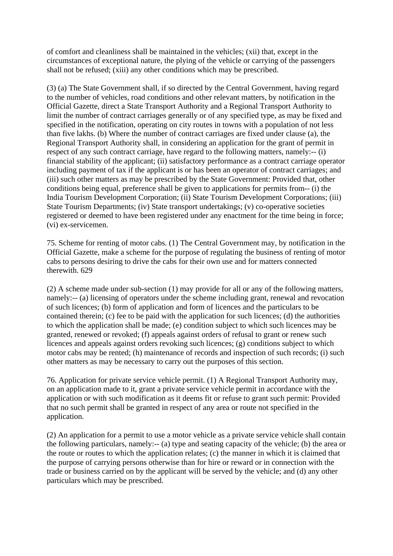of comfort and cleanliness shall be maintained in the vehicles; (xii) that, except in the circumstances of exceptional nature, the plying of the vehicle or carrying of the passengers shall not be refused; (xiii) any other conditions which may be prescribed.

(3) (a) The State Government shall, if so directed by the Central Government, having regard to the number of vehicles, road conditions and other relevant matters, by notification in the Official Gazette, direct a State Transport Authority and a Regional Transport Authority to limit the number of contract carriages generally or of any specified type, as may be fixed and specified in the notification, operating on city routes in towns with a population of not less than five lakhs. (b) Where the number of contract carriages are fixed under clause (a), the Regional Transport Authority shall, in considering an application for the grant of permit in respect of any such contract carriage, have regard to the following matters, namely:-- (i) financial stability of the applicant; (ii) satisfactory performance as a contract carriage operator including payment of tax if the applicant is or has been an operator of contract carriages; and (iii) such other matters as may be prescribed by the State Government: Provided that, other conditions being equal, preference shall be given to applications for permits from-- (i) the India Tourism Development Corporation; (ii) State Tourism Development Corporations; (iii) State Tourism Departments; (iv) State transport undertakings; (v) co-operative societies registered or deemed to have been registered under any enactment for the time being in force; (vi) ex-servicemen.

75. Scheme for renting of motor cabs. (1) The Central Government may, by notification in the Official Gazette, make a scheme for the purpose of regulating the business of renting of motor cabs to persons desiring to drive the cabs for their own use and for matters connected therewith. 629

(2) A scheme made under sub-section (1) may provide for all or any of the following matters, namely:-- (a) licensing of operators under the scheme including grant, renewal and revocation of such licences; (b) form of application and form of licences and the particulars to be contained therein; (c) fee to be paid with the application for such licences; (d) the authorities to which the application shall be made; (e) condition subject to which such licences may be granted, renewed or revoked; (f) appeals against orders of refusal to grant or renew such licences and appeals against orders revoking such licences; (g) conditions subject to which motor cabs may be rented; (h) maintenance of records and inspection of such records; (i) such other matters as may be necessary to carry out the purposes of this section.

76. Application for private service vehicle permit. (1) A Regional Transport Authority may, on an application made to it, grant a private service vehicle permit in accordance with the application or with such modification as it deems fit or refuse to grant such permit: Provided that no such permit shall be granted in respect of any area or route not specified in the application.

(2) An application for a permit to use a motor vehicle as a private service vehicle shall contain the following particulars, namely:-- (a) type and seating capacity of the vehicle; (b) the area or the route or routes to which the application relates; (c) the manner in which it is claimed that the purpose of carrying persons otherwise than for hire or reward or in connection with the trade or business carried on by the applicant will be served by the vehicle; and (d) any other particulars which may be prescribed.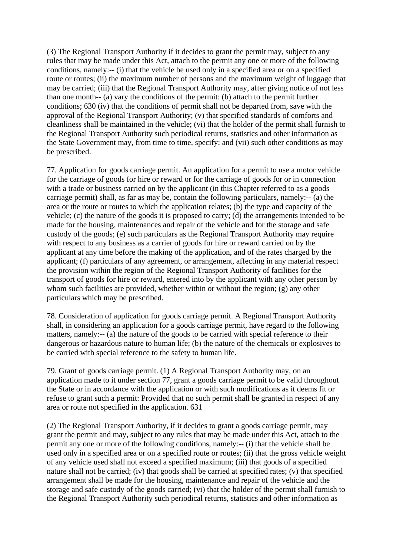(3) The Regional Transport Authority if it decides to grant the permit may, subject to any rules that may be made under this Act, attach to the permit any one or more of the following conditions, namely:-- (i) that the vehicle be used only in a specified area or on a specified route or routes; (ii) the maximum number of persons and the maximum weight of luggage that may be carried; (iii) that the Regional Transport Authority may, after giving notice of not less than one month-- (a) vary the conditions of the permit: (b) attach to the permit further conditions; 630 (iv) that the conditions of permit shall not be departed from, save with the approval of the Regional Transport Authority; (v) that specified standards of comforts and cleanliness shall be maintained in the vehicle; (vi) that the holder of the permit shall furnish to the Regional Transport Authority such periodical returns, statistics and other information as the State Government may, from time to time, specify; and (vii) such other conditions as may be prescribed.

77. Application for goods carriage permit. An application for a permit to use a motor vehicle for the carriage of goods for hire or reward or for the carriage of goods for or in connection with a trade or business carried on by the applicant (in this Chapter referred to as a goods carriage permit) shall, as far as may be, contain the following particulars, namely:-- (a) the area or the route or routes to which the application relates; (b) the type and capacity of the vehicle; (c) the nature of the goods it is proposed to carry; (d) the arrangements intended to be made for the housing, maintenances and repair of the vehicle and for the storage and safe custody of the goods; (e) such particulars as the Regional Transport Authority may require with respect to any business as a carrier of goods for hire or reward carried on by the applicant at any time before the making of the application, and of the rates charged by the applicant; (f) particulars of any agreement, or arrangement, affecting in any material respect the provision within the region of the Regional Transport Authority of facilities for the transport of goods for hire or reward, entered into by the applicant with any other person by whom such facilities are provided, whether within or without the region; (g) any other particulars which may be prescribed.

78. Consideration of application for goods carriage permit. A Regional Transport Authority shall, in considering an application for a goods carriage permit, have regard to the following matters, namely:-- (a) the nature of the goods to be carried with special reference to their dangerous or hazardous nature to human life; (b) the nature of the chemicals or explosives to be carried with special reference to the safety to human life.

79. Grant of goods carriage permit. (1) A Regional Transport Authority may, on an application made to it under section 77, grant a goods carriage permit to be valid throughout the State or in accordance with the application or with such modifications as it deems fit or refuse to grant such a permit: Provided that no such permit shall be granted in respect of any area or route not specified in the application. 631

(2) The Regional Transport Authority, if it decides to grant a goods carriage permit, may grant the permit and may, subject to any rules that may be made under this Act, attach to the permit any one or more of the following conditions, namely:-- (i) that the vehicle shall be used only in a specified area or on a specified route or routes; (ii) that the gross vehicle weight of any vehicle used shall not exceed a specified maximum; (iii) that goods of a specified nature shall not be carried; (iv) that goods shall be carried at specified rates; (v) that specified arrangement shall be made for the housing, maintenance and repair of the vehicle and the storage and safe custody of the goods carried; (vi) that the holder of the permit shall furnish to the Regional Transport Authority such periodical returns, statistics and other information as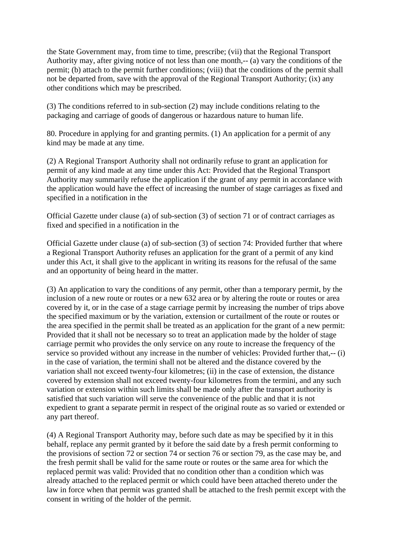the State Government may, from time to time, prescribe; (vii) that the Regional Transport Authority may, after giving notice of not less than one month,-- (a) vary the conditions of the permit; (b) attach to the permit further conditions; (viii) that the conditions of the permit shall not be departed from, save with the approval of the Regional Transport Authority; (ix) any other conditions which may be prescribed.

(3) The conditions referred to in sub-section (2) may include conditions relating to the packaging and carriage of goods of dangerous or hazardous nature to human life.

80. Procedure in applying for and granting permits. (1) An application for a permit of any kind may be made at any time.

(2) A Regional Transport Authority shall not ordinarily refuse to grant an application for permit of any kind made at any time under this Act: Provided that the Regional Transport Authority may summarily refuse the application if the grant of any permit in accordance with the application would have the effect of increasing the number of stage carriages as fixed and specified in a notification in the

Official Gazette under clause (a) of sub-section (3) of section 71 or of contract carriages as fixed and specified in a notification in the

Official Gazette under clause (a) of sub-section (3) of section 74: Provided further that where a Regional Transport Authority refuses an application for the grant of a permit of any kind under this Act, it shall give to the applicant in writing its reasons for the refusal of the same and an opportunity of being heard in the matter.

(3) An application to vary the conditions of any permit, other than a temporary permit, by the inclusion of a new route or routes or a new 632 area or by altering the route or routes or area covered by it, or in the case of a stage carriage permit by increasing the number of trips above the specified maximum or by the variation, extension or curtailment of the route or routes or the area specified in the permit shall be treated as an application for the grant of a new permit: Provided that it shall not be necessary so to treat an application made by the holder of stage carriage permit who provides the only service on any route to increase the frequency of the service so provided without any increase in the number of vehicles: Provided further that,-- (i) in the case of variation, the termini shall not be altered and the distance covered by the variation shall not exceed twenty-four kilometres; (ii) in the case of extension, the distance covered by extension shall not exceed twenty-four kilometres from the termini, and any such variation or extension within such limits shall be made only after the transport authority is satisfied that such variation will serve the convenience of the public and that it is not expedient to grant a separate permit in respect of the original route as so varied or extended or any part thereof.

(4) A Regional Transport Authority may, before such date as may be specified by it in this behalf, replace any permit granted by it before the said date by a fresh permit conforming to the provisions of section 72 or section 74 or section 76 or section 79, as the case may be, and the fresh permit shall be valid for the same route or routes or the same area for which the replaced permit was valid: Provided that no condition other than a condition which was already attached to the replaced permit or which could have been attached thereto under the law in force when that permit was granted shall be attached to the fresh permit except with the consent in writing of the holder of the permit.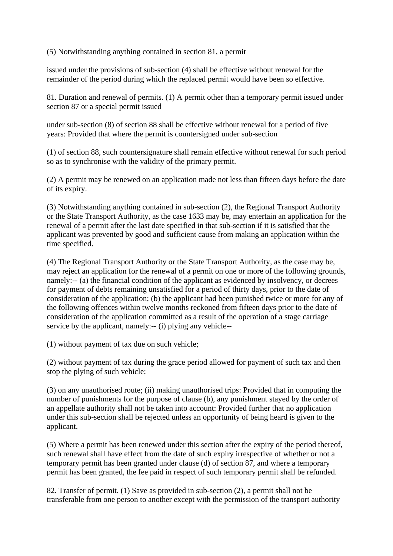(5) Notwithstanding anything contained in section 81, a permit

issued under the provisions of sub-section (4) shall be effective without renewal for the remainder of the period during which the replaced permit would have been so effective.

81. Duration and renewal of permits. (1) A permit other than a temporary permit issued under section 87 or a special permit issued

under sub-section (8) of section 88 shall be effective without renewal for a period of five years: Provided that where the permit is countersigned under sub-section

(1) of section 88, such countersignature shall remain effective without renewal for such period so as to synchronise with the validity of the primary permit.

(2) A permit may be renewed on an application made not less than fifteen days before the date of its expiry.

(3) Notwithstanding anything contained in sub-section (2), the Regional Transport Authority or the State Transport Authority, as the case 1633 may be, may entertain an application for the renewal of a permit after the last date specified in that sub-section if it is satisfied that the applicant was prevented by good and sufficient cause from making an application within the time specified.

(4) The Regional Transport Authority or the State Transport Authority, as the case may be, may reject an application for the renewal of a permit on one or more of the following grounds, namely:-- (a) the financial condition of the applicant as evidenced by insolvency, or decrees for payment of debts remaining unsatisfied for a period of thirty days, prior to the date of consideration of the application; (b) the applicant had been punished twice or more for any of the following offences within twelve months reckoned from fifteen days prior to the date of consideration of the application committed as a result of the operation of a stage carriage service by the applicant, namely:-- (i) plying any vehicle--

(1) without payment of tax due on such vehicle;

(2) without payment of tax during the grace period allowed for payment of such tax and then stop the plying of such vehicle;

(3) on any unauthorised route; (ii) making unauthorised trips: Provided that in computing the number of punishments for the purpose of clause (b), any punishment stayed by the order of an appellate authority shall not be taken into account: Provided further that no application under this sub-section shall be rejected unless an opportunity of being heard is given to the applicant.

(5) Where a permit has been renewed under this section after the expiry of the period thereof, such renewal shall have effect from the date of such expiry irrespective of whether or not a temporary permit has been granted under clause (d) of section 87, and where a temporary permit has been granted, the fee paid in respect of such temporary permit shall be refunded.

82. Transfer of permit. (1) Save as provided in sub-section (2), a permit shall not be transferable from one person to another except with the permission of the transport authority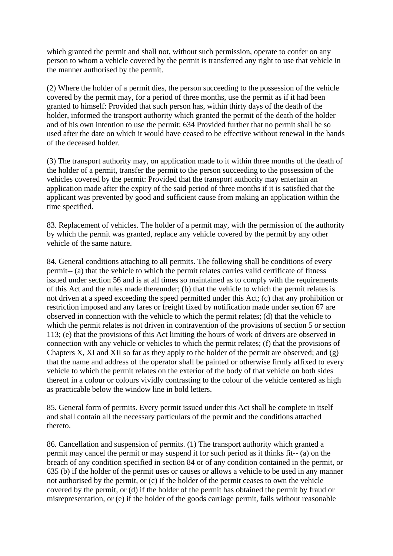which granted the permit and shall not, without such permission, operate to confer on any person to whom a vehicle covered by the permit is transferred any right to use that vehicle in the manner authorised by the permit.

(2) Where the holder of a permit dies, the person succeeding to the possession of the vehicle covered by the permit may, for a period of three months, use the permit as if it had been granted to himself: Provided that such person has, within thirty days of the death of the holder, informed the transport authority which granted the permit of the death of the holder and of his own intention to use the permit: 634 Provided further that no permit shall be so used after the date on which it would have ceased to be effective without renewal in the hands of the deceased holder.

(3) The transport authority may, on application made to it within three months of the death of the holder of a permit, transfer the permit to the person succeeding to the possession of the vehicles covered by the permit: Provided that the transport authority may entertain an application made after the expiry of the said period of three months if it is satisfied that the applicant was prevented by good and sufficient cause from making an application within the time specified.

83. Replacement of vehicles. The holder of a permit may, with the permission of the authority by which the permit was granted, replace any vehicle covered by the permit by any other vehicle of the same nature.

84. General conditions attaching to all permits. The following shall be conditions of every permit-- (a) that the vehicle to which the permit relates carries valid certificate of fitness issued under section 56 and is at all times so maintained as to comply with the requirements of this Act and the rules made thereunder; (b) that the vehicle to which the permit relates is not driven at a speed exceeding the speed permitted under this Act; (c) that any prohibition or restriction imposed and any fares or freight fixed by notification made under section 67 are observed in connection with the vehicle to which the permit relates; (d) that the vehicle to which the permit relates is not driven in contravention of the provisions of section 5 or section 113; (e) that the provisions of this Act limiting the hours of work of drivers are observed in connection with any vehicle or vehicles to which the permit relates; (f) that the provisions of Chapters X, XI and XII so far as they apply to the holder of the permit are observed; and (g) that the name and address of the operator shall be painted or otherwise firmly affixed to every vehicle to which the permit relates on the exterior of the body of that vehicle on both sides thereof in a colour or colours vividly contrasting to the colour of the vehicle centered as high as practicable below the window line in bold letters.

85. General form of permits. Every permit issued under this Act shall be complete in itself and shall contain all the necessary particulars of the permit and the conditions attached thereto.

86. Cancellation and suspension of permits. (1) The transport authority which granted a permit may cancel the permit or may suspend it for such period as it thinks fit-- (a) on the breach of any condition specified in section 84 or of any condition contained in the permit, or 635 (b) if the holder of the permit uses or causes or allows a vehicle to be used in any manner not authorised by the permit, or (c) if the holder of the permit ceases to own the vehicle covered by the permit, or (d) if the holder of the permit has obtained the permit by fraud or misrepresentation, or (e) if the holder of the goods carriage permit, fails without reasonable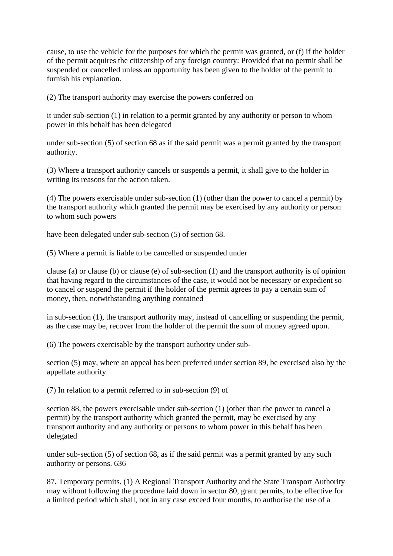cause, to use the vehicle for the purposes for which the permit was granted, or (f) if the holder of the permit acquires the citizenship of any foreign country: Provided that no permit shall be suspended or cancelled unless an opportunity has been given to the holder of the permit to furnish his explanation.

(2) The transport authority may exercise the powers conferred on

it under sub-section (1) in relation to a permit granted by any authority or person to whom power in this behalf has been delegated

under sub-section (5) of section 68 as if the said permit was a permit granted by the transport authority.

(3) Where a transport authority cancels or suspends a permit, it shall give to the holder in writing its reasons for the action taken.

(4) The powers exercisable under sub-section (1) (other than the power to cancel a permit) by the transport authority which granted the permit may be exercised by any authority or person to whom such powers

have been delegated under sub-section (5) of section 68.

(5) Where a permit is liable to be cancelled or suspended under

clause (a) or clause (b) or clause (e) of sub-section (1) and the transport authority is of opinion that having regard to the circumstances of the case, it would not be necessary or expedient so to cancel or suspend the permit if the holder of the permit agrees to pay a certain sum of money, then, notwithstanding anything contained

in sub-section (1), the transport authority may, instead of cancelling or suspending the permit, as the case may be, recover from the holder of the permit the sum of money agreed upon.

(6) The powers exercisable by the transport authority under sub-

section (5) may, where an appeal has been preferred under section 89, be exercised also by the appellate authority.

(7) In relation to a permit referred to in sub-section (9) of

section 88, the powers exercisable under sub-section (1) (other than the power to cancel a permit) by the transport authority which granted the permit, may be exercised by any transport authority and any authority or persons to whom power in this behalf has been delegated

under sub-section (5) of section 68, as if the said permit was a permit granted by any such authority or persons. 636

87. Temporary permits. (1) A Regional Transport Authority and the State Transport Authority may without following the procedure laid down in sector 80, grant permits, to be effective for a limited period which shall, not in any case exceed four months, to authorise the use of a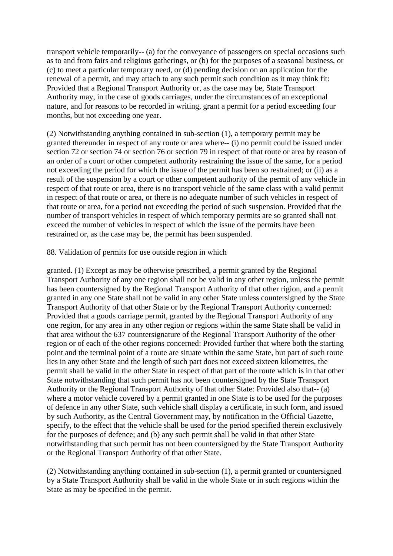transport vehicle temporarily-- (a) for the conveyance of passengers on special occasions such as to and from fairs and religious gatherings, or (b) for the purposes of a seasonal business, or (c) to meet a particular temporary need, or (d) pending decision on an application for the renewal of a permit, and may attach to any such permit such condition as it may think fit: Provided that a Regional Transport Authority or, as the case may be, State Transport Authority may, in the case of goods carriages, under the circumstances of an exceptional nature, and for reasons to be recorded in writing, grant a permit for a period exceeding four months, but not exceeding one year.

(2) Notwithstanding anything contained in sub-section (1), a temporary permit may be granted thereunder in respect of any route or area where-- (i) no permit could be issued under section 72 or section 74 or section 76 or section 79 in respect of that route or area by reason of an order of a court or other competent authority restraining the issue of the same, for a period not exceeding the period for which the issue of the permit has been so restrained; or (ii) as a result of the suspension by a court or other competent authority of the permit of any vehicle in respect of that route or area, there is no transport vehicle of the same class with a valid permit in respect of that route or area, or there is no adequate number of such vehicles in respect of that route or area, for a period not exceeding the period of such suspension. Provided that the number of transport vehicles in respect of which temporary permits are so granted shall not exceed the number of vehicles in respect of which the issue of the permits have been restrained or, as the case may be, the permit has been suspended.

88. Validation of permits for use outside region in which

granted. (1) Except as may be otherwise prescribed, a permit granted by the Regional Transport Authority of any one region shall not be valid in any other region, unless the permit has been countersigned by the Regional Transport Authority of that other rigion, and a permit granted in any one State shall not be valid in any other State unless countersigned by the State Transport Authority of that other State or by the Regional Transport Authority concerned: Provided that a goods carriage permit, granted by the Regional Transport Authority of any one region, for any area in any other region or regions within the same State shall be valid in that area without the 637 countersignature of the Regional Transport Authority of the other region or of each of the other regions concerned: Provided further that where both the starting point and the terminal point of a route are situate within the same State, but part of such route lies in any other State and the length of such part does not exceed sixteen kilometres, the permit shall be valid in the other State in respect of that part of the route which is in that other State notwithstanding that such permit has not been countersigned by the State Transport Authority or the Regional Transport Authority of that other State: Provided also that-- (a) where a motor vehicle covered by a permit granted in one State is to be used for the purposes of defence in any other State, such vehicle shall display a certificate, in such form, and issued by such Authority, as the Central Government may, by notification in the Official Gazette, specify, to the effect that the vehicle shall be used for the period specified therein exclusively for the purposes of defence; and (b) any such permit shall be valid in that other State notwithstanding that such permit has not been countersigned by the State Transport Authority or the Regional Transport Authority of that other State.

(2) Notwithstanding anything contained in sub-section (1), a permit granted or countersigned by a State Transport Authority shall be valid in the whole State or in such regions within the State as may be specified in the permit.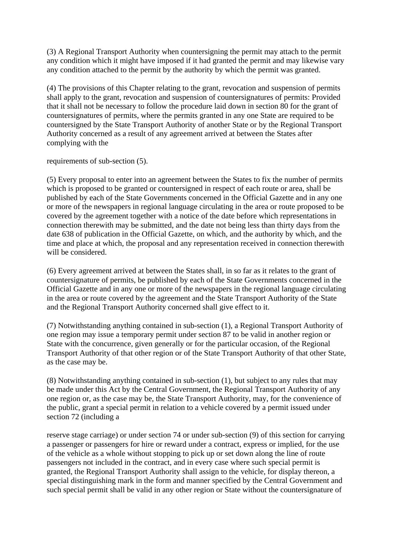(3) A Regional Transport Authority when countersigning the permit may attach to the permit any condition which it might have imposed if it had granted the permit and may likewise vary any condition attached to the permit by the authority by which the permit was granted.

(4) The provisions of this Chapter relating to the grant, revocation and suspension of permits shall apply to the grant, revocation and suspension of countersignatures of permits: Provided that it shall not be necessary to follow the procedure laid down in section 80 for the grant of countersignatures of permits, where the permits granted in any one State are required to be countersigned by the State Transport Authority of another State or by the Regional Transport Authority concerned as a result of any agreement arrived at between the States after complying with the

requirements of sub-section (5).

(5) Every proposal to enter into an agreement between the States to fix the number of permits which is proposed to be granted or countersigned in respect of each route or area, shall be published by each of the State Governments concerned in the Official Gazette and in any one or more of the newspapers in regional language circulating in the area or route proposed to be covered by the agreement together with a notice of the date before which representations in connection therewith may be submitted, and the date not being less than thirty days from the date 638 of publication in the Official Gazette, on which, and the authority by which, and the time and place at which, the proposal and any representation received in connection therewith will be considered.

(6) Every agreement arrived at between the States shall, in so far as it relates to the grant of countersignature of permits, be published by each of the State Governments concerned in the Official Gazette and in any one or more of the newspapers in the regional language circulating in the area or route covered by the agreement and the State Transport Authority of the State and the Regional Transport Authority concerned shall give effect to it.

(7) Notwithstanding anything contained in sub-section (1), a Regional Transport Authority of one region may issue a temporary permit under section 87 to be valid in another region or State with the concurrence, given generally or for the particular occasion, of the Regional Transport Authority of that other region or of the State Transport Authority of that other State, as the case may be.

(8) Notwithstanding anything contained in sub-section (1), but subject to any rules that may be made under this Act by the Central Government, the Regional Transport Authority of any one region or, as the case may be, the State Transport Authority, may, for the convenience of the public, grant a special permit in relation to a vehicle covered by a permit issued under section 72 (including a

reserve stage carriage) or under section 74 or under sub-section (9) of this section for carrying a passenger or passengers for hire or reward under a contract, express or implied, for the use of the vehicle as a whole without stopping to pick up or set down along the line of route passengers not included in the contract, and in every case where such special permit is granted, the Regional Transport Authority shall assign to the vehicle, for display thereon, a special distinguishing mark in the form and manner specified by the Central Government and such special permit shall be valid in any other region or State without the countersignature of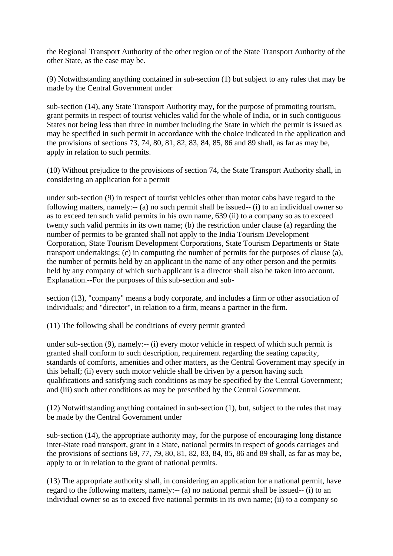the Regional Transport Authority of the other region or of the State Transport Authority of the other State, as the case may be.

(9) Notwithstanding anything contained in sub-section (1) but subject to any rules that may be made by the Central Government under

sub-section (14), any State Transport Authority may, for the purpose of promoting tourism, grant permits in respect of tourist vehicles valid for the whole of India, or in such contiguous States not being less than three in number including the State in which the permit is issued as may be specified in such permit in accordance with the choice indicated in the application and the provisions of sections 73, 74, 80, 81, 82, 83, 84, 85, 86 and 89 shall, as far as may be, apply in relation to such permits.

(10) Without prejudice to the provisions of section 74, the State Transport Authority shall, in considering an application for a permit

under sub-section (9) in respect of tourist vehicles other than motor cabs have regard to the following matters, namely:-- (a) no such permit shall be issued-- (i) to an individual owner so as to exceed ten such valid permits in his own name, 639 (ii) to a company so as to exceed twenty such valid permits in its own name; (b) the restriction under clause (a) regarding the number of permits to be granted shall not apply to the India Tourism Development Corporation, State Tourism Development Corporations, State Tourism Departments or State transport undertakings; (c) in computing the number of permits for the purposes of clause (a), the number of permits held by an applicant in the name of any other person and the permits held by any company of which such applicant is a director shall also be taken into account. Explanation.--For the purposes of this sub-section and sub-

section (13), "company" means a body corporate, and includes a firm or other association of individuals; and "director", in relation to a firm, means a partner in the firm.

(11) The following shall be conditions of every permit granted

under sub-section (9), namely:-- (i) every motor vehicle in respect of which such permit is granted shall conform to such description, requirement regarding the seating capacity, standards of comforts, amenities and other matters, as the Central Government may specify in this behalf; (ii) every such motor vehicle shall be driven by a person having such qualifications and satisfying such conditions as may be specified by the Central Government; and (iii) such other conditions as may be prescribed by the Central Government.

(12) Notwithstanding anything contained in sub-section (1), but, subject to the rules that may be made by the Central Government under

sub-section (14), the appropriate authority may, for the purpose of encouraging long distance inter-State road transport, grant in a State, national permits in respect of goods carriages and the provisions of sections 69, 77, 79, 80, 81, 82, 83, 84, 85, 86 and 89 shall, as far as may be, apply to or in relation to the grant of national permits.

(13) The appropriate authority shall, in considering an application for a national permit, have regard to the following matters, namely:-- (a) no national permit shall be issued-- (i) to an individual owner so as to exceed five national permits in its own name; (ii) to a company so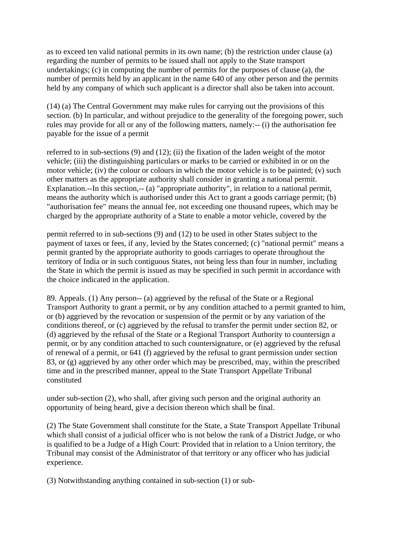as to exceed ten valid national permits in its own name; (b) the restriction under clause (a) regarding the number of permits to be issued shall not apply to the State transport undertakings; (c) in computing the number of permits for the purposes of clause (a), the number of permits held by an applicant in the name 640 of any other person and the permits held by any company of which such applicant is a director shall also be taken into account.

(14) (a) The Central Government may make rules for carrying out the provisions of this section. (b) In particular, and without prejudice to the generality of the foregoing power, such rules may provide for all or any of the following matters, namely:-- (i) the authorisation fee payable for the issue of a permit

referred to in sub-sections (9) and (12); (ii) the fixation of the laden weight of the motor vehicle; (iii) the distinguishing particulars or marks to be carried or exhibited in or on the motor vehicle; (iv) the colour or colours in which the motor vehicle is to be painted; (v) such other matters as the appropriate authority shall consider in granting a national permit. Explanation.--In this section,-- (a) "appropriate authority", in relation to a national permit, means the authority which is authorised under this Act to grant a goods carriage permit; (b) "authorisation fee" means the annual fee, not exceeding one thousand rupees, which may be charged by the appropriate authority of a State to enable a motor vehicle, covered by the

permit referred to in sub-sections (9) and (12) to be used in other States subject to the payment of taxes or fees, if any, levied by the States concerned; (c) "national permit" means a permit granted by the appropriate authority to goods carriages to operate throughout the territory of India or in such contiguous States, not being less than four in number, including the State in which the permit is issued as may be specified in such permit in accordance with the choice indicated in the application.

89. Appeals. (1) Any person-- (a) aggrieved by the refusal of the State or a Regional Transport Authority to grant a permit, or by any condition attached to a permit granted to him, or (b) aggrieved by the revocation or suspension of the permit or by any variation of the conditions thereof, or (c) aggrieved by the refusal to transfer the permit under section 82, or (d) aggrieved by the refusal of the State or a Regional Transport Authority to countersign a permit, or by any condition attached to such countersignature, or (e) aggrieved by the refusal of renewal of a permit, or 641 (f) aggrieved by the refusal to grant permission under section 83, or (g) aggrieved by any other order which may be prescribed, may, within the prescribed time and in the prescribed manner, appeal to the State Transport Appellate Tribunal constituted

under sub-section (2), who shall, after giving such person and the original authority an opportunity of being heard, give a decision thereon which shall be final.

(2) The State Government shall constitute for the State, a State Transport Appellate Tribunal which shall consist of a judicial officer who is not below the rank of a District Judge, or who is qualified to be a Judge of a High Court: Provided that in relation to a Union territory, the Tribunal may consist of the Administrator of that territory or any officer who has judicial experience.

(3) Notwithstanding anything contained in sub-section (1) or sub-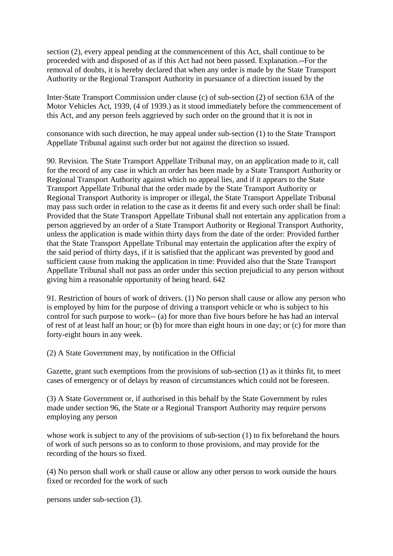section (2), every appeal pending at the commencement of this Act, shall continue to be proceeded with and disposed of as if this Act had not been passed. Explanation.--For the removal of doubts, it is hereby declared that when any order is made by the State Transport Authority or the Regional Transport Authority in pursuance of a direction issued by the

Inter-State Transport Commission under clause (c) of sub-section (2) of section 63A of the Motor Vehicles Act, 1939, (4 of 1939.) as it stood immediately before the commencement of this Act, and any person feels aggrieved by such order on the ground that it is not in

consonance with such direction, he may appeal under sub-section (1) to the State Transport Appellate Tribunal against such order but not against the direction so issued.

90. Revision. The State Transport Appellate Tribunal may, on an application made to it, call for the record of any case in which an order has been made by a State Transport Authority or Regional Transport Authority against which no appeal lies, and if it appears to the State Transport Appellate Tribunal that the order made by the State Transport Authority or Regional Transport Authority is improper or illegal, the State Transport Appellate Tribunal may pass such order in relation to the case as it deems fit and every such order shall be final: Provided that the State Transport Appellate Tribunal shall not entertain any application from a person aggrieved by an order of a State Transport Authority or Regional Transport Authority, unless the application is made within thirty days from the date of the order: Provided further that the State Transport Appellate Tribunal may entertain the application after the expiry of the said period of thirty days, if it is satisfied that the applicant was prevented by good and sufficient cause from making the application in time: Provided also that the State Transport Appellate Tribunal shall not pass an order under this section prejudicial to any person without giving him a reasonable opportunity of being heard. 642

91. Restriction of hours of work of drivers. (1) No person shall cause or allow any person who is employed by him for the purpose of driving a transport vehicle or who is subject to his control for such purpose to work-- (a) for more than five hours before he has had an interval of rest of at least half an hour; or (b) for more than eight hours in one day; or (c) for more than forty-eight hours in any week.

(2) A State Government may, by notification in the Official

Gazette, grant such exemptions from the provisions of sub-section (1) as it thinks fit, to meet cases of emergency or of delays by reason of circumstances which could not be foreseen.

(3) A State Government or, if authorised in this behalf by the State Government by rules made under section 96, the State or a Regional Transport Authority may require persons employing any person

whose work is subject to any of the provisions of sub-section (1) to fix beforehand the hours of work of such persons so as to conform to those provisions, and may provide for the recording of the hours so fixed.

(4) No person shall work or shall cause or allow any other person to work outside the hours fixed or recorded for the work of such

persons under sub-section (3).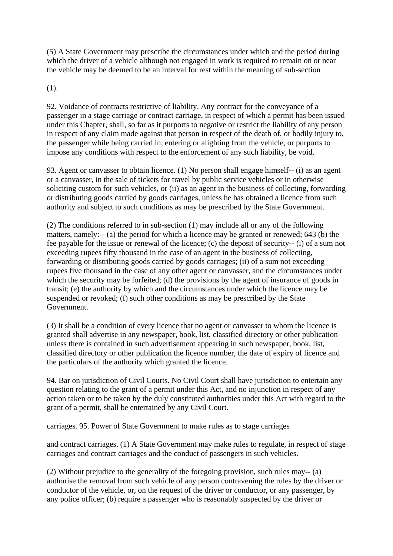(5) A State Government may prescribe the circumstances under which and the period during which the driver of a vehicle although not engaged in work is required to remain on or near the vehicle may be deemed to be an interval for rest within the meaning of sub-section

(1).

92. Voidance of contracts restrictive of liability. Any contract for the conveyance of a passenger in a stage carriage or contract carriage, in respect of which a permit has been issued under this Chapter, shall, so far as it purports to negative or restrict the liability of any person in respect of any claim made against that person in respect of the death of, or bodily injury to, the passenger while being carried in, entering or alighting from the vehicle, or purports to impose any conditions with respect to the enforcement of any such liability, be void.

93. Agent or canvasser to obtain licence. (1) No person shall engage himself-- (i) as an agent or a canvasser, in the sale of tickets for travel by public service vehicles or in otherwise soliciting custom for such vehicles, or (ii) as an agent in the business of collecting, forwarding or distributing goods carried by goods carriages, unless he has obtained a licence from such authority and subject to such conditions as may be prescribed by the State Government.

(2) The conditions referred to in sub-section (1) may include all or any of the following matters, namely:-- (a) the period for which a licence may be granted or renewed; 643 (b) the fee payable for the issue or renewal of the licence; (c) the deposit of security-- (i) of a sum not exceeding rupees fifty thousand in the case of an agent in the business of collecting, forwarding or distributing goods carried by goods carriages; (ii) of a sum not exceeding rupees five thousand in the case of any other agent or canvasser, and the circumstances under which the security may be forfeited; (d) the provisions by the agent of insurance of goods in transit; (e) the authority by which and the circumstances under which the licence may be suspended or revoked; (f) such other conditions as may be prescribed by the State Government.

(3) It shall be a condition of every licence that no agent or canvasser to whom the licence is granted shall advertise in any newspaper, book, list, classified directory or other publication unless there is contained in such advertisement appearing in such newspaper, book, list, classified directory or other publication the licence number, the date of expiry of licence and the particulars of the authority which granted the licence.

94. Bar on jurisdiction of Civil Courts. No Civil Court shall have jurisdiction to entertain any question relating to the grant of a permit under this Act, and no injunction in respect of any action taken or to be taken by the duly constituted authorities under this Act with regard to the grant of a permit, shall be entertained by any Civil Court.

carriages. 95. Power of State Government to make rules as to stage carriages

and contract carriages. (1) A State Government may make rules to regulate, in respect of stage carriages and contract carriages and the conduct of passengers in such vehicles.

(2) Without prejudice to the generality of the foregoing provision, such rules may-- (a) authorise the removal from such vehicle of any person contravening the rules by the driver or conductor of the vehicle, or, on the request of the driver or conductor, or any passenger, by any police officer; (b) require a passenger who is reasonably suspected by the driver or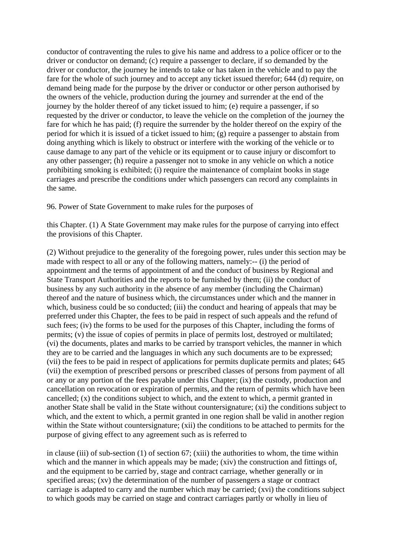conductor of contraventing the rules to give his name and address to a police officer or to the driver or conductor on demand; (c) require a passenger to declare, if so demanded by the driver or conductor, the journey he intends to take or has taken in the vehicle and to pay the fare for the whole of such journey and to accept any ticket issued therefor; 644 (d) require, on demand being made for the purpose by the driver or conductor or other person authorised by the owners of the vehicle, production during the journey and surrender at the end of the journey by the holder thereof of any ticket issued to him; (e) require a passenger, if so requested by the driver or conductor, to leave the vehicle on the completion of the journey the fare for which he has paid; (f) require the surrender by the holder thereof on the expiry of the period for which it is issued of a ticket issued to him; (g) require a passenger to abstain from doing anything which is likely to obstruct or interfere with the working of the vehicle or to cause damage to any part of the vehicle or its equipment or to cause injury or discomfort to any other passenger; (h) require a passenger not to smoke in any vehicle on which a notice prohibiting smoking is exhibited; (i) require the maintenance of complaint books in stage carriages and prescribe the conditions under which passengers can record any complaints in the same.

96. Power of State Government to make rules for the purposes of

this Chapter. (1) A State Government may make rules for the purpose of carrying into effect the provisions of this Chapter.

(2) Without prejudice to the generality of the foregoing power, rules under this section may be made with respect to all or any of the following matters, namely:-- (i) the period of appointment and the terms of appointment of and the conduct of business by Regional and State Transport Authorities and the reports to be furnished by them; (ii) the conduct of business by any such authority in the absence of any member (including the Chairman) thereof and the nature of business which, the circumstances under which and the manner in which, business could be so conducted; (iii) the conduct and hearing of appeals that may be preferred under this Chapter, the fees to be paid in respect of such appeals and the refund of such fees; (iv) the forms to be used for the purposes of this Chapter, including the forms of permits; (v) the issue of copies of permits in place of permits lost, destroyed or multilated; (vi) the documents, plates and marks to be carried by transport vehicles, the manner in which they are to be carried and the languages in which any such documents are to be expressed; (vii) the fees to be paid in respect of applications for permits duplicate permits and plates; 645 (vii) the exemption of prescribed persons or prescribed classes of persons from payment of all or any or any portion of the fees payable under this Chapter; (ix) the custody, production and cancellation on revocation or expiration of permits, and the return of permits which have been cancelled; (x) the conditions subject to which, and the extent to which, a permit granted in another State shall be valid in the State without countersignature; (xi) the conditions subject to which, and the extent to which, a permit granted in one region shall be valid in another region within the State without countersignature; (xii) the conditions to be attached to permits for the purpose of giving effect to any agreement such as is referred to

in clause (iii) of sub-section (1) of section 67; (xiii) the authorities to whom, the time within which and the manner in which appeals may be made; (xiv) the construction and fittings of, and the equipment to be carried by, stage and contract carriage, whether generally or in specified areas; (xv) the determination of the number of passengers a stage or contract carriage is adapted to carry and the number which may be carried; (xvi) the conditions subject to which goods may be carried on stage and contract carriages partly or wholly in lieu of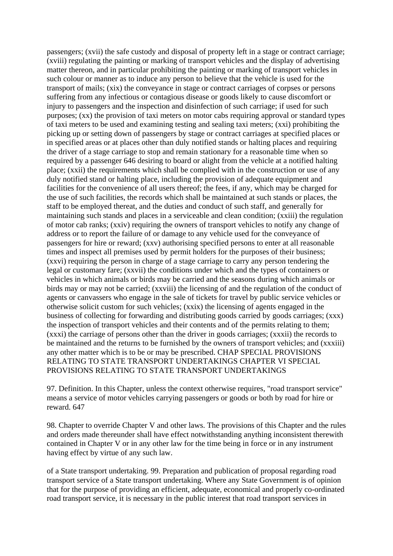passengers; (xvii) the safe custody and disposal of property left in a stage or contract carriage; (xviii) regulating the painting or marking of transport vehicles and the display of advertising matter thereon, and in particular prohibiting the painting or marking of transport vehicles in such colour or manner as to induce any person to believe that the vehicle is used for the transport of mails; (xix) the conveyance in stage or contract carriages of corpses or persons suffering from any infectious or contagious disease or goods likely to cause discomfort or injury to passengers and the inspection and disinfection of such carriage; if used for such purposes; (xx) the provision of taxi meters on motor cabs requiring approval or standard types of taxi meters to be used and examining testing and sealing taxi meters; (xxi) prohibiting the picking up or setting down of passengers by stage or contract carriages at specified places or in specified areas or at places other than duly notified stands or halting places and requiring the driver of a stage carriage to stop and remain stationary for a reasonable time when so required by a passenger 646 desiring to board or alight from the vehicle at a notified halting place; (xxii) the requirements which shall be complied with in the construction or use of any duly notified stand or halting place, including the provision of adequate equipment and facilities for the convenience of all users thereof; the fees, if any, which may be charged for the use of such facilities, the records which shall be maintained at such stands or places, the staff to be employed thereat, and the duties and conduct of such staff, and generally for maintaining such stands and places in a serviceable and clean condition; (xxiii) the regulation of motor cab ranks; (xxiv) requiring the owners of transport vehicles to notify any change of address or to report the failure of or damage to any vehicle used for the conveyance of passengers for hire or reward; (xxv) authorising specified persons to enter at all reasonable times and inspect all premises used by permit holders for the purposes of their business; (xxvi) requiring the person in charge of a stage carriage to carry any person tendering the legal or customary fare; (xxvii) the conditions under which and the types of containers or vehicles in which animals or birds may be carried and the seasons during which animals or birds may or may not be carried; (xxviii) the licensing of and the regulation of the conduct of agents or canvassers who engage in the sale of tickets for travel by public service vehicles or otherwise solicit custom for such vehicles; (xxix) the licensing of agents engaged in the business of collecting for forwarding and distributing goods carried by goods carriages; (xxx) the inspection of transport vehicles and their contents and of the permits relating to them; (xxxi) the carriage of persons other than the driver in goods carriages; (xxxii) the records to be maintained and the returns to be furnished by the owners of transport vehicles; and (xxxiii) any other matter which is to be or may be prescribed. CHAP SPECIAL PROVISIONS RELATING TO STATE TRANSPORT UNDERTAKINGS CHAPTER VI SPECIAL PROVISIONS RELATING TO STATE TRANSPORT UNDERTAKINGS

97. Definition. In this Chapter, unless the context otherwise requires, "road transport service" means a service of motor vehicles carrying passengers or goods or both by road for hire or reward. 647

98. Chapter to override Chapter V and other laws. The provisions of this Chapter and the rules and orders made thereunder shall have effect notwithstanding anything inconsistent therewith contained in Chapter V or in any other law for the time being in force or in any instrument having effect by virtue of any such law.

of a State transport undertaking. 99. Preparation and publication of proposal regarding road transport service of a State transport undertaking. Where any State Government is of opinion that for the purpose of providing an efficient, adequate, economical and properly co-ordinated road transport service, it is necessary in the public interest that road transport services in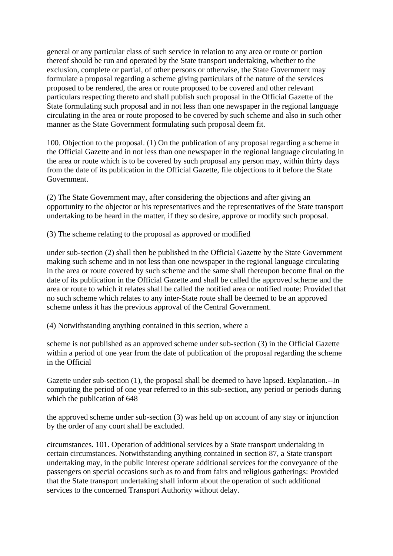general or any particular class of such service in relation to any area or route or portion thereof should be run and operated by the State transport undertaking, whether to the exclusion, complete or partial, of other persons or otherwise, the State Government may formulate a proposal regarding a scheme giving particulars of the nature of the services proposed to be rendered, the area or route proposed to be covered and other relevant particulars respecting thereto and shall publish such proposal in the Official Gazette of the State formulating such proposal and in not less than one newspaper in the regional language circulating in the area or route proposed to be covered by such scheme and also in such other manner as the State Government formulating such proposal deem fit.

100. Objection to the proposal. (1) On the publication of any proposal regarding a scheme in the Official Gazette and in not less than one newspaper in the regional language circulating in the area or route which is to be covered by such proposal any person may, within thirty days from the date of its publication in the Official Gazette, file objections to it before the State Government.

(2) The State Government may, after considering the objections and after giving an opportunity to the objector or his representatives and the representatives of the State transport undertaking to be heard in the matter, if they so desire, approve or modify such proposal.

(3) The scheme relating to the proposal as approved or modified

under sub-section (2) shall then be published in the Official Gazette by the State Government making such scheme and in not less than one newspaper in the regional language circulating in the area or route covered by such scheme and the same shall thereupon become final on the date of its publication in the Official Gazette and shall be called the approved scheme and the area or route to which it relates shall be called the notified area or notified route: Provided that no such scheme which relates to any inter-State route shall be deemed to be an approved scheme unless it has the previous approval of the Central Government.

(4) Notwithstanding anything contained in this section, where a

scheme is not published as an approved scheme under sub-section (3) in the Official Gazette within a period of one year from the date of publication of the proposal regarding the scheme in the Official

Gazette under sub-section (1), the proposal shall be deemed to have lapsed. Explanation.--In computing the period of one year referred to in this sub-section, any period or periods during which the publication of 648

the approved scheme under sub-section (3) was held up on account of any stay or injunction by the order of any court shall be excluded.

circumstances. 101. Operation of additional services by a State transport undertaking in certain circumstances. Notwithstanding anything contained in section 87, a State transport undertaking may, in the public interest operate additional services for the conveyance of the passengers on special occasions such as to and from fairs and religious gatherings: Provided that the State transport undertaking shall inform about the operation of such additional services to the concerned Transport Authority without delay.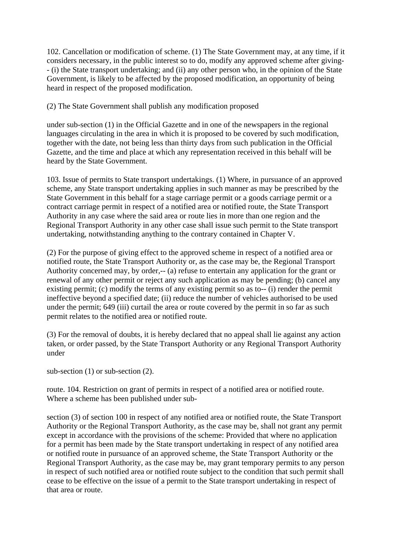102. Cancellation or modification of scheme. (1) The State Government may, at any time, if it considers necessary, in the public interest so to do, modify any approved scheme after giving- - (i) the State transport undertaking; and (ii) any other person who, in the opinion of the State Government, is likely to be affected by the proposed modification, an opportunity of being heard in respect of the proposed modification.

(2) The State Government shall publish any modification proposed

under sub-section (1) in the Official Gazette and in one of the newspapers in the regional languages circulating in the area in which it is proposed to be covered by such modification, together with the date, not being less than thirty days from such publication in the Official Gazette, and the time and place at which any representation received in this behalf will be heard by the State Government.

103. Issue of permits to State transport undertakings. (1) Where, in pursuance of an approved scheme, any State transport undertaking applies in such manner as may be prescribed by the State Government in this behalf for a stage carriage permit or a goods carriage permit or a contract carriage permit in respect of a notified area or notified route, the State Transport Authority in any case where the said area or route lies in more than one region and the Regional Transport Authority in any other case shall issue such permit to the State transport undertaking, notwithstanding anything to the contrary contained in Chapter V.

(2) For the purpose of giving effect to the approved scheme in respect of a notified area or notified route, the State Transport Authority or, as the case may be, the Regional Transport Authority concerned may, by order,-- (a) refuse to entertain any application for the grant or renewal of any other permit or reject any such application as may be pending; (b) cancel any existing permit; (c) modify the terms of any existing permit so as to-- (i) render the permit ineffective beyond a specified date; (ii) reduce the number of vehicles authorised to be used under the permit; 649 (iii) curtail the area or route covered by the permit in so far as such permit relates to the notified area or notified route.

(3) For the removal of doubts, it is hereby declared that no appeal shall lie against any action taken, or order passed, by the State Transport Authority or any Regional Transport Authority under

sub-section (1) or sub-section (2).

route. 104. Restriction on grant of permits in respect of a notified area or notified route. Where a scheme has been published under sub-

section (3) of section 100 in respect of any notified area or notified route, the State Transport Authority or the Regional Transport Authority, as the case may be, shall not grant any permit except in accordance with the provisions of the scheme: Provided that where no application for a permit has been made by the State transport undertaking in respect of any notified area or notified route in pursuance of an approved scheme, the State Transport Authority or the Regional Transport Authority, as the case may be, may grant temporary permits to any person in respect of such notified area or notified route subject to the condition that such permit shall cease to be effective on the issue of a permit to the State transport undertaking in respect of that area or route.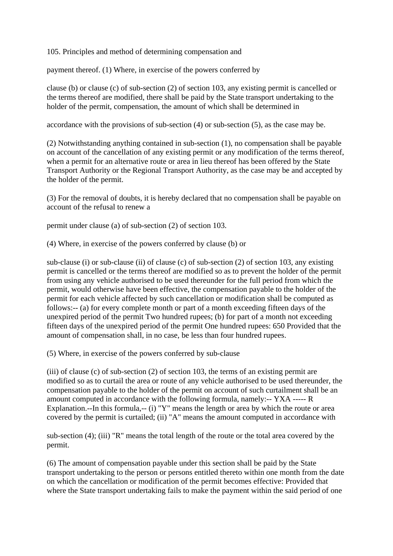105. Principles and method of determining compensation and

payment thereof. (1) Where, in exercise of the powers conferred by

clause (b) or clause (c) of sub-section (2) of section 103, any existing permit is cancelled or the terms thereof are modified, there shall be paid by the State transport undertaking to the holder of the permit, compensation, the amount of which shall be determined in

accordance with the provisions of sub-section (4) or sub-section (5), as the case may be.

(2) Notwithstanding anything contained in sub-section (1), no compensation shall be payable on account of the cancellation of any existing permit or any modification of the terms thereof, when a permit for an alternative route or area in lieu thereof has been offered by the State Transport Authority or the Regional Transport Authority, as the case may be and accepted by the holder of the permit.

(3) For the removal of doubts, it is hereby declared that no compensation shall be payable on account of the refusal to renew a

permit under clause (a) of sub-section (2) of section 103.

(4) Where, in exercise of the powers conferred by clause (b) or

sub-clause (i) or sub-clause (ii) of clause (c) of sub-section (2) of section 103, any existing permit is cancelled or the terms thereof are modified so as to prevent the holder of the permit from using any vehicle authorised to be used thereunder for the full period from which the permit, would otherwise have been effective, the compensation payable to the holder of the permit for each vehicle affected by such cancellation or modification shall be computed as follows:-- (a) for every complete month or part of a month exceeding fifteen days of the unexpired period of the permit Two hundred rupees; (b) for part of a month not exceeding fifteen days of the unexpired period of the permit One hundred rupees: 650 Provided that the amount of compensation shall, in no case, be less than four hundred rupees.

(5) Where, in exercise of the powers conferred by sub-clause

(iii) of clause (c) of sub-section (2) of section 103, the terms of an existing permit are modified so as to curtail the area or route of any vehicle authorised to be used thereunder, the compensation payable to the holder of the permit on account of such curtailment shall be an amount computed in accordance with the following formula, namely:-- YXA ----- R Explanation.--In this formula,-- (i) "Y" means the length or area by which the route or area covered by the permit is curtailed; (ii) "A" means the amount computed in accordance with

sub-section (4); (iii) "R" means the total length of the route or the total area covered by the permit.

(6) The amount of compensation payable under this section shall be paid by the State transport undertaking to the person or persons entitled thereto within one month from the date on which the cancellation or modification of the permit becomes effective: Provided that where the State transport undertaking fails to make the payment within the said period of one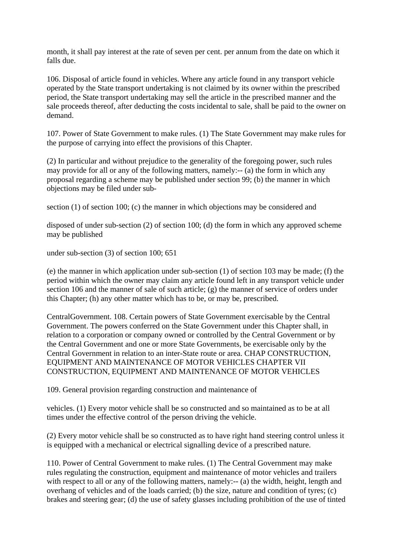month, it shall pay interest at the rate of seven per cent. per annum from the date on which it falls due.

106. Disposal of article found in vehicles. Where any article found in any transport vehicle operated by the State transport undertaking is not claimed by its owner within the prescribed period, the State transport undertaking may sell the article in the prescribed manner and the sale proceeds thereof, after deducting the costs incidental to sale, shall be paid to the owner on demand.

107. Power of State Government to make rules. (1) The State Government may make rules for the purpose of carrying into effect the provisions of this Chapter.

(2) In particular and without prejudice to the generality of the foregoing power, such rules may provide for all or any of the following matters, namely:-- (a) the form in which any proposal regarding a scheme may be published under section 99; (b) the manner in which objections may be filed under sub-

section (1) of section 100; (c) the manner in which objections may be considered and

disposed of under sub-section (2) of section 100; (d) the form in which any approved scheme may be published

under sub-section (3) of section 100; 651

(e) the manner in which application under sub-section (1) of section 103 may be made; (f) the period within which the owner may claim any article found left in any transport vehicle under section 106 and the manner of sale of such article; (g) the manner of service of orders under this Chapter; (h) any other matter which has to be, or may be, prescribed.

CentralGovernment. 108. Certain powers of State Government exercisable by the Central Government. The powers conferred on the State Government under this Chapter shall, in relation to a corporation or company owned or controlled by the Central Government or by the Central Government and one or more State Governments, be exercisable only by the Central Government in relation to an inter-State route or area. CHAP CONSTRUCTION, EQUIPMENT AND MAINTENANCE OF MOTOR VEHICLES CHAPTER VII CONSTRUCTION, EQUIPMENT AND MAINTENANCE OF MOTOR VEHICLES

109. General provision regarding construction and maintenance of

vehicles. (1) Every motor vehicle shall be so constructed and so maintained as to be at all times under the effective control of the person driving the vehicle.

(2) Every motor vehicle shall be so constructed as to have right hand steering control unless it is equipped with a mechanical or electrical signalling device of a prescribed nature.

110. Power of Central Government to make rules. (1) The Central Government may make rules regulating the construction, equipment and maintenance of motor vehicles and trailers with respect to all or any of the following matters, namely:-- (a) the width, height, length and overhang of vehicles and of the loads carried; (b) the size, nature and condition of tyres; (c) brakes and steering gear; (d) the use of safety glasses including prohibition of the use of tinted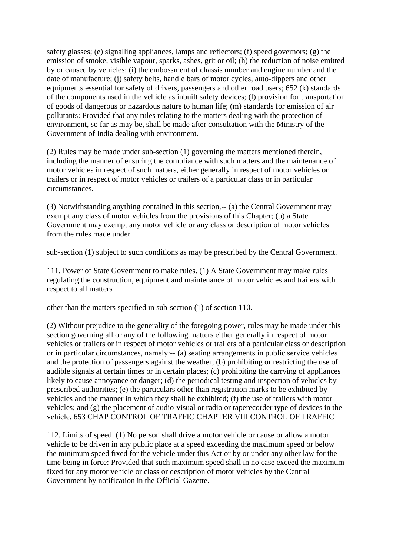safety glasses; (e) signalling appliances, lamps and reflectors; (f) speed governors; (g) the emission of smoke, visible vapour, sparks, ashes, grit or oil; (h) the reduction of noise emitted by or caused by vehicles; (i) the embossment of chassis number and engine number and the date of manufacture; (j) safety belts, handle bars of motor cycles, auto-dippers and other equipments essential for safety of drivers, passengers and other road users; 652 (k) standards of the components used in the vehicle as inbuilt safety devices; (l) provision for transportation of goods of dangerous or hazardous nature to human life; (m) standards for emission of air pollutants: Provided that any rules relating to the matters dealing with the protection of environment, so far as may be, shall be made after consultation with the Ministry of the Government of India dealing with environment.

(2) Rules may be made under sub-section (1) governing the matters mentioned therein, including the manner of ensuring the compliance with such matters and the maintenance of motor vehicles in respect of such matters, either generally in respect of motor vehicles or trailers or in respect of motor vehicles or trailers of a particular class or in particular circumstances.

(3) Notwithstanding anything contained in this section,-- (a) the Central Government may exempt any class of motor vehicles from the provisions of this Chapter; (b) a State Government may exempt any motor vehicle or any class or description of motor vehicles from the rules made under

sub-section (1) subject to such conditions as may be prescribed by the Central Government.

111. Power of State Government to make rules. (1) A State Government may make rules regulating the construction, equipment and maintenance of motor vehicles and trailers with respect to all matters

other than the matters specified in sub-section (1) of section 110.

(2) Without prejudice to the generality of the foregoing power, rules may be made under this section governing all or any of the following matters either generally in respect of motor vehicles or trailers or in respect of motor vehicles or trailers of a particular class or description or in particular circumstances, namely:-- (a) seating arrangements in public service vehicles and the protection of passengers against the weather; (b) prohibiting or restricting the use of audible signals at certain times or in certain places; (c) prohibiting the carrying of appliances likely to cause annoyance or danger; (d) the periodical testing and inspection of vehicles by prescribed authorities; (e) the particulars other than registration marks to be exhibited by vehicles and the manner in which they shall be exhibited; (f) the use of trailers with motor vehicles; and (g) the placement of audio-visual or radio or taperecorder type of devices in the vehicle. 653 CHAP CONTROL OF TRAFFIC CHAPTER VIII CONTROL OF TRAFFIC

112. Limits of speed. (1) No person shall drive a motor vehicle or cause or allow a motor vehicle to be driven in any public place at a speed exceeding the maximum speed or below the minimum speed fixed for the vehicle under this Act or by or under any other law for the time being in force: Provided that such maximum speed shall in no case exceed the maximum fixed for any motor vehicle or class or description of motor vehicles by the Central Government by notification in the Official Gazette.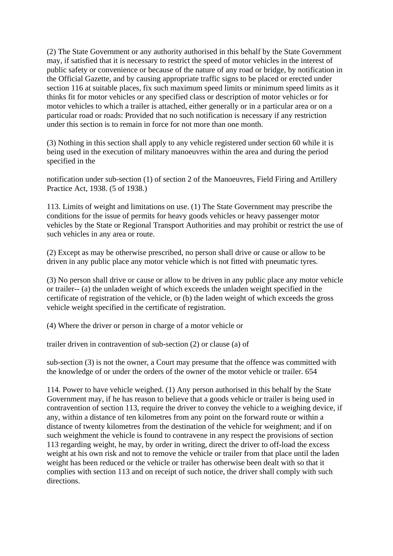(2) The State Government or any authority authorised in this behalf by the State Government may, if satisfied that it is necessary to restrict the speed of motor vehicles in the interest of public safety or convenience or because of the nature of any road or bridge, by notification in the Official Gazette, and by causing appropriate traffic signs to be placed or erected under section 116 at suitable places, fix such maximum speed limits or minimum speed limits as it thinks fit for motor vehicles or any specified class or description of motor vehicles or for motor vehicles to which a trailer is attached, either generally or in a particular area or on a particular road or roads: Provided that no such notification is necessary if any restriction under this section is to remain in force for not more than one month.

(3) Nothing in this section shall apply to any vehicle registered under section 60 while it is being used in the execution of military manoeuvres within the area and during the period specified in the

notification under sub-section (1) of section 2 of the Manoeuvres, Field Firing and Artillery Practice Act, 1938. (5 of 1938.)

113. Limits of weight and limitations on use. (1) The State Government may prescribe the conditions for the issue of permits for heavy goods vehicles or heavy passenger motor vehicles by the State or Regional Transport Authorities and may prohibit or restrict the use of such vehicles in any area or route.

(2) Except as may be otherwise prescribed, no person shall drive or cause or allow to be driven in any public place any motor vehicle which is not fitted with pneumatic tyres.

(3) No person shall drive or cause or allow to be driven in any public place any motor vehicle or trailer-- (a) the unladen weight of which exceeds the unladen weight specified in the certificate of registration of the vehicle, or (b) the laden weight of which exceeds the gross vehicle weight specified in the certificate of registration.

(4) Where the driver or person in charge of a motor vehicle or

trailer driven in contravention of sub-section (2) or clause (a) of

sub-section (3) is not the owner, a Court may presume that the offence was committed with the knowledge of or under the orders of the owner of the motor vehicle or trailer. 654

114. Power to have vehicle weighed. (1) Any person authorised in this behalf by the State Government may, if he has reason to believe that a goods vehicle or trailer is being used in contravention of section 113, require the driver to convey the vehicle to a weighing device, if any, within a distance of ten kilometres from any point on the forward route or within a distance of twenty kilometres from the destination of the vehicle for weighment; and if on such weighment the vehicle is found to contravene in any respect the provisions of section 113 regarding weight, he may, by order in writing, direct the driver to off-load the excess weight at his own risk and not to remove the vehicle or trailer from that place until the laden weight has been reduced or the vehicle or trailer has otherwise been dealt with so that it complies with section 113 and on receipt of such notice, the driver shall comply with such directions.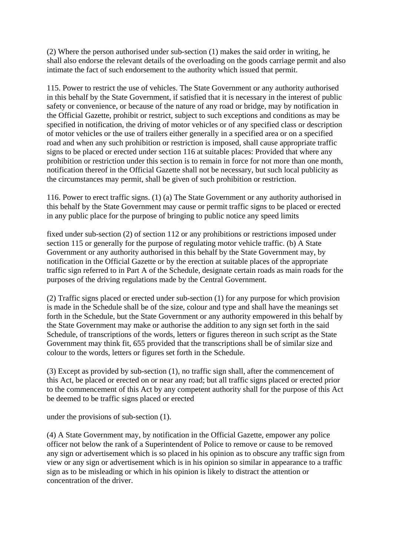(2) Where the person authorised under sub-section (1) makes the said order in writing, he shall also endorse the relevant details of the overloading on the goods carriage permit and also intimate the fact of such endorsement to the authority which issued that permit.

115. Power to restrict the use of vehicles. The State Government or any authority authorised in this behalf by the State Government, if satisfied that it is necessary in the interest of public safety or convenience, or because of the nature of any road or bridge, may by notification in the Official Gazette, prohibit or restrict, subject to such exceptions and conditions as may be specified in notification, the driving of motor vehicles or of any specified class or description of motor vehicles or the use of trailers either generally in a specified area or on a specified road and when any such prohibition or restriction is imposed, shall cause appropriate traffic signs to be placed or erected under section 116 at suitable places: Provided that where any prohibition or restriction under this section is to remain in force for not more than one month, notification thereof in the Official Gazette shall not be necessary, but such local publicity as the circumstances may permit, shall be given of such prohibition or restriction.

116. Power to erect traffic signs. (1) (a) The State Government or any authority authorised in this behalf by the State Government may cause or permit traffic signs to be placed or erected in any public place for the purpose of bringing to public notice any speed limits

fixed under sub-section (2) of section 112 or any prohibitions or restrictions imposed under section 115 or generally for the purpose of regulating motor vehicle traffic. (b) A State Government or any authority authorised in this behalf by the State Government may, by notification in the Official Gazette or by the erection at suitable places of the appropriate traffic sign referred to in Part A of the Schedule, designate certain roads as main roads for the purposes of the driving regulations made by the Central Government.

(2) Traffic signs placed or erected under sub-section (1) for any purpose for which provision is made in the Schedule shall be of the size, colour and type and shall have the meanings set forth in the Schedule, but the State Government or any authority empowered in this behalf by the State Government may make or authorise the addition to any sign set forth in the said Schedule, of transcriptions of the words, letters or figures thereon in such script as the State Government may think fit, 655 provided that the transcriptions shall be of similar size and colour to the words, letters or figures set forth in the Schedule.

(3) Except as provided by sub-section (1), no traffic sign shall, after the commencement of this Act, be placed or erected on or near any road; but all traffic signs placed or erected prior to the commencement of this Act by any competent authority shall for the purpose of this Act be deemed to be traffic signs placed or erected

under the provisions of sub-section (1).

(4) A State Government may, by notification in the Official Gazette, empower any police officer not below the rank of a Superintendent of Police to remove or cause to be removed any sign or advertisement which is so placed in his opinion as to obscure any traffic sign from view or any sign or advertisement which is in his opinion so similar in appearance to a traffic sign as to be misleading or which in his opinion is likely to distract the attention or concentration of the driver.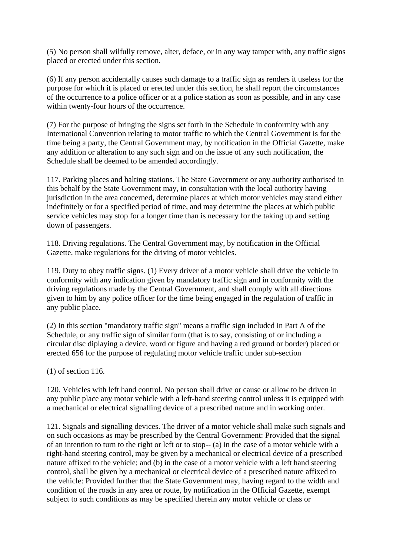(5) No person shall wilfully remove, alter, deface, or in any way tamper with, any traffic signs placed or erected under this section.

(6) If any person accidentally causes such damage to a traffic sign as renders it useless for the purpose for which it is placed or erected under this section, he shall report the circumstances of the occurrence to a police officer or at a police station as soon as possible, and in any case within twenty-four hours of the occurrence.

(7) For the purpose of bringing the signs set forth in the Schedule in conformity with any International Convention relating to motor traffic to which the Central Government is for the time being a party, the Central Government may, by notification in the Official Gazette, make any addition or alteration to any such sign and on the issue of any such notification, the Schedule shall be deemed to be amended accordingly.

117. Parking places and halting stations. The State Government or any authority authorised in this behalf by the State Government may, in consultation with the local authority having jurisdiction in the area concerned, determine places at which motor vehicles may stand either indefinitely or for a specified period of time, and may determine the places at which public service vehicles may stop for a longer time than is necessary for the taking up and setting down of passengers.

118. Driving regulations. The Central Government may, by notification in the Official Gazette, make regulations for the driving of motor vehicles.

119. Duty to obey traffic signs. (1) Every driver of a motor vehicle shall drive the vehicle in conformity with any indication given by mandatory traffic sign and in conformity with the driving regulations made by the Central Government, and shall comply with all directions given to him by any police officer for the time being engaged in the regulation of traffic in any public place.

(2) In this section "mandatory traffic sign" means a traffic sign included in Part A of the Schedule, or any traffic sign of similar form (that is to say, consisting of or including a circular disc diplaying a device, word or figure and having a red ground or border) placed or erected 656 for the purpose of regulating motor vehicle traffic under sub-section

(1) of section 116.

120. Vehicles with left hand control. No person shall drive or cause or allow to be driven in any public place any motor vehicle with a left-hand steering control unless it is equipped with a mechanical or electrical signalling device of a prescribed nature and in working order.

121. Signals and signalling devices. The driver of a motor vehicle shall make such signals and on such occasions as may be prescribed by the Central Government: Provided that the signal of an intention to turn to the right or left or to stop-- (a) in the case of a motor vehicle with a right-hand steering control, may be given by a mechanical or electrical device of a prescribed nature affixed to the vehicle; and (b) in the case of a motor vehicle with a left hand steering control, shall be given by a mechanical or electrical device of a prescribed nature affixed to the vehicle: Provided further that the State Government may, having regard to the width and condition of the roads in any area or route, by notification in the Official Gazette, exempt subject to such conditions as may be specified therein any motor vehicle or class or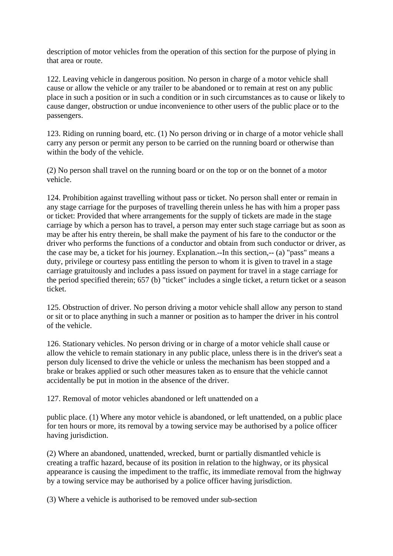description of motor vehicles from the operation of this section for the purpose of plying in that area or route.

122. Leaving vehicle in dangerous position. No person in charge of a motor vehicle shall cause or allow the vehicle or any trailer to be abandoned or to remain at rest on any public place in such a position or in such a condition or in such circumstances as to cause or likely to cause danger, obstruction or undue inconvenience to other users of the public place or to the passengers.

123. Riding on running board, etc. (1) No person driving or in charge of a motor vehicle shall carry any person or permit any person to be carried on the running board or otherwise than within the body of the vehicle.

(2) No person shall travel on the running board or on the top or on the bonnet of a motor vehicle.

124. Prohibition against travelling without pass or ticket. No person shall enter or remain in any stage carriage for the purposes of travelling therein unless he has with him a proper pass or ticket: Provided that where arrangements for the supply of tickets are made in the stage carriage by which a person has to travel, a person may enter such stage carriage but as soon as may be after his entry therein, be shall make the payment of his fare to the conductor or the driver who performs the functions of a conductor and obtain from such conductor or driver, as the case may be, a ticket for his journey. Explanation.--In this section,-- (a) "pass" means a duty, privilege or courtesy pass entitling the person to whom it is given to travel in a stage carriage gratuitously and includes a pass issued on payment for travel in a stage carriage for the period specified therein; 657 (b) "ticket" includes a single ticket, a return ticket or a season ticket.

125. Obstruction of driver. No person driving a motor vehicle shall allow any person to stand or sit or to place anything in such a manner or position as to hamper the driver in his control of the vehicle.

126. Stationary vehicles. No person driving or in charge of a motor vehicle shall cause or allow the vehicle to remain stationary in any public place, unless there is in the driver's seat a person duly licensed to drive the vehicle or unless the mechanism has been stopped and a brake or brakes applied or such other measures taken as to ensure that the vehicle cannot accidentally be put in motion in the absence of the driver.

127. Removal of motor vehicles abandoned or left unattended on a

public place. (1) Where any motor vehicle is abandoned, or left unattended, on a public place for ten hours or more, its removal by a towing service may be authorised by a police officer having jurisdiction.

(2) Where an abandoned, unattended, wrecked, burnt or partially dismantled vehicle is creating a traffic hazard, because of its position in relation to the highway, or its physical appearance is causing the impediment to the traffic, its immediate removal from the highway by a towing service may be authorised by a police officer having jurisdiction.

(3) Where a vehicle is authorised to be removed under sub-section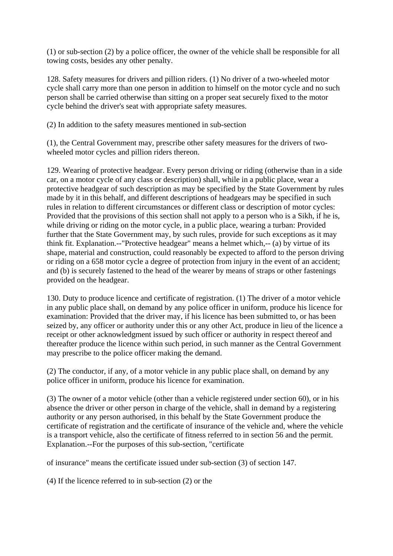(1) or sub-section (2) by a police officer, the owner of the vehicle shall be responsible for all towing costs, besides any other penalty.

128. Safety measures for drivers and pillion riders. (1) No driver of a two-wheeled motor cycle shall carry more than one person in addition to himself on the motor cycle and no such person shall be carried otherwise than sitting on a proper seat securely fixed to the motor cycle behind the driver's seat with appropriate safety measures.

(2) In addition to the safety measures mentioned in sub-section

(1), the Central Government may, prescribe other safety measures for the drivers of twowheeled motor cycles and pillion riders thereon.

129. Wearing of protective headgear. Every person driving or riding (otherwise than in a side car, on a motor cycle of any class or description) shall, while in a public place, wear a protective headgear of such description as may be specified by the State Government by rules made by it in this behalf, and different descriptions of headgears may be specified in such rules in relation to different circumstances or different class or description of motor cycles: Provided that the provisions of this section shall not apply to a person who is a Sikh, if he is, while driving or riding on the motor cycle, in a public place, wearing a turban: Provided further that the State Government may, by such rules, provide for such exceptions as it may think fit. Explanation.--"Protective headgear" means a helmet which,-- (a) by virtue of its shape, material and construction, could reasonably be expected to afford to the person driving or riding on a 658 motor cycle a degree of protection from injury in the event of an accident; and (b) is securely fastened to the head of the wearer by means of straps or other fastenings provided on the headgear.

130. Duty to produce licence and certificate of registration. (1) The driver of a motor vehicle in any public place shall, on demand by any police officer in uniform, produce his licence for examination: Provided that the driver may, if his licence has been submitted to, or has been seized by, any officer or authority under this or any other Act, produce in lieu of the licence a receipt or other acknowledgment issued by such officer or authority in respect thereof and thereafter produce the licence within such period, in such manner as the Central Government may prescribe to the police officer making the demand.

(2) The conductor, if any, of a motor vehicle in any public place shall, on demand by any police officer in uniform, produce his licence for examination.

(3) The owner of a motor vehicle (other than a vehicle registered under section 60), or in his absence the driver or other person in charge of the vehicle, shall in demand by a registering authority or any person authorised, in this behalf by the State Government produce the certificate of registration and the certificate of insurance of the vehicle and, where the vehicle is a transport vehicle, also the certificate of fitness referred to in section 56 and the permit. Explanation.--For the purposes of this sub-section, "certificate

of insurance" means the certificate issued under sub-section (3) of section 147.

(4) If the licence referred to in sub-section (2) or the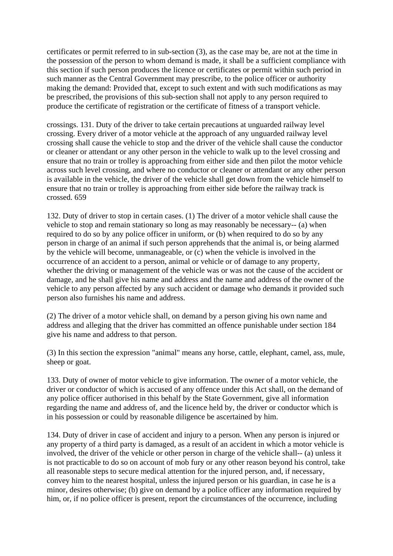certificates or permit referred to in sub-section (3), as the case may be, are not at the time in the possession of the person to whom demand is made, it shall be a sufficient compliance with this section if such person produces the licence or certificates or permit within such period in such manner as the Central Government may prescribe, to the police officer or authority making the demand: Provided that, except to such extent and with such modifications as may be prescribed, the provisions of this sub-section shall not apply to any person required to produce the certificate of registration or the certificate of fitness of a transport vehicle.

crossings. 131. Duty of the driver to take certain precautions at unguarded railway level crossing. Every driver of a motor vehicle at the approach of any unguarded railway level crossing shall cause the vehicle to stop and the driver of the vehicle shall cause the conductor or cleaner or attendant or any other person in the vehicle to walk up to the level crossing and ensure that no train or trolley is approaching from either side and then pilot the motor vehicle across such level crossing, and where no conductor or cleaner or attendant or any other person is available in the vehicle, the driver of the vehicle shall get down from the vehicle himself to ensure that no train or trolley is approaching from either side before the railway track is crossed. 659

132. Duty of driver to stop in certain cases. (1) The driver of a motor vehicle shall cause the vehicle to stop and remain stationary so long as may reasonably be necessary-- (a) when required to do so by any police officer in uniform, or (b) when required to do so by any person in charge of an animal if such person apprehends that the animal is, or being alarmed by the vehicle will become, unmanageable, or (c) when the vehicle is involved in the occurrence of an accident to a person, animal or vehicle or of damage to any property, whether the driving or management of the vehicle was or was not the cause of the accident or damage, and he shall give his name and address and the name and address of the owner of the vehicle to any person affected by any such accident or damage who demands it provided such person also furnishes his name and address.

(2) The driver of a motor vehicle shall, on demand by a person giving his own name and address and alleging that the driver has committed an offence punishable under section 184 give his name and address to that person.

(3) In this section the expression "animal" means any horse, cattle, elephant, camel, ass, mule, sheep or goat.

133. Duty of owner of motor vehicle to give information. The owner of a motor vehicle, the driver or conductor of which is accused of any offence under this Act shall, on the demand of any police officer authorised in this behalf by the State Government, give all information regarding the name and address of, and the licence held by, the driver or conductor which is in his possession or could by reasonable diligence be ascertained by him.

134. Duty of driver in case of accident and injury to a person. When any person is injured or any property of a third party is damaged, as a result of an accident in which a motor vehicle is involved, the driver of the vehicle or other person in charge of the vehicle shall-- (a) unless it is not practicable to do so on account of mob fury or any other reason beyond his control, take all reasonable steps to secure medical attention for the injured person, and, if necessary, convey him to the nearest hospital, unless the injured person or his guardian, in case he is a minor, desires otherwise; (b) give on demand by a police officer any information required by him, or, if no police officer is present, report the circumstances of the occurrence, including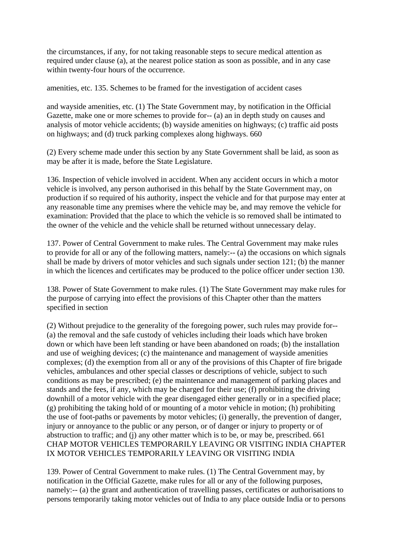the circumstances, if any, for not taking reasonable steps to secure medical attention as required under clause (a), at the nearest police station as soon as possible, and in any case within twenty-four hours of the occurrence.

amenities, etc. 135. Schemes to be framed for the investigation of accident cases

and wayside amenities, etc. (1) The State Government may, by notification in the Official Gazette, make one or more schemes to provide for-- (a) an in depth study on causes and analysis of motor vehicle accidents; (b) wayside amenities on highways; (c) traffic aid posts on highways; and (d) truck parking complexes along highways. 660

(2) Every scheme made under this section by any State Government shall be laid, as soon as may be after it is made, before the State Legislature.

136. Inspection of vehicle involved in accident. When any accident occurs in which a motor vehicle is involved, any person authorised in this behalf by the State Government may, on production if so required of his authority, inspect the vehicle and for that purpose may enter at any reasonable time any premises where the vehicle may be, and may remove the vehicle for examination: Provided that the place to which the vehicle is so removed shall be intimated to the owner of the vehicle and the vehicle shall be returned without unnecessary delay.

137. Power of Central Government to make rules. The Central Government may make rules to provide for all or any of the following matters, namely:-- (a) the occasions on which signals shall be made by drivers of motor vehicles and such signals under section 121; (b) the manner in which the licences and certificates may be produced to the police officer under section 130.

138. Power of State Government to make rules. (1) The State Government may make rules for the purpose of carrying into effect the provisions of this Chapter other than the matters specified in section

(2) Without prejudice to the generality of the foregoing power, such rules may provide for-- (a) the removal and the safe custody of vehicles including their loads which have broken down or which have been left standing or have been abandoned on roads; (b) the installation and use of weighing devices; (c) the maintenance and management of wayside amenities complexes; (d) the exemption from all or any of the provisions of this Chapter of fire brigade vehicles, ambulances and other special classes or descriptions of vehicle, subject to such conditions as may be prescribed; (e) the maintenance and management of parking places and stands and the fees, if any, which may be charged for their use; (f) prohibiting the driving downhill of a motor vehicle with the gear disengaged either generally or in a specified place; (g) prohibiting the taking hold of or mounting of a motor vehicle in motion; (h) prohibiting the use of foot-paths or pavements by motor vehicles; (i) generally, the prevention of danger, injury or annoyance to the public or any person, or of danger or injury to property or of abstruction to traffic; and (j) any other matter which is to be, or may be, prescribed. 661 CHAP MOTOR VEHICLES TEMPORARILY LEAVING OR VISITING INDIA CHAPTER IX MOTOR VEHICLES TEMPORARILY LEAVING OR VISITING INDIA

139. Power of Central Government to make rules. (1) The Central Government may, by notification in the Official Gazette, make rules for all or any of the following purposes, namely:-- (a) the grant and authentication of travelling passes, certificates or authorisations to persons temporarily taking motor vehicles out of India to any place outside India or to persons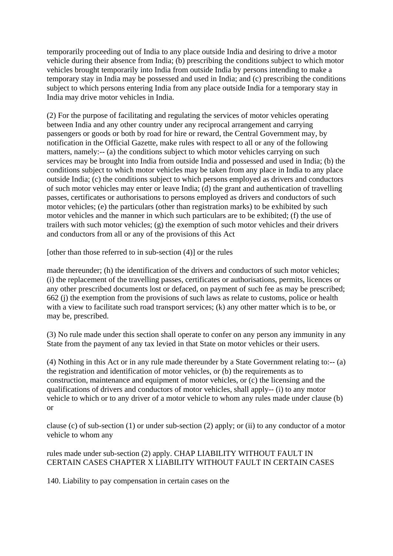temporarily proceeding out of India to any place outside India and desiring to drive a motor vehicle during their absence from India; (b) prescribing the conditions subject to which motor vehicles brought temporarily into India from outside India by persons intending to make a temporary stay in India may be possessed and used in India; and (c) prescribing the conditions subject to which persons entering India from any place outside India for a temporary stay in India may drive motor vehicles in India.

(2) For the purpose of facilitating and regulating the services of motor vehicles operating between India and any other country under any reciprocal arrangement and carrying passengers or goods or both by road for hire or reward, the Central Government may, by notification in the Official Gazette, make rules with respect to all or any of the following matters, namely:-- (a) the conditions subject to which motor vehicles carrying on such services may be brought into India from outside India and possessed and used in India; (b) the conditions subject to which motor vehicles may be taken from any place in India to any place outside India; (c) the conditions subject to which persons employed as drivers and conductors of such motor vehicles may enter or leave India; (d) the grant and authentication of travelling passes, certificates or authorisations to persons employed as drivers and conductors of such motor vehicles; (e) the particulars (other than registration marks) to be exhibited by such motor vehicles and the manner in which such particulars are to be exhibited; (f) the use of trailers with such motor vehicles; (g) the exemption of such motor vehicles and their drivers and conductors from all or any of the provisions of this Act

[other than those referred to in sub-section (4)] or the rules

made thereunder; (h) the identification of the drivers and conductors of such motor vehicles; (i) the replacement of the travelling passes, certificates or authorisations, permits, licences or any other prescribed documents lost or defaced, on payment of such fee as may be prescribed; 662 (j) the exemption from the provisions of such laws as relate to customs, police or health with a view to facilitate such road transport services; (k) any other matter which is to be, or may be, prescribed.

(3) No rule made under this section shall operate to confer on any person any immunity in any State from the payment of any tax levied in that State on motor vehicles or their users.

(4) Nothing in this Act or in any rule made thereunder by a State Government relating to:-- (a) the registration and identification of motor vehicles, or (b) the requirements as to construction, maintenance and equipment of motor vehicles, or (c) the licensing and the qualifications of drivers and conductors of motor vehicles, shall apply-- (i) to any motor vehicle to which or to any driver of a motor vehicle to whom any rules made under clause (b) or

clause (c) of sub-section (1) or under sub-section (2) apply; or (ii) to any conductor of a motor vehicle to whom any

rules made under sub-section (2) apply. CHAP LIABILITY WITHOUT FAULT IN CERTAIN CASES CHAPTER X LIABILITY WITHOUT FAULT IN CERTAIN CASES

140. Liability to pay compensation in certain cases on the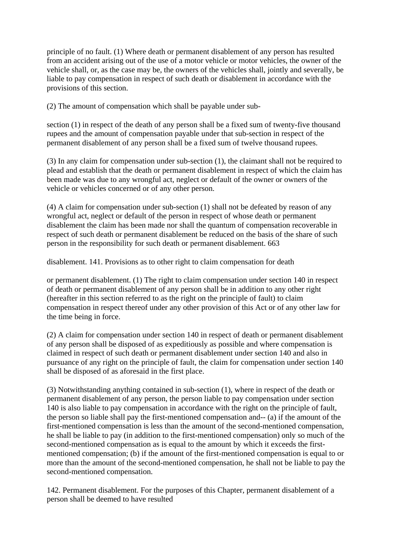principle of no fault. (1) Where death or permanent disablement of any person has resulted from an accident arising out of the use of a motor vehicle or motor vehicles, the owner of the vehicle shall, or, as the case may be, the owners of the vehicles shall, jointly and severally, be liable to pay compensation in respect of such death or disablement in accordance with the provisions of this section.

(2) The amount of compensation which shall be payable under sub-

section (1) in respect of the death of any person shall be a fixed sum of twenty-five thousand rupees and the amount of compensation payable under that sub-section in respect of the permanent disablement of any person shall be a fixed sum of twelve thousand rupees.

(3) In any claim for compensation under sub-section (1), the claimant shall not be required to plead and establish that the death or permanent disablement in respect of which the claim has been made was due to any wrongful act, neglect or default of the owner or owners of the vehicle or vehicles concerned or of any other person.

(4) A claim for compensation under sub-section (1) shall not be defeated by reason of any wrongful act, neglect or default of the person in respect of whose death or permanent disablement the claim has been made nor shall the quantum of compensation recoverable in respect of such death or permanent disablement be reduced on the basis of the share of such person in the responsibility for such death or permanent disablement. 663

disablement. 141. Provisions as to other right to claim compensation for death

or permanent disablement. (1) The right to claim compensation under section 140 in respect of death or permanent disablement of any person shall be in addition to any other right (hereafter in this section referred to as the right on the principle of fault) to claim compensation in respect thereof under any other provision of this Act or of any other law for the time being in force.

(2) A claim for compensation under section 140 in respect of death or permanent disablement of any person shall be disposed of as expeditiously as possible and where compensation is claimed in respect of such death or permanent disablement under section 140 and also in pursuance of any right on the principle of fault, the claim for compensation under section 140 shall be disposed of as aforesaid in the first place.

(3) Notwithstanding anything contained in sub-section (1), where in respect of the death or permanent disablement of any person, the person liable to pay compensation under section 140 is also liable to pay compensation in accordance with the right on the principle of fault, the person so liable shall pay the first-mentioned compensation and-- (a) if the amount of the first-mentioned compensation is less than the amount of the second-mentioned compensation, he shall be liable to pay (in addition to the first-mentioned compensation) only so much of the second-mentioned compensation as is equal to the amount by which it exceeds the firstmentioned compensation; (b) if the amount of the first-mentioned compensation is equal to or more than the amount of the second-mentioned compensation, he shall not be liable to pay the second-mentioned compensation.

142. Permanent disablement. For the purposes of this Chapter, permanent disablement of a person shall be deemed to have resulted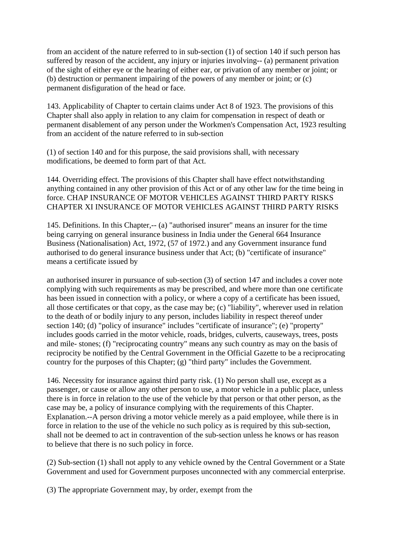from an accident of the nature referred to in sub-section (1) of section 140 if such person has suffered by reason of the accident, any injury or injuries involving-- (a) permanent privation of the sight of either eye or the hearing of either ear, or privation of any member or joint; or (b) destruction or permanent impairing of the powers of any member or joint; or (c) permanent disfiguration of the head or face.

143. Applicability of Chapter to certain claims under Act 8 of 1923. The provisions of this Chapter shall also apply in relation to any claim for compensation in respect of death or permanent disablement of any person under the Workmen's Compensation Act, 1923 resulting from an accident of the nature referred to in sub-section

(1) of section 140 and for this purpose, the said provisions shall, with necessary modifications, be deemed to form part of that Act.

144. Overriding effect. The provisions of this Chapter shall have effect notwithstanding anything contained in any other provision of this Act or of any other law for the time being in force. CHAP INSURANCE OF MOTOR VEHICLES AGAINST THIRD PARTY RISKS CHAPTER XI INSURANCE OF MOTOR VEHICLES AGAINST THIRD PARTY RISKS

145. Definitions. In this Chapter,-- (a) "authorised insurer" means an insurer for the time being carrying on general insurance business in India under the General 664 Insurance Business (Nationalisation) Act, 1972, (57 of 1972.) and any Government insurance fund authorised to do general insurance business under that Act; (b) "certificate of insurance" means a certificate issued by

an authorised insurer in pursuance of sub-section (3) of section 147 and includes a cover note complying with such requirements as may be prescribed, and where more than one certificate has been issued in connection with a policy, or where a copy of a certificate has been issued, all those certificates or that copy, as the case may be; (c) "liability", wherever used in relation to the death of or bodily injury to any person, includes liability in respect thereof under section 140; (d) "policy of insurance" includes "certificate of insurance"; (e) "property" includes goods carried in the motor vehicle, roads, bridges, culverts, causeways, trees, posts and mile- stones; (f) "reciprocating country" means any such country as may on the basis of reciprocity be notified by the Central Government in the Official Gazette to be a reciprocating country for the purposes of this Chapter; (g) "third party" includes the Government.

146. Necessity for insurance against third party risk. (1) No person shall use, except as a passenger, or cause or allow any other person to use, a motor vehicle in a public place, unless there is in force in relation to the use of the vehicle by that person or that other person, as the case may be, a policy of insurance complying with the requirements of this Chapter. Explanation.--A person driving a motor vehicle merely as a paid employee, while there is in force in relation to the use of the vehicle no such policy as is required by this sub-section, shall not be deemed to act in contravention of the sub-section unless he knows or has reason to believe that there is no such policy in force.

(2) Sub-section (1) shall not apply to any vehicle owned by the Central Government or a State Government and used for Government purposes unconnected with any commercial enterprise.

(3) The appropriate Government may, by order, exempt from the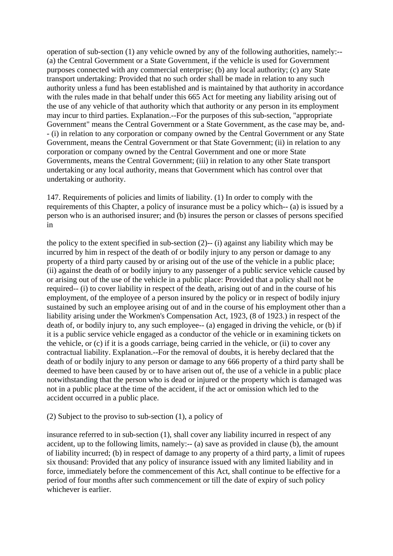operation of sub-section (1) any vehicle owned by any of the following authorities, namely:-- (a) the Central Government or a State Government, if the vehicle is used for Government purposes connected with any commercial enterprise; (b) any local authority; (c) any State transport undertaking: Provided that no such order shall be made in relation to any such authority unless a fund has been established and is maintained by that authority in accordance with the rules made in that behalf under this 665 Act for meeting any liability arising out of the use of any vehicle of that authority which that authority or any person in its employment may incur to third parties. Explanation.--For the purposes of this sub-section, "appropriate Government" means the Central Government or a State Government, as the case may be, and- - (i) in relation to any corporation or company owned by the Central Government or any State Government, means the Central Government or that State Government; (ii) in relation to any corporation or company owned by the Central Government and one or more State Governments, means the Central Government; (iii) in relation to any other State transport undertaking or any local authority, means that Government which has control over that undertaking or authority.

147. Requirements of policies and limits of liability. (1) In order to comply with the requirements of this Chapter, a policy of insurance must be a policy which-- (a) is issued by a person who is an authorised insurer; and (b) insures the person or classes of persons specified in

the policy to the extent specified in sub-section (2)-- (i) against any liability which may be incurred by him in respect of the death of or bodily injury to any person or damage to any property of a third party caused by or arising out of the use of the vehicle in a public place; (ii) against the death of or bodily injury to any passenger of a public service vehicle caused by or arising out of the use of the vehicle in a public place: Provided that a policy shall not be required-- (i) to cover liability in respect of the death, arising out of and in the course of his employment, of the employee of a person insured by the policy or in respect of bodily injury sustained by such an employee arising out of and in the course of his employment other than a liability arising under the Workmen's Compensation Act, 1923, (8 of 1923.) in respect of the death of, or bodily injury to, any such employee-- (a) engaged in driving the vehicle, or (b) if it is a public service vehicle engaged as a conductor of the vehicle or in examining tickets on the vehicle, or (c) if it is a goods carriage, being carried in the vehicle, or (ii) to cover any contractual liability. Explanation.--For the removal of doubts, it is hereby declared that the death of or bodily injury to any person or damage to any 666 property of a third party shall be deemed to have been caused by or to have arisen out of, the use of a vehicle in a public place notwithstanding that the person who is dead or injured or the property which is damaged was not in a public place at the time of the accident, if the act or omission which led to the accident occurred in a public place.

## (2) Subject to the proviso to sub-section (1), a policy of

insurance referred to in sub-section (1), shall cover any liability incurred in respect of any accident, up to the following limits, namely:-- (a) save as provided in clause (b), the amount of liability incurred; (b) in respect of damage to any property of a third party, a limit of rupees six thousand: Provided that any policy of insurance issued with any limited liability and in force, immediately before the commencement of this Act, shall continue to be effective for a period of four months after such commencement or till the date of expiry of such policy whichever is earlier.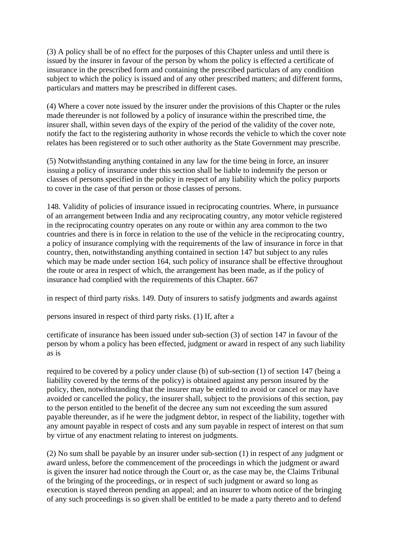(3) A policy shall be of no effect for the purposes of this Chapter unless and until there is issued by the insurer in favour of the person by whom the policy is effected a certificate of insurance in the prescribed form and containing the prescribed particulars of any condition subject to which the policy is issued and of any other prescribed matters; and different forms, particulars and matters may be prescribed in different cases.

(4) Where a cover note issued by the insurer under the provisions of this Chapter or the rules made thereunder is not followed by a policy of insurance within the prescribed time, the insurer shall, within seven days of the expiry of the period of the validity of the cover note, notify the fact to the registering authority in whose records the vehicle to which the cover note relates has been registered or to such other authority as the State Government may prescribe.

(5) Notwithstanding anything contained in any law for the time being in force, an insurer issuing a policy of insurance under this section shall be liable to indemnify the person or classes of persons specified in the policy in respect of any liability which the policy purports to cover in the case of that person or those classes of persons.

148. Validity of policies of insurance issued in reciprocating countries. Where, in pursuance of an arrangement between India and any reciprocating country, any motor vehicle registered in the reciprocating country operates on any route or within any area common to the two countries and there is in force in relation to the use of the vehicle in the reciprocating country, a policy of insurance complying with the requirements of the law of insurance in force in that country, then, notwithstanding anything contained in section 147 but subject to any rules which may be made under section 164, such policy of insurance shall be effective throughout the route or area in respect of which, the arrangement has been made, as if the policy of insurance had complied with the requirements of this Chapter. 667

in respect of third party risks. 149. Duty of insurers to satisfy judgments and awards against

persons insured in respect of third party risks. (1) If, after a

certificate of insurance has been issued under sub-section (3) of section 147 in favour of the person by whom a policy has been effected, judgment or award in respect of any such liability as is

required to be covered by a policy under clause (b) of sub-section (1) of section 147 (being a liability covered by the terms of the policy) is obtained against any person insured by the policy, then, notwithstanding that the insurer may be entitled to avoid or cancel or may have avoided or cancelled the policy, the insurer shall, subject to the provisions of this section, pay to the person entitled to the benefit of the decree any sum not exceeding the sum assured payable thereunder, as if he were the judgment debtor, in respect of the liability, together with any amount payable in respect of costs and any sum payable in respect of interest on that sum by virtue of any enactment relating to interest on judgments.

(2) No sum shall be payable by an insurer under sub-section (1) in respect of any judgment or award unless, before the commencement of the proceedings in which the judgment or award is given the insurer had notice through the Court or, as the case may be, the Claims Tribunal of the bringing of the proceedings, or in respect of such judgment or award so long as execution is stayed thereon pending an appeal; and an insurer to whom notice of the bringing of any such proceedings is so given shall be entitled to be made a party thereto and to defend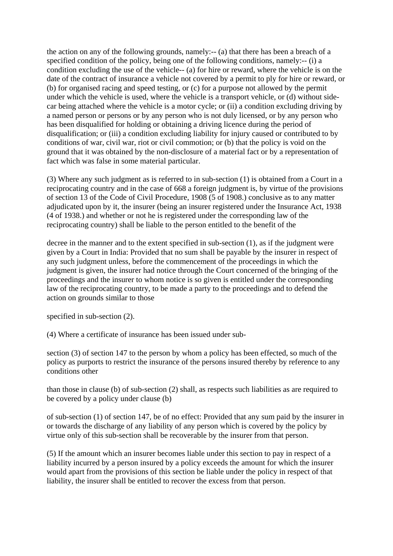the action on any of the following grounds, namely:-- (a) that there has been a breach of a specified condition of the policy, being one of the following conditions, namely:-- (i) a condition excluding the use of the vehicle-- (a) for hire or reward, where the vehicle is on the date of the contract of insurance a vehicle not covered by a permit to ply for hire or reward, or (b) for organised racing and speed testing, or (c) for a purpose not allowed by the permit under which the vehicle is used, where the vehicle is a transport vehicle, or (d) without sidecar being attached where the vehicle is a motor cycle; or (ii) a condition excluding driving by a named person or persons or by any person who is not duly licensed, or by any person who has been disqualified for holding or obtaining a driving licence during the period of disqualification; or (iii) a condition excluding liability for injury caused or contributed to by conditions of war, civil war, riot or civil commotion; or (b) that the policy is void on the ground that it was obtained by the non-disclosure of a material fact or by a representation of fact which was false in some material particular.

(3) Where any such judgment as is referred to in sub-section (1) is obtained from a Court in a reciprocating country and in the case of 668 a foreign judgment is, by virtue of the provisions of section 13 of the Code of Civil Procedure, 1908 (5 of 1908.) conclusive as to any matter adjudicated upon by it, the insurer (being an insurer registered under the Insurance Act, 1938 (4 of 1938.) and whether or not he is registered under the corresponding law of the reciprocating country) shall be liable to the person entitled to the benefit of the

decree in the manner and to the extent specified in sub-section (1), as if the judgment were given by a Court in India: Provided that no sum shall be payable by the insurer in respect of any such judgment unless, before the commencement of the proceedings in which the judgment is given, the insurer had notice through the Court concerned of the bringing of the proceedings and the insurer to whom notice is so given is entitled under the corresponding law of the reciprocating country, to be made a party to the proceedings and to defend the action on grounds similar to those

specified in sub-section (2).

(4) Where a certificate of insurance has been issued under sub-

section (3) of section 147 to the person by whom a policy has been effected, so much of the policy as purports to restrict the insurance of the persons insured thereby by reference to any conditions other

than those in clause (b) of sub-section (2) shall, as respects such liabilities as are required to be covered by a policy under clause (b)

of sub-section (1) of section 147, be of no effect: Provided that any sum paid by the insurer in or towards the discharge of any liability of any person which is covered by the policy by virtue only of this sub-section shall be recoverable by the insurer from that person.

(5) If the amount which an insurer becomes liable under this section to pay in respect of a liability incurred by a person insured by a policy exceeds the amount for which the insurer would apart from the provisions of this section be liable under the policy in respect of that liability, the insurer shall be entitled to recover the excess from that person.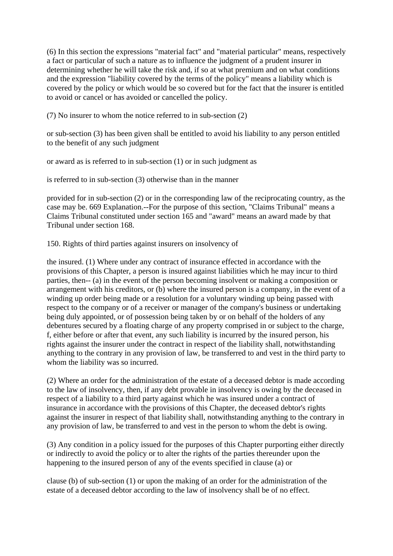(6) In this section the expressions "material fact" and "material particular" means, respectively a fact or particular of such a nature as to influence the judgment of a prudent insurer in determining whether he will take the risk and, if so at what premium and on what conditions and the expression "liability covered by the terms of the policy" means a liability which is covered by the policy or which would be so covered but for the fact that the insurer is entitled to avoid or cancel or has avoided or cancelled the policy.

(7) No insurer to whom the notice referred to in sub-section (2)

or sub-section (3) has been given shall be entitled to avoid his liability to any person entitled to the benefit of any such judgment

or award as is referred to in sub-section (1) or in such judgment as

is referred to in sub-section (3) otherwise than in the manner

provided for in sub-section (2) or in the corresponding law of the reciprocating country, as the case may be. 669 Explanation.--For the purpose of this section, "Claims Tribunal" means a Claims Tribunal constituted under section 165 and "award" means an award made by that Tribunal under section 168.

150. Rights of third parties against insurers on insolvency of

the insured. (1) Where under any contract of insurance effected in accordance with the provisions of this Chapter, a person is insured against liabilities which he may incur to third parties, then-- (a) in the event of the person becoming insolvent or making a composition or arrangement with his creditors, or (b) where the insured person is a company, in the event of a winding up order being made or a resolution for a voluntary winding up being passed with respect to the company or of a receiver or manager of the company's business or undertaking being duly appointed, or of possession being taken by or on behalf of the holders of any debentures secured by a floating charge of any property comprised in or subject to the charge, f, either before or after that event, any such liability is incurred by the insured person, his rights against the insurer under the contract in respect of the liability shall, notwithstanding anything to the contrary in any provision of law, be transferred to and vest in the third party to whom the liability was so incurred.

(2) Where an order for the administration of the estate of a deceased debtor is made according to the law of insolvency, then, if any debt provable in insolvency is owing by the deceased in respect of a liability to a third party against which he was insured under a contract of insurance in accordance with the provisions of this Chapter, the deceased debtor's rights against the insurer in respect of that liability shall, notwithstanding anything to the contrary in any provision of law, be transferred to and vest in the person to whom the debt is owing.

(3) Any condition in a policy issued for the purposes of this Chapter purporting either directly or indirectly to avoid the policy or to alter the rights of the parties thereunder upon the happening to the insured person of any of the events specified in clause (a) or

clause (b) of sub-section (1) or upon the making of an order for the administration of the estate of a deceased debtor according to the law of insolvency shall be of no effect.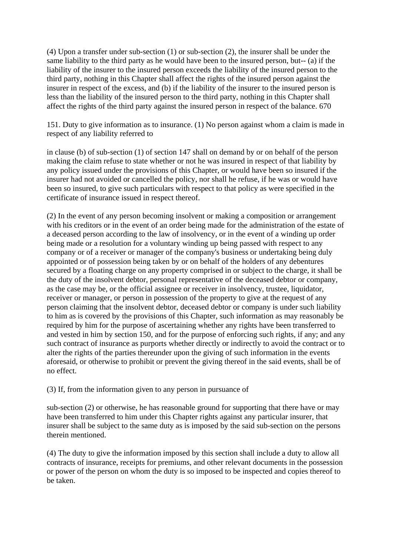(4) Upon a transfer under sub-section (1) or sub-section (2), the insurer shall be under the same liability to the third party as he would have been to the insured person, but-- (a) if the liability of the insurer to the insured person exceeds the liability of the insured person to the third party, nothing in this Chapter shall affect the rights of the insured person against the insurer in respect of the excess, and (b) if the liability of the insurer to the insured person is less than the liability of the insured person to the third party, nothing in this Chapter shall affect the rights of the third party against the insured person in respect of the balance. 670

151. Duty to give information as to insurance. (1) No person against whom a claim is made in respect of any liability referred to

in clause (b) of sub-section (1) of section 147 shall on demand by or on behalf of the person making the claim refuse to state whether or not he was insured in respect of that liability by any policy issued under the provisions of this Chapter, or would have been so insured if the insurer had not avoided or cancelled the policy, nor shall he refuse, if he was or would have been so insured, to give such particulars with respect to that policy as were specified in the certificate of insurance issued in respect thereof.

(2) In the event of any person becoming insolvent or making a composition or arrangement with his creditors or in the event of an order being made for the administration of the estate of a deceased person according to the law of insolvency, or in the event of a winding up order being made or a resolution for a voluntary winding up being passed with respect to any company or of a receiver or manager of the company's business or undertaking being duly appointed or of possession being taken by or on behalf of the holders of any debentures secured by a floating charge on any property comprised in or subject to the charge, it shall be the duty of the insolvent debtor, personal representative of the deceased debtor or company, as the case may be, or the official assignee or receiver in insolvency, trustee, liquidator, receiver or manager, or person in possession of the property to give at the request of any person claiming that the insolvent debtor, deceased debtor or company is under such liability to him as is covered by the provisions of this Chapter, such information as may reasonably be required by him for the purpose of ascertaining whether any rights have been transferred to and vested in him by section 150, and for the purpose of enforcing such rights, if any; and any such contract of insurance as purports whether directly or indirectly to avoid the contract or to alter the rights of the parties thereunder upon the giving of such information in the events aforesaid, or otherwise to prohibit or prevent the giving thereof in the said events, shall be of no effect.

(3) If, from the information given to any person in pursuance of

sub-section (2) or otherwise, he has reasonable ground for supporting that there have or may have been transferred to him under this Chapter rights against any particular insurer, that insurer shall be subject to the same duty as is imposed by the said sub-section on the persons therein mentioned.

(4) The duty to give the information imposed by this section shall include a duty to allow all contracts of insurance, receipts for premiums, and other relevant documents in the possession or power of the person on whom the duty is so imposed to be inspected and copies thereof to be taken.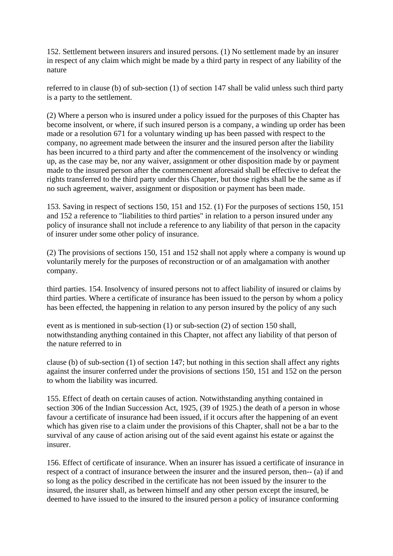152. Settlement between insurers and insured persons. (1) No settlement made by an insurer in respect of any claim which might be made by a third party in respect of any liability of the nature

referred to in clause (b) of sub-section (1) of section 147 shall be valid unless such third party is a party to the settlement.

(2) Where a person who is insured under a policy issued for the purposes of this Chapter has become insolvent, or where, if such insured person is a company, a winding up order has been made or a resolution 671 for a voluntary winding up has been passed with respect to the company, no agreement made between the insurer and the insured person after the liability has been incurred to a third party and after the commencement of the insolvency or winding up, as the case may be, nor any waiver, assignment or other disposition made by or payment made to the insured person after the commencement aforesaid shall be effective to defeat the rights transferred to the third party under this Chapter, but those rights shall be the same as if no such agreement, waiver, assignment or disposition or payment has been made.

153. Saving in respect of sections 150, 151 and 152. (1) For the purposes of sections 150, 151 and 152 a reference to "liabilities to third parties" in relation to a person insured under any policy of insurance shall not include a reference to any liability of that person in the capacity of insurer under some other policy of insurance.

(2) The provisions of sections 150, 151 and 152 shall not apply where a company is wound up voluntarily merely for the purposes of reconstruction or of an amalgamation with another company.

third parties. 154. Insolvency of insured persons not to affect liability of insured or claims by third parties. Where a certificate of insurance has been issued to the person by whom a policy has been effected, the happening in relation to any person insured by the policy of any such

event as is mentioned in sub-section (1) or sub-section (2) of section 150 shall, notwithstanding anything contained in this Chapter, not affect any liability of that person of the nature referred to in

clause (b) of sub-section (1) of section 147; but nothing in this section shall affect any rights against the insurer conferred under the provisions of sections 150, 151 and 152 on the person to whom the liability was incurred.

155. Effect of death on certain causes of action. Notwithstanding anything contained in section 306 of the Indian Succession Act, 1925, (39 of 1925.) the death of a person in whose favour a certificate of insurance had been issued, if it occurs after the happening of an event which has given rise to a claim under the provisions of this Chapter, shall not be a bar to the survival of any cause of action arising out of the said event against his estate or against the insurer.

156. Effect of certificate of insurance. When an insurer has issued a certificate of insurance in respect of a contract of insurance between the insurer and the insured person, then-- (a) if and so long as the policy described in the certificate has not been issued by the insurer to the insured, the insurer shall, as between himself and any other person except the insured, be deemed to have issued to the insured to the insured person a policy of insurance conforming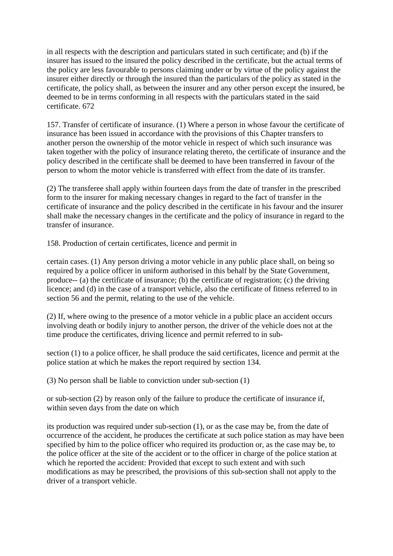in all respects with the description and particulars stated in such certificate; and (b) if the insurer has issued to the insured the policy described in the certificate, but the actual terms of the policy are less favourable to persons claiming under or by virtue of the policy against the insurer either directly or through the insured than the particulars of the policy as stated in the certificate, the policy shall, as between the insurer and any other person except the insured, be deemed to be in terms conforming in all respects with the particulars stated in the said certificate. 672

157. Transfer of certificate of insurance. (1) Where a person in whose favour the certificate of insurance has been issued in accordance with the provisions of this Chapter transfers to another person the ownership of the motor vehicle in respect of which such insurance was taken together with the policy of insurance relating thereto, the certificate of insurance and the policy described in the certificate shall be deemed to have been transferred in favour of the person to whom the motor vehicle is transferred with effect from the date of its transfer.

(2) The transferee shall apply within fourteen days from the date of transfer in the prescribed form to the insurer for making necessary changes in regard to the fact of transfer in the certificate of insurance and the policy described in the certificate in his favour and the insurer shall make the necessary changes in the certificate and the policy of insurance in regard to the transfer of insurance.

158. Production of certain certificates, licence and permit in

certain cases. (1) Any person driving a motor vehicle in any public place shall, on being so required by a police officer in uniform authorised in this behalf by the State Government, produce-- (a) the certificate of insurance; (b) the certificate of registration; (c) the driving licence; and (d) in the case of a transport vehicle, also the certificate of fitness referred to in section 56 and the permit, relating to the use of the vehicle.

(2) If, where owing to the presence of a motor vehicle in a public place an accident occurs involving death or bodily injury to another person, the driver of the vehicle does not at the time produce the certificates, driving licence and permit referred to in sub-

section (1) to a police officer, he shall produce the said certificates, licence and permit at the police station at which he makes the report required by section 134.

(3) No person shall be liable to conviction under sub-section (1)

or sub-section (2) by reason only of the failure to produce the certificate of insurance if, within seven days from the date on which

its production was required under sub-section (1), or as the case may be, from the date of occurrence of the accident, he produces the certificate at such police station as may have been specified by him to the police officer who required its production or, as the case may be, to the police officer at the site of the accident or to the officer in charge of the police station at which he reported the accident: Provided that except to such extent and with such modifications as may be prescribed, the provisions of this sub-section shall not apply to the driver of a transport vehicle.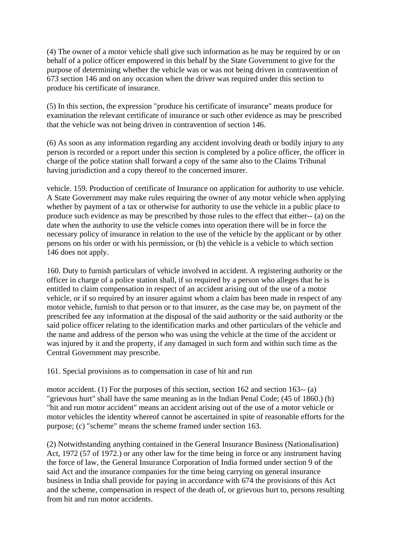(4) The owner of a motor vehicle shall give such information as he may be required by or on behalf of a police officer empowered in this behalf by the State Government to give for the purpose of determining whether the vehicle was or was not being driven in contravention of 673 section 146 and on any occasion when the driver was required under this section to produce his certificate of insurance.

(5) In this section, the expression "produce his certificate of insurance" means produce for examination the relevant certificate of insurance or such other evidence as may be prescribed that the vehicle was not being driven in contravention of section 146.

(6) As soon as any information regarding any accident involving death or bodily injury to any person is recorded or a report under this section is completed by a police officer, the officer in charge of the police station shall forward a copy of the same also to the Claims Tribunal having jurisdiction and a copy thereof to the concerned insurer.

vehicle. 159. Production of certificate of Insurance on application for authority to use vehicle. A State Government may make rules requiring the owner of any motor vehicle when applying whether by payment of a tax or otherwise for authority to use the vehicle in a public place to produce such evidence as may be prescribed by those rules to the effect that either-- (a) on the date when the authority to use the vehicle comes into operation there will be in force the necessary policy of insurance in relation to the use of the vehicle by the applicant or by other persons on his order or with his permission, or (b) the vehicle is a vehicle to which section 146 does not apply.

160. Duty to furnish particulars of vehicle involved in accident. A registering authority or the officer in charge of a police station shall, if so required by a person who alleges that he is entitled to claim compensation in respect of an accident arising out of the use of a motor vehicle, or if so required by an insurer against whom a claim has been made in respect of any motor vehicle, furnish to that person or to that insurer, as the case may be, on payment of the prescribed fee any information at the disposal of the said authority or the said authority or the said police officer relating to the identification marks and other particulars of the vehicle and the name and address of the person who was using the vehicle at the time of the accident or was injured by it and the property, if any damaged in such form and within such time as the Central Government may prescribe.

161. Special provisions as to compensation in case of hit and run

motor accident. (1) For the purposes of this section, section 162 and section 163-- (a) "grievous hurt" shall have the same meaning as in the Indian Penal Code; (45 of 1860.) (b) "hit and run motor accident" means an accident arising out of the use of a motor vehicle or motor vehicles the identity whereof cannot be ascertained in spite of reasonable efforts for the purpose; (c) "scheme" means the scheme framed under section 163.

(2) Notwithstanding anything contained in the General Insurance Business (Nationalisation) Act, 1972 (57 of 1972.) or any other law for the time being in force or any instrument having the force of law, the General Insurance Corporation of India formed under section 9 of the said Act and the insurance companies for the time being carrying on general insurance business in India shall provide for paying in accordance with 674 the provisions of this Act and the scheme, compensation in respect of the death of, or grievous hurt to, persons resulting from hit and run motor accidents.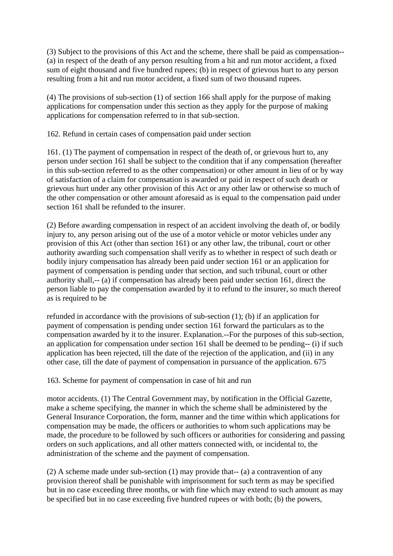(3) Subject to the provisions of this Act and the scheme, there shall be paid as compensation-- (a) in respect of the death of any person resulting from a hit and run motor accident, a fixed sum of eight thousand and five hundred rupees; (b) in respect of grievous hurt to any person resulting from a hit and run motor accident, a fixed sum of two thousand rupees.

(4) The provisions of sub-section (1) of section 166 shall apply for the purpose of making applications for compensation under this section as they apply for the purpose of making applications for compensation referred to in that sub-section.

162. Refund in certain cases of compensation paid under section

161. (1) The payment of compensation in respect of the death of, or grievous hurt to, any person under section 161 shall be subject to the condition that if any compensation (hereafter in this sub-section referred to as the other compensation) or other amount in lieu of or by way of satisfaction of a claim for compensation is awarded or paid in respect of such death or grievous hurt under any other provision of this Act or any other law or otherwise so much of the other compensation or other amount aforesaid as is equal to the compensation paid under section 161 shall be refunded to the insurer.

(2) Before awarding compensation in respect of an accident involving the death of, or bodily injury to, any person arising out of the use of a motor vehicle or motor vehicles under any provision of this Act (other than section 161) or any other law, the tribunal, court or other authority awarding such compensation shall verify as to whether in respect of such death or bodily injury compensation has already been paid under section 161 or an application for payment of compensation is pending under that section, and such tribunal, court or other authority shall,-- (a) if compensation has already been paid under section 161, direct the person liable to pay the compensation awarded by it to refund to the insurer, so much thereof as is required to be

refunded in accordance with the provisions of sub-section (1); (b) if an application for payment of compensation is pending under section 161 forward the particulars as to the compensation awarded by it to the insurer. Explanation.--For the purposes of this sub-section, an application for compensation under section 161 shall be deemed to be pending-- (i) if such application has been rejected, till the date of the rejection of the application, and (ii) in any other case, till the date of payment of compensation in pursuance of the application. 675

163. Scheme for payment of compensation in case of hit and run

motor accidents. (1) The Central Government may, by notification in the Official Gazette, make a scheme specifying, the manner in which the scheme shall be administered by the General Insurance Corporation, the form, manner and the time within which applications for compensation may be made, the officers or authorities to whom such applications may be made, the procedure to be followed by such officers or authorities for considering and passing orders on such applications, and all other matters connected with, or incidental to, the administration of the scheme and the payment of compensation.

(2) A scheme made under sub-section (1) may provide that-- (a) a contravention of any provision thereof shall be punishable with imprisonment for such term as may be specified but in no case exceeding three months, or with fine which may extend to such amount as may be specified but in no case exceeding five hundred rupees or with both; (b) the powers,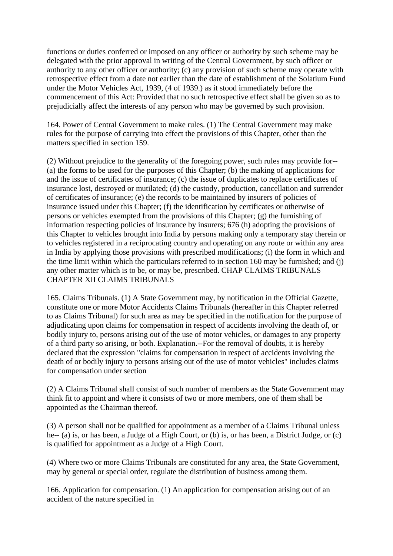functions or duties conferred or imposed on any officer or authority by such scheme may be delegated with the prior approval in writing of the Central Government, by such officer or authority to any other officer or authority; (c) any provision of such scheme may operate with retrospective effect from a date not earlier than the date of establishment of the Solatium Fund under the Motor Vehicles Act, 1939, (4 of 1939.) as it stood immediately before the commencement of this Act: Provided that no such retrospective effect shall be given so as to prejudicially affect the interests of any person who may be governed by such provision.

164. Power of Central Government to make rules. (1) The Central Government may make rules for the purpose of carrying into effect the provisions of this Chapter, other than the matters specified in section 159.

(2) Without prejudice to the generality of the foregoing power, such rules may provide for-- (a) the forms to be used for the purposes of this Chapter; (b) the making of applications for and the issue of certificates of insurance; (c) the issue of duplicates to replace certificates of insurance lost, destroyed or mutilated; (d) the custody, production, cancellation and surrender of certificates of insurance; (e) the records to be maintained by insurers of policies of insurance issued under this Chapter; (f) the identification by certificates or otherwise of persons or vehicles exempted from the provisions of this Chapter; (g) the furnishing of information respecting policies of insurance by insurers; 676 (h) adopting the provisions of this Chapter to vehicles brought into India by persons making only a temporary stay therein or to vehicles registered in a reciprocating country and operating on any route or within any area in India by applying those provisions with prescribed modifications; (i) the form in which and the time limit within which the particulars referred to in section 160 may be furnished; and (j) any other matter which is to be, or may be, prescribed. CHAP CLAIMS TRIBUNALS CHAPTER XII CLAIMS TRIBUNALS

165. Claims Tribunals. (1) A State Government may, by notification in the Official Gazette, constitute one or more Motor Accidents Claims Tribunals (hereafter in this Chapter referred to as Claims Tribunal) for such area as may be specified in the notification for the purpose of adjudicating upon claims for compensation in respect of accidents involving the death of, or bodily injury to, persons arising out of the use of motor vehicles, or damages to any property of a third party so arising, or both. Explanation.--For the removal of doubts, it is hereby declared that the expression "claims for compensation in respect of accidents involving the death of or bodily injury to persons arising out of the use of motor vehicles" includes claims for compensation under section

(2) A Claims Tribunal shall consist of such number of members as the State Government may think fit to appoint and where it consists of two or more members, one of them shall be appointed as the Chairman thereof.

(3) A person shall not be qualified for appointment as a member of a Claims Tribunal unless he-- (a) is, or has been, a Judge of a High Court, or (b) is, or has been, a District Judge, or (c) is qualified for appointment as a Judge of a High Court.

(4) Where two or more Claims Tribunals are constituted for any area, the State Government, may by general or special order, regulate the distribution of business among them.

166. Application for compensation. (1) An application for compensation arising out of an accident of the nature specified in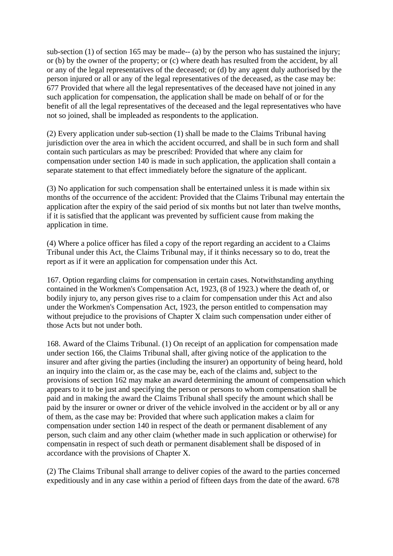sub-section (1) of section 165 may be made-- (a) by the person who has sustained the injury; or (b) by the owner of the property; or (c) where death has resulted from the accident, by all or any of the legal representatives of the deceased; or (d) by any agent duly authorised by the person injured or all or any of the legal representatives of the deceased, as the case may be: 677 Provided that where all the legal representatives of the deceased have not joined in any such application for compensation, the application shall be made on behalf of or for the benefit of all the legal representatives of the deceased and the legal representatives who have not so joined, shall be impleaded as respondents to the application.

(2) Every application under sub-section (1) shall be made to the Claims Tribunal having jurisdiction over the area in which the accident occurred, and shall be in such form and shall contain such particulars as may be prescribed: Provided that where any claim for compensation under section 140 is made in such application, the application shall contain a separate statement to that effect immediately before the signature of the applicant.

(3) No application for such compensation shall be entertained unless it is made within six months of the occurrence of the accident: Provided that the Claims Tribunal may entertain the application after the expiry of the said period of six months but not later than twelve months, if it is satisfied that the applicant was prevented by sufficient cause from making the application in time.

(4) Where a police officer has filed a copy of the report regarding an accident to a Claims Tribunal under this Act, the Claims Tribunal may, if it thinks necessary so to do, treat the report as if it were an application for compensation under this Act.

167. Option regarding claims for compensation in certain cases. Notwithstanding anything contained in the Workmen's Compensation Act, 1923, (8 of 1923.) where the death of, or bodily injury to, any person gives rise to a claim for compensation under this Act and also under the Workmen's Compensation Act, 1923, the person entitled to compensation may without prejudice to the provisions of Chapter X claim such compensation under either of those Acts but not under both.

168. Award of the Claims Tribunal. (1) On receipt of an application for compensation made under section 166, the Claims Tribunal shall, after giving notice of the application to the insurer and after giving the parties (including the insurer) an opportunity of being heard, hold an inquiry into the claim or, as the case may be, each of the claims and, subject to the provisions of section 162 may make an award determining the amount of compensation which appears to it to be just and specifying the person or persons to whom compensation shall be paid and in making the award the Claims Tribunal shall specify the amount which shall be paid by the insurer or owner or driver of the vehicle involved in the accident or by all or any of them, as the case may be: Provided that where such application makes a claim for compensation under section 140 in respect of the death or permanent disablement of any person, such claim and any other claim (whether made in such application or otherwise) for compensatin in respect of such death or permanent disablement shall be disposed of in accordance with the provisions of Chapter X.

(2) The Claims Tribunal shall arrange to deliver copies of the award to the parties concerned expeditiously and in any case within a period of fifteen days from the date of the award. 678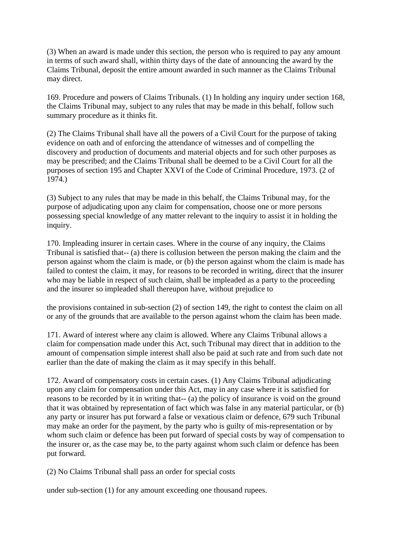(3) When an award is made under this section, the person who is required to pay any amount in terms of such award shall, within thirty days of the date of announcing the award by the Claims Tribunal, deposit the entire amount awarded in such manner as the Claims Tribunal may direct.

169. Procedure and powers of Claims Tribunals. (1) In holding any inquiry under section 168, the Claims Tribunal may, subject to any rules that may be made in this behalf, follow such summary procedure as it thinks fit.

(2) The Claims Tribunal shall have all the powers of a Civil Court for the purpose of taking evidence on oath and of enforcing the attendance of witnesses and of compelling the discovery and production of documents and material objects and for such other purposes as may be prescribed; and the Claims Tribunal shall be deemed to be a Civil Court for all the purposes of section 195 and Chapter XXVI of the Code of Criminal Procedure, 1973. (2 of 1974.)

(3) Subject to any rules that may be made in this behalf, the Claims Tribunal may, for the purpose of adjudicating upon any claim for compensation, choose one or more persons possessing special knowledge of any matter relevant to the inquiry to assist it in holding the inquiry.

170. Impleading insurer in certain cases. Where in the course of any inquiry, the Claims Tribunal is satisfied that-- (a) there is collusion between the person making the claim and the person against whom the claim is made, or (b) the person against whom the claim is made has failed to contest the claim, it may, for reasons to be recorded in writing, direct that the insurer who may be liable in respect of such claim, shall be impleaded as a party to the proceeding and the insurer so impleaded shall thereupon have, without prejudice to

the provisions contained in sub-section (2) of section 149, the right to contest the claim on all or any of the grounds that are available to the person against whom the claim has been made.

171. Award of interest where any claim is allowed. Where any Claims Tribunal allows a claim for compensation made under this Act, such Tribunal may direct that in addition to the amount of compensation simple interest shall also be paid at such rate and from such date not earlier than the date of making the claim as it may specify in this behalf.

172. Award of compensatory costs in certain cases. (1) Any Claims Tribunal adjudicating upon any claim for compensation under this Act, may in any case where it is satisfied for reasons to be recorded by it in writing that-- (a) the policy of insurance is void on the ground that it was obtained by representation of fact which was false in any material particular, or (b) any party or insurer has put forward a false or vexatious claim or defence, 679 such Tribunal may make an order for the payment, by the party who is guilty of mis-representation or by whom such claim or defence has been put forward of special costs by way of compensation to the insurer or, as the case may be, to the party against whom such claim or defence has been put forward.

(2) No Claims Tribunal shall pass an order for special costs

under sub-section (1) for any amount exceeding one thousand rupees.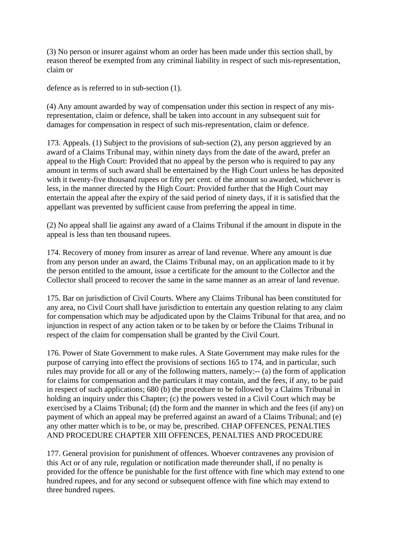(3) No person or insurer against whom an order has been made under this section shall, by reason thereof be exempted from any criminal liability in respect of such mis-representation, claim or

defence as is referred to in sub-section (1).

(4) Any amount awarded by way of compensation under this section in respect of any misrepresentation, claim or defence, shall be taken into account in any subsequent suit for damages for compensation in respect of such mis-representation, claim or defence.

173. Appeals. (1) Subject to the provisions of sub-section (2), any person aggrieved by an award of a Claims Tribunal may, within ninety days from the date of the award, prefer an appeal to the High Court: Provided that no appeal by the person who is required to pay any amount in terms of such award shall be entertained by the High Court unless he has deposited with it twenty-five thousand rupees or fifty per cent. of the amount so awarded, whichever is less, in the manner directed by the High Court: Provided further that the High Court may entertain the appeal after the expiry of the said period of ninety days, if it is satisfied that the appellant was prevented by sufficient cause from preferring the appeal in time.

(2) No appeal shall lie against any award of a Claims Tribunal if the amount in dispute in the appeal is less than ten thousand rupees.

174. Recovery of money from insurer as arrear of land revenue. Where any amount is due from any person under an award, the Claims Tribunal may, on an application made to it by the person entitled to the amount, issue a certificate for the amount to the Collector and the Collector shall proceed to recover the same in the same manner as an arrear of land revenue.

175. Bar on jurisdiction of Civil Courts. Where any Claims Tribunal has been constituted for any area, no Civil Court shall have jurisdiction to entertain any question relating to any claim for compensation which may be adjudicated upon by the Claims Tribunal for that area, and no injunction in respect of any action taken or to be taken by or before the Claims Tribunal in respect of the claim for compensation shall be granted by the Civil Court.

176. Power of State Government to make rules. A State Government may make rules for the purpose of carrying into effect the provisions of sections 165 to 174, and in particular, such rules may provide for all or any of the following matters, namely:-- (a) the form of application for claims for compensation and the particulars it may contain, and the fees, if any, to be paid in respect of such applications; 680 (b) the procedure to be followed by a Claims Tribunal in holding an inquiry under this Chapter; (c) the powers vested in a Civil Court which may be exercised by a Claims Tribunal; (d) the form and the manner in which and the fees (if any) on payment of which an appeal may be preferred against an award of a Claims Tribunal; and (e) any other matter which is to be, or may be, prescribed. CHAP OFFENCES, PENALTIES AND PROCEDURE CHAPTER XIII OFFENCES, PENALTIES AND PROCEDURE

177. General provision for punishment of offences. Whoever contravenes any provision of this Act or of any rule, regulation or notification made thereunder shall, if no penalty is provided for the offence be punishable for the first offence with fine which may extend to one hundred rupees, and for any second or subsequent offence with fine which may extend to three hundred rupees.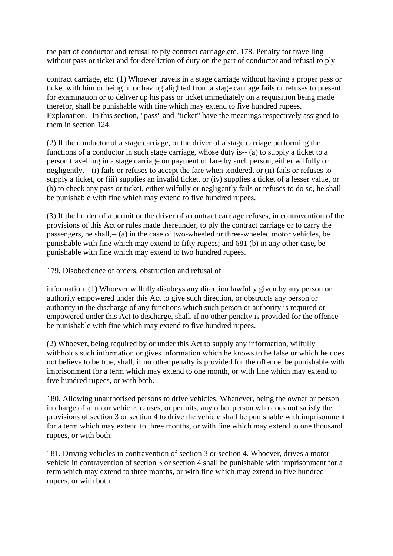the part of conductor and refusal to ply contract carriage,etc. 178. Penalty for travelling without pass or ticket and for dereliction of duty on the part of conductor and refusal to ply

contract carriage, etc. (1) Whoever travels in a stage carriage without having a proper pass or ticket with him or being in or having alighted from a stage carriage fails or refuses to present for examination or to deliver up his pass or ticket immediately on a requisition being made therefor, shall be punishable with fine which may extend to five hundred rupees. Explanation.--In this section, "pass" and "ticket" have the meanings respectively assigned to them in section 124.

(2) If the conductor of a stage carriage, or the driver of a stage carriage performing the functions of a conductor in such stage carriage, whose duty is-- (a) to supply a ticket to a person travelling in a stage carriage on payment of fare by such person, either wilfully or negligently,-- (i) fails or refuses to accept the fare when tendered, or (ii) fails or refuses to supply a ticket, or (iii) supplies an invalid ticket, or (iv) supplies a ticket of a lesser value, or (b) to check any pass or ticket, either wilfully or negligently fails or refuses to do so, he shall be punishable with fine which may extend to five hundred rupees.

(3) If the holder of a permit or the driver of a contract carriage refuses, in contravention of the provisions of this Act or rules made thereunder, to ply the contract carriage or to carry the passengers, he shall,-- (a) in the case of two-wheeled or three-wheeled motor vehicles, be punishable with fine which may extend to fifty rupees; and 681 (b) in any other case, be punishable with fine which may extend to two hundred rupees.

179. Disobedience of orders, obstruction and refusal of

information. (1) Whoever wilfully disobeys any direction lawfully given by any person or authority empowered under this Act to give such direction, or obstructs any person or authority in the discharge of any functions which such person or authority is required or empowered under this Act to discharge, shall, if no other penalty is provided for the offence be punishable with fine which may extend to five hundred rupees.

(2) Whoever, being required by or under this Act to supply any information, wilfully withholds such information or gives information which he knows to be false or which he does not believe to be true, shall, if no other penalty is provided for the offence, be punishable with imprisonment for a term which may extend to one month, or with fine which may extend to five hundred rupees, or with both.

180. Allowing unauthorised persons to drive vehicles. Whenever, being the owner or person in charge of a motor vehicle, causes, or permits, any other person who does not satisfy the provisions of section 3 or section 4 to drive the vehicle shall be punishable with imprisonment for a term which may extend to three months, or with fine which may extend to one thousand rupees, or with both.

181. Driving vehicles in contravention of section 3 or section 4. Whoever, drives a motor vehicle in contravention of section 3 or section 4 shall be punishable with imprisonment for a term which may extend to three months, or with fine which may extend to five hundred rupees, or with both.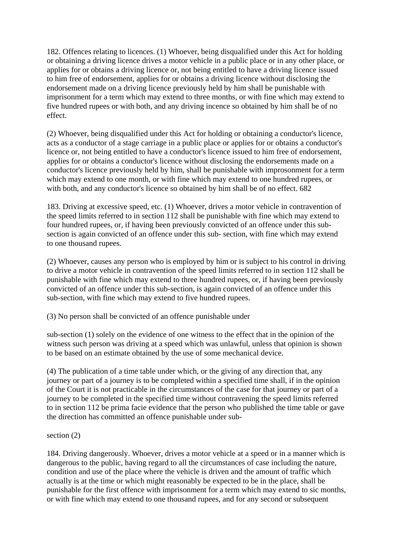182. Offences relating to licences. (1) Whoever, being disqualified under this Act for holding or obtaining a driving licence drives a motor vehicle in a public place or in any other place, or applies for or obtains a driving licence or, not being entitled to have a driving licence issued to him free of endorsement, applies for or obtains a driving licence without disclosing the endorsement made on a driving licence previously held by him shall be punishable with imprisonment for a term which may extend to three months, or with fine which may extend to five hundred rupees or with both, and any driving incence so obtained by him shall be of no effect.

(2) Whoever, being disqualified under this Act for holding or obtaining a conductor's licence, acts as a conductor of a stage carriage in a public place or applies for or obtains a conductor's licence or, not being entitled to have a conductor's licence issued to him free of endorsement, applies for or obtains a conductor's licence without disclosing the endorsements made on a conductor's licence previously held by him, shall be punishable with improsonment for a term which may extend to one month, or with fine which may extend to one hundred rupees, or with both, and any conductor's licence so obtained by him shall be of no effect. 682

183. Driving at excessive speed, etc. (1) Whoever, drives a motor vehicle in contravention of the speed limits referred to in section 112 shall be punishable with fine which may extend to four hundred rupees, or, if having been previously convicted of an offence under this subsection is again convicted of an offence under this sub- section, with fine which may extend to one thousand rupees.

(2) Whoever, causes any person who is employed by him or is subject to his control in driving to drive a motor vehicle in contravention of the speed limits referred to in section 112 shall be punishable with fine which may extend to three hundred rupees, or, if having been previously convicted of an offence under this sub-section, is again convicted of an offence under this sub-section, with fine which may extend to five hundred rupees.

(3) No person shall be convicted of an offence punishable under

sub-section (1) solely on the evidence of one witness to the effect that in the opinion of the witness such person was driving at a speed which was unlawful, unless that opinion is shown to be based on an estimate obtained by the use of some mechanical device.

(4) The publication of a time table under which, or the giving of any direction that, any journey or part of a journey is to be completed within a specified time shall, if in the opinion of the Court it is not practicable in the circumstances of the case for that journey or part of a journey to be completed in the specified time without contravening the speed limits referred to in section 112 be prima facie evidence that the person who published the time table or gave the direction has committed an offence punishable under sub-

## section (2)

184. Driving dangerously. Whoever, drives a motor vehicle at a speed or in a manner which is dangerous to the public, having regard to all the circumstances of case including the nature, condition and use of the place where the vehicle is driven and the amount of traffic which actually is at the time or which might reasonably be expected to be in the place, shall be punishable for the first offence with imprisonment for a term which may extend to sic months, or with fine which may extend to one thousand rupees, and for any second or subsequent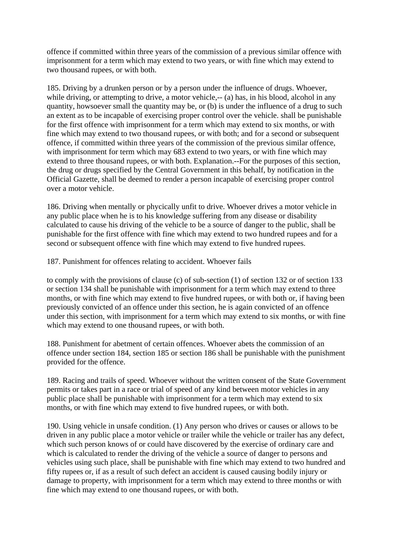offence if committed within three years of the commission of a previous similar offence with imprisonment for a term which may extend to two years, or with fine which may extend to two thousand rupees, or with both.

185. Driving by a drunken person or by a person under the influence of drugs. Whoever, while driving, or attempting to drive, a motor vehicle,-- (a) has, in his blood, alcohol in any quantity, howsoever small the quantity may be, or (b) is under the influence of a drug to such an extent as to be incapable of exercising proper control over the vehicle. shall be punishable for the first offence with imprisonment for a term which may extend to six months, or with fine which may extend to two thousand rupees, or with both; and for a second or subsequent offence, if committed within three years of the commission of the previous similar offence, with imprisonment for term which may 683 extend to two years, or with fine which may extend to three thousand rupees, or with both. Explanation.--For the purposes of this section, the drug or drugs specified by the Central Government in this behalf, by notification in the Official Gazette, shall be deemed to render a person incapable of exercising proper control over a motor vehicle.

186. Driving when mentally or phycically unfit to drive. Whoever drives a motor vehicle in any public place when he is to his knowledge suffering from any disease or disability calculated to cause his driving of the vehicle to be a source of danger to the public, shall be punishable for the first offence with fine which may extend to two hundred rupees and for a second or subsequent offence with fine which may extend to five hundred rupees.

187. Punishment for offences relating to accident. Whoever fails

to comply with the provisions of clause (c) of sub-section (1) of section 132 or of section 133 or section 134 shall be punishable with imprisonment for a term which may extend to three months, or with fine which may extend to five hundred rupees, or with both or, if having been previously convicted of an offence under this section, he is again convicted of an offence under this section, with imprisonment for a term which may extend to six months, or with fine which may extend to one thousand rupees, or with both.

188. Punishment for abetment of certain offences. Whoever abets the commission of an offence under section 184, section 185 or section 186 shall be punishable with the punishment provided for the offence.

189. Racing and trails of speed. Whoever without the written consent of the State Government permits or takes part in a race or trial of speed of any kind between motor vehicles in any public place shall be punishable with imprisonment for a term which may extend to six months, or with fine which may extend to five hundred rupees, or with both.

190. Using vehicle in unsafe condition. (1) Any person who drives or causes or allows to be driven in any public place a motor vehicle or trailer while the vehicle or trailer has any defect, which such person knows of or could have discovered by the exercise of ordinary care and which is calculated to render the driving of the vehicle a source of danger to persons and vehicles using such place, shall be punishable with fine which may extend to two hundred and fifty rupees or, if as a result of such defect an accident is caused causing bodily injury or damage to property, with imprisonment for a term which may extend to three months or with fine which may extend to one thousand rupees, or with both.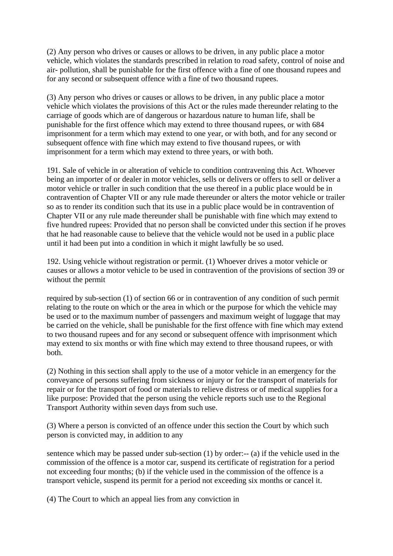(2) Any person who drives or causes or allows to be driven, in any public place a motor vehicle, which violates the standards prescribed in relation to road safety, control of noise and air- pollution, shall be punishable for the first offence with a fine of one thousand rupees and for any second or subsequent offence with a fine of two thousand rupees.

(3) Any person who drives or causes or allows to be driven, in any public place a motor vehicle which violates the provisions of this Act or the rules made thereunder relating to the carriage of goods which are of dangerous or hazardous nature to human life, shall be punishable for the first offence which may extend to three thousand rupees, or with 684 imprisonment for a term which may extend to one year, or with both, and for any second or subsequent offence with fine which may extend to five thousand rupees, or with imprisonment for a term which may extend to three years, or with both.

191. Sale of vehicle in or alteration of vehicle to condition contravening this Act. Whoever being an importer of or dealer in motor vehicles, sells or delivers or offers to sell or deliver a motor vehicle or traller in such condition that the use thereof in a public place would be in contravention of Chapter VII or any rule made thereunder or alters the motor vehicle or trailer so as to render its condition such that its use in a public place would be in contravention of Chapter VII or any rule made thereunder shall be punishable with fine which may extend to five hundred rupees: Provided that no person shall be convicted under this section if he proves that he had reasonable cause to believe that the vehicle would not be used in a public place until it had been put into a condition in which it might lawfully be so used.

192. Using vehicle without registration or permit. (1) Whoever drives a motor vehicle or causes or allows a motor vehicle to be used in contravention of the provisions of section 39 or without the permit

required by sub-section (1) of section 66 or in contravention of any condition of such permit relating to the route on which or the area in which or the purpose for which the vehicle may be used or to the maximum number of passengers and maximum weight of luggage that may be carried on the vehicle, shall be punishable for the first offence with fine which may extend to two thousand rupees and for any second or subsequent offence with imprisonment which may extend to six months or with fine which may extend to three thousand rupees, or with both.

(2) Nothing in this section shall apply to the use of a motor vehicle in an emergency for the conveyance of persons suffering from sickness or injury or for the transport of materials for repair or for the transport of food or materials to relieve distress or of medical supplies for a like purpose: Provided that the person using the vehicle reports such use to the Regional Transport Authority within seven days from such use.

(3) Where a person is convicted of an offence under this section the Court by which such person is convicted may, in addition to any

sentence which may be passed under sub-section (1) by order:-- (a) if the vehicle used in the commission of the offence is a motor car, suspend its certificate of registration for a period not exceeding four months; (b) if the vehicle used in the commission of the offence is a transport vehicle, suspend its permit for a period not exceeding six months or cancel it.

(4) The Court to which an appeal lies from any conviction in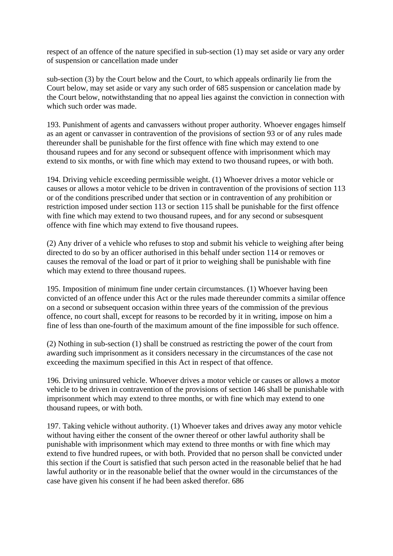respect of an offence of the nature specified in sub-section (1) may set aside or vary any order of suspension or cancellation made under

sub-section (3) by the Court below and the Court, to which appeals ordinarily lie from the Court below, may set aside or vary any such order of 685 suspension or cancelation made by the Court below, notwithstanding that no appeal lies against the conviction in connection with which such order was made.

193. Punishment of agents and canvassers without proper authority. Whoever engages himself as an agent or canvasser in contravention of the provisions of section 93 or of any rules made thereunder shall be punishable for the first offence with fine which may extend to one thousand rupees and for any second or subsequent offence with imprisonment which may extend to six months, or with fine which may extend to two thousand rupees, or with both.

194. Driving vehicle exceeding permissible weight. (1) Whoever drives a motor vehicle or causes or allows a motor vehicle to be driven in contravention of the provisions of section 113 or of the conditions prescribed under that section or in contravention of any prohibition or restriction imposed under section 113 or section 115 shall be punishable for the first offence with fine which may extend to two thousand rupees, and for any second or subsesquent offence with fine which may extend to five thousand rupees.

(2) Any driver of a vehicle who refuses to stop and submit his vehicle to weighing after being directed to do so by an officer authorised in this behalf under section 114 or removes or causes the removal of the load or part of it prior to weighing shall be punishable with fine which may extend to three thousand rupees.

195. Imposition of minimum fine under certain circumstances. (1) Whoever having been convicted of an offence under this Act or the rules made thereunder commits a similar offence on a second or subsequent occasion within three years of the commission of the previous offence, no court shall, except for reasons to be recorded by it in writing, impose on him a fine of less than one-fourth of the maximum amount of the fine impossible for such offence.

(2) Nothing in sub-section (1) shall be construed as restricting the power of the court from awarding such imprisonment as it considers necessary in the circumstances of the case not exceeding the maximum specified in this Act in respect of that offence.

196. Driving uninsured vehicle. Whoever drives a motor vehicle or causes or allows a motor vehicle to be driven in contravention of the provisions of section 146 shall be punishable with imprisonment which may extend to three months, or with fine which may extend to one thousand rupees, or with both.

197. Taking vehicle without authority. (1) Whoever takes and drives away any motor vehicle without having either the consent of the owner thereof or other lawful authority shall be punishable with imprisonment which may extend to three months or with fine which may extend to five hundred rupees, or with both. Provided that no person shall be convicted under this section if the Court is satisfied that such person acted in the reasonable belief that he had lawful authority or in the reasonable belief that the owner would in the circumstances of the case have given his consent if he had been asked therefor. 686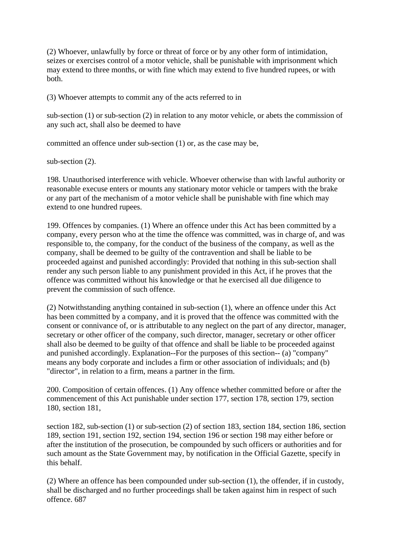(2) Whoever, unlawfully by force or threat of force or by any other form of intimidation, seizes or exercises control of a motor vehicle, shall be punishable with imprisonment which may extend to three months, or with fine which may extend to five hundred rupees, or with both.

(3) Whoever attempts to commit any of the acts referred to in

sub-section (1) or sub-section (2) in relation to any motor vehicle, or abets the commission of any such act, shall also be deemed to have

committed an offence under sub-section (1) or, as the case may be,

sub-section  $(2)$ .

198. Unauthorised interference with vehicle. Whoever otherwise than with lawful authority or reasonable execuse enters or mounts any stationary motor vehicle or tampers with the brake or any part of the mechanism of a motor vehicle shall be punishable with fine which may extend to one hundred rupees.

199. Offences by companies. (1) Where an offence under this Act has been committed by a company, every person who at the time the offence was committed, was in charge of, and was responsible to, the company, for the conduct of the business of the company, as well as the company, shall be deemed to be guilty of the contravention and shall be liable to be proceeded against and punished accordingly: Provided that nothing in this sub-section shall render any such person liable to any punishment provided in this Act, if he proves that the offence was committed without his knowledge or that he exercised all due diligence to prevent the commission of such offence.

(2) Notwithstanding anything contained in sub-section (1), where an offence under this Act has been committed by a company, and it is proved that the offence was committed with the consent or connivance of, or is attributable to any neglect on the part of any director, manager, secretary or other officer of the company, such director, manager, secretary or other officer shall also be deemed to be guilty of that offence and shall be liable to be proceeded against and punished accordingly. Explanation--For the purposes of this section-- (a) "company" means any body corporate and includes a firm or other association of individuals; and (b) "director", in relation to a firm, means a partner in the firm.

200. Composition of certain offences. (1) Any offence whether committed before or after the commencement of this Act punishable under section 177, section 178, section 179, section 180, section 181,

section 182, sub-section (1) or sub-section (2) of section 183, section 184, section 186, section 189, section 191, section 192, section 194, section 196 or section 198 may either before or after the institution of the prosecution, be compounded by such officers or authorities and for such amount as the State Government may, by notification in the Official Gazette, specify in this behalf.

(2) Where an offence has been compounded under sub-section (1), the offender, if in custody, shall be discharged and no further proceedings shall be taken against him in respect of such offence. 687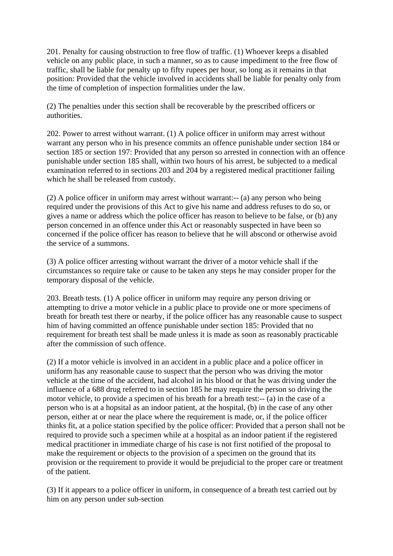201. Penalty for causing obstruction to free flow of traffic. (1) Whoever keeps a disabled vehicle on any public place, in such a manner, so as to cause impediment to the free flow of traffic, shall be liable for penalty up to fifty rupees per hour, so long as it remains in that position: Provided that the vehicle involved in accidents shall be liable for penalty only from the time of completion of inspection formalities under the law.

(2) The penalties under this section shall be recoverable by the prescribed officers or authorities.

202. Power to arrest without warrant. (1) A police officer in uniform may arrest without warrant any person who in his presence commits an offence punishable under section 184 or section 185 or section 197: Provided that any person so arrested in connection with an offence punishable under section 185 shall, within two hours of his arrest, be subjected to a medical examination referred to in sections 203 and 204 by a registered medical practitioner failing which he shall be released from custody.

(2) A police officer in uniform may arrest without warrant:-- (a) any person who being required under the provisions of this Act to give his name and address refuses to do so, or gives a name or address which the police officer has reason to believe to be false, or (b) any person concerned in an offence under this Act or reasonably suspected in have been so concerned if the police officer has reason to believe that he will abscond or otherwise avoid the service of a summons.

(3) A police officer arresting without warrant the driver of a motor vehicle shall if the circumstances so require take or cause to be taken any steps he may consider proper for the temporary disposal of the vehicle.

203. Breath tests. (1) A police officer in uniform may require any person driving or attempting to drive a motor vehicle in a public place to provide one or more specimens of breath for breath test there or nearby, if the police officer has any reasonable cause to suspect him of having committed an offence punishable under section 185: Provided that no requirement for breath test shall be made unless it is made as soon as reasonably practicable after the commission of such offence.

(2) If a motor vehicle is involved in an accident in a public place and a police officer in uniform has any reasonable cause to suspect that the person who was driving the motor vehicle at the time of the accident, had alcohol in his blood or that he was driving under the influence of a 688 drug referred to in section 185 he may require the person so driving the motor vehicle, to provide a specimen of his breath for a breath test:-- (a) in the case of a person who is at a hopsital as an indoor patient, at the hospital, (b) in the case of any other person, either at or near the place where the requirement is made, or, if the police officer thinks fit, at a police station specified by the police officer: Provided that a person shall not be required to provide such a specimen while at a hospital as an indoor patient if the registered medical practitioner in immediate charge of his case is not first notified of the proposal to make the requirement or objects to the provision of a specimen on the ground that its provision or the requirement to provide it would be prejudicial to the proper care or treatment of the patient.

(3) If it appears to a police officer in uniform, in consequence of a breath test carried out by him on any person under sub-section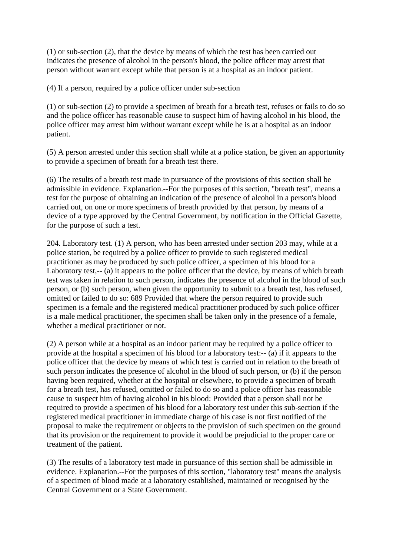(1) or sub-section (2), that the device by means of which the test has been carried out indicates the presence of alcohol in the person's blood, the police officer may arrest that person without warrant except while that person is at a hospital as an indoor patient.

(4) If a person, required by a police officer under sub-section

(1) or sub-section (2) to provide a specimen of breath for a breath test, refuses or fails to do so and the police officer has reasonable cause to suspect him of having alcohol in his blood, the police officer may arrest him without warrant except while he is at a hospital as an indoor patient.

(5) A person arrested under this section shall while at a police station, be given an apportunity to provide a specimen of breath for a breath test there.

(6) The results of a breath test made in pursuance of the provisions of this section shall be admissible in evidence. Explanation.--For the purposes of this section, "breath test", means a test for the purpose of obtaining an indication of the presence of alcohol in a person's blood carried out, on one or more specimens of breath provided by that person, by means of a device of a type approved by the Central Government, by notification in the Official Gazette, for the purpose of such a test.

204. Laboratory test. (1) A person, who has been arrested under section 203 may, while at a police station, be required by a police officer to provide to such registered medical practitioner as may be produced by such police officer, a specimen of his blood for a Laboratory test,-- (a) it appears to the police officer that the device, by means of which breath test was taken in relation to such person, indicates the presence of alcohol in the blood of such person, or (b) such person, when given the opportunity to submit to a breath test, has refused, omitted or failed to do so: 689 Provided that where the person required to provide such specimen is a female and the registered medical practitioner produced by such police officer is a male medical practitioner, the specimen shall be taken only in the presence of a female, whether a medical practitioner or not.

(2) A person while at a hospital as an indoor patient may be required by a police officer to provide at the hospital a specimen of his blood for a laboratory test:-- (a) if it appears to the police officer that the device by means of which test is carried out in relation to the breath of such person indicates the presence of alcohol in the blood of such person, or (b) if the person having been required, whether at the hospital or elsewhere, to provide a specimen of breath for a breath test, has refused, omitted or failed to do so and a police officer has reasonable cause to suspect him of having alcohol in his blood: Provided that a person shall not be required to provide a specimen of his blood for a laboratory test under this sub-section if the registered medical practitioner in immediate charge of his case is not first notified of the proposal to make the requirement or objects to the provision of such specimen on the ground that its provision or the requirement to provide it would be prejudicial to the proper care or treatment of the patient.

(3) The results of a laboratory test made in pursuance of this section shall be admissible in evidence. Explanation.--For the purposes of this section, "laboratory test" means the analysis of a specimen of blood made at a laboratory established, maintained or recognised by the Central Government or a State Government.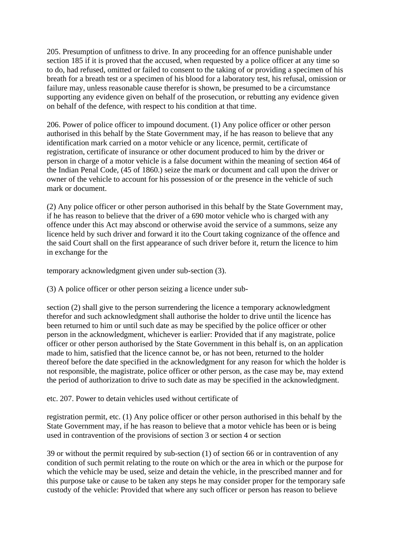205. Presumption of unfitness to drive. In any proceeding for an offence punishable under section 185 if it is proved that the accused, when requested by a police officer at any time so to do, had refused, omitted or failed to consent to the taking of or providing a specimen of his breath for a breath test or a specimen of his blood for a laboratory test, his refusal, omission or failure may, unless reasonable cause therefor is shown, be presumed to be a circumstance supporting any evidence given on behalf of the prosecution, or rebutting any evidence given on behalf of the defence, with respect to his condition at that time.

206. Power of police officer to impound document. (1) Any police officer or other person authorised in this behalf by the State Government may, if he has reason to believe that any identification mark carried on a motor vehicle or any licence, permit, certificate of registration, certificate of insurance or other document produced to him by the driver or person in charge of a motor vehicle is a false document within the meaning of section 464 of the Indian Penal Code, (45 of 1860.) seize the mark or document and call upon the driver or owner of the vehicle to account for his possession of or the presence in the vehicle of such mark or document.

(2) Any police officer or other person authorised in this behalf by the State Government may, if he has reason to believe that the driver of a 690 motor vehicle who is charged with any offence under this Act may abscond or otherwise avoid the service of a summons, seize any licence held by such driver and forward it ito the Court taking cognizance of the offence and the said Court shall on the first appearance of such driver before it, return the licence to him in exchange for the

temporary acknowledgment given under sub-section (3).

(3) A police officer or other person seizing a licence under sub-

section (2) shall give to the person surrendering the licence a temporary acknowledgment therefor and such acknowledgment shall authorise the holder to drive until the licence has been returned to him or until such date as may be specified by the police officer or other person in the acknowledgment, whichever is earlier: Provided that if any magistrate, police officer or other person authorised by the State Government in this behalf is, on an application made to him, satisfied that the licence cannot be, or has not been, returned to the holder thereof before the date specified in the acknowledgment for any reason for which the holder is not responsible, the magistrate, police officer or other person, as the case may be, may extend the period of authorization to drive to such date as may be specified in the acknowledgment.

etc. 207. Power to detain vehicles used without certificate of

registration permit, etc. (1) Any police officer or other person authorised in this behalf by the State Government may, if he has reason to believe that a motor vehicle has been or is being used in contravention of the provisions of section 3 or section 4 or section

39 or without the permit required by sub-section (1) of section 66 or in contravention of any condition of such permit relating to the route on which or the area in which or the purpose for which the vehicle may be used, seize and detain the vehicle, in the prescribed manner and for this purpose take or cause to be taken any steps he may consider proper for the temporary safe custody of the vehicle: Provided that where any such officer or person has reason to believe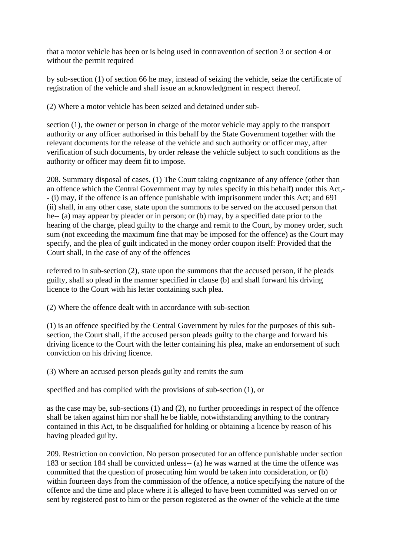that a motor vehicle has been or is being used in contravention of section 3 or section 4 or without the permit required

by sub-section (1) of section 66 he may, instead of seizing the vehicle, seize the certificate of registration of the vehicle and shall issue an acknowledgment in respect thereof.

(2) Where a motor vehicle has been seized and detained under sub-

section (1), the owner or person in charge of the motor vehicle may apply to the transport authority or any officer authorised in this behalf by the State Government together with the relevant documents for the release of the vehicle and such authority or officer may, after verification of such documents, by order release the vehicle subject to such conditions as the authority or officer may deem fit to impose.

208. Summary disposal of cases. (1) The Court taking cognizance of any offence (other than an offence which the Central Government may by rules specify in this behalf) under this Act,- - (i) may, if the offence is an offence punishable with imprisonment under this Act; and 691 (ii) shall, in any other case, state upon the summons to be served on the accused person that he-- (a) may appear by pleader or in person; or (b) may, by a specified date prior to the hearing of the charge, plead guilty to the charge and remit to the Court, by money order, such sum (not exceeding the maximum fine that may be imposed for the offence) as the Court may specify, and the plea of guilt indicated in the money order coupon itself: Provided that the Court shall, in the case of any of the offences

referred to in sub-section (2), state upon the summons that the accused person, if he pleads guilty, shall so plead in the manner specified in clause (b) and shall forward his driving licence to the Court with his letter containing such plea.

(2) Where the offence dealt with in accordance with sub-section

(1) is an offence specified by the Central Government by rules for the purposes of this subsection, the Court shall, if the accused person pleads guilty to the charge and forward his driving licence to the Court with the letter containing his plea, make an endorsement of such conviction on his driving licence.

(3) Where an accused person pleads guilty and remits the sum

specified and has complied with the provisions of sub-section (1), or

as the case may be, sub-sections (1) and (2), no further proceedings in respect of the offence shall be taken against him nor shall he be liable, notwithstanding anything to the contrary contained in this Act, to be disqualified for holding or obtaining a licence by reason of his having pleaded guilty.

209. Restriction on conviction. No person prosecuted for an offence punishable under section 183 or section 184 shall be convicted unless-- (a) he was warned at the time the offence was committed that the question of prosecuting him would be taken into consideration, or (b) within fourteen days from the commission of the offence, a notice specifying the nature of the offence and the time and place where it is alleged to have been committed was served on or sent by registered post to him or the person registered as the owner of the vehicle at the time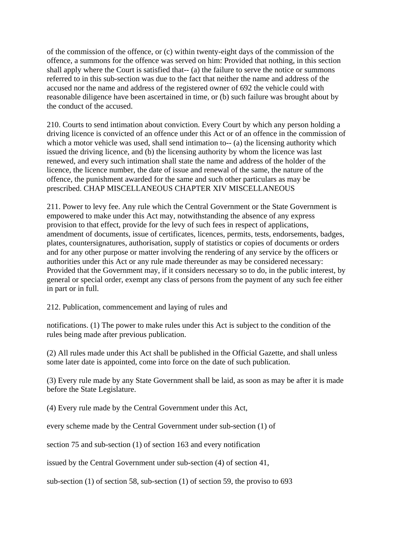of the commission of the offence, or (c) within twenty-eight days of the commission of the offence, a summons for the offence was served on him: Provided that nothing, in this section shall apply where the Court is satisfied that-- (a) the failure to serve the notice or summons referred to in this sub-section was due to the fact that neither the name and address of the accused nor the name and address of the registered owner of 692 the vehicle could with reasonable diligence have been ascertained in time, or (b) such failure was brought about by the conduct of the accused.

210. Courts to send intimation about conviction. Every Court by which any person holding a driving licence is convicted of an offence under this Act or of an offence in the commission of which a motor vehicle was used, shall send intimation to-- (a) the licensing authority which issued the driving licence, and (b) the licensing authority by whom the licence was last renewed, and every such intimation shall state the name and address of the holder of the licence, the licence number, the date of issue and renewal of the same, the nature of the offence, the punishment awarded for the same and such other particulars as may be prescribed. CHAP MISCELLANEOUS CHAPTER XIV MISCELLANEOUS

211. Power to levy fee. Any rule which the Central Government or the State Government is empowered to make under this Act may, notwithstanding the absence of any express provision to that effect, provide for the levy of such fees in respect of applications, amendment of documents, issue of certificates, licences, permits, tests, endorsements, badges, plates, countersignatures, authorisation, supply of statistics or copies of documents or orders and for any other purpose or matter involving the rendering of any service by the officers or authorities under this Act or any rule made thereunder as may be considered necessary: Provided that the Government may, if it considers necessary so to do, in the public interest, by general or special order, exempt any class of persons from the payment of any such fee either in part or in full.

212. Publication, commencement and laying of rules and

notifications. (1) The power to make rules under this Act is subject to the condition of the rules being made after previous publication.

(2) All rules made under this Act shall be published in the Official Gazette, and shall unless some later date is appointed, come into force on the date of such publication.

(3) Every rule made by any State Government shall be laid, as soon as may be after it is made before the State Legislature.

(4) Every rule made by the Central Government under this Act,

every scheme made by the Central Government under sub-section (1) of

section 75 and sub-section (1) of section 163 and every notification

issued by the Central Government under sub-section (4) of section 41,

sub-section (1) of section 58, sub-section (1) of section 59, the proviso to 693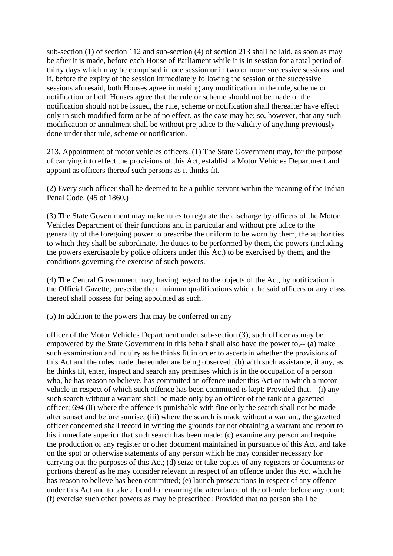sub-section (1) of section 112 and sub-section (4) of section 213 shall be laid, as soon as may be after it is made, before each House of Parliament while it is in session for a total period of thirty days which may be comprised in one session or in two or more successive sessions, and if, before the expiry of the session immediately following the session or the successive sessions aforesaid, both Houses agree in making any modification in the rule, scheme or notification or both Houses agree that the rule or scheme should not be made or the notification should not be issued, the rule, scheme or notification shall thereafter have effect only in such modified form or be of no effect, as the case may be; so, however, that any such modification or annulment shall be without prejudice to the validity of anything previously done under that rule, scheme or notification.

213. Appointment of motor vehicles officers. (1) The State Government may, for the purpose of carrying into effect the provisions of this Act, establish a Motor Vehicles Department and appoint as officers thereof such persons as it thinks fit.

(2) Every such officer shall be deemed to be a public servant within the meaning of the Indian Penal Code. (45 of 1860.)

(3) The State Government may make rules to regulate the discharge by officers of the Motor Vehicles Department of their functions and in particular and without prejudice to the generality of the foregoing power to prescribe the uniform to be worn by them, the authorities to which they shall be subordinate, the duties to be performed by them, the powers (including the powers exercisable by police officers under this Act) to be exercised by them, and the conditions governing the exercise of such powers.

(4) The Central Government may, having regard to the objects of the Act, by notification in the Official Gazette, prescribe the minimum qualifications which the said officers or any class thereof shall possess for being appointed as such.

(5) In addition to the powers that may be conferred on any

officer of the Motor Vehicles Department under sub-section (3), such officer as may be empowered by the State Government in this behalf shall also have the power to,-- (a) make such examination and inquiry as he thinks fit in order to ascertain whether the provisions of this Act and the rules made thereunder are being observed; (b) with such assistance, if any, as he thinks fit, enter, inspect and search any premises which is in the occupation of a person who, he has reason to believe, has committed an offence under this Act or in which a motor vehicle in respect of which such offence has been committed is kept: Provided that,-- (i) any such search without a warrant shall be made only by an officer of the rank of a gazetted officer; 694 (ii) where the offence is punishable with fine only the search shall not be made after sunset and before sunrise; (iii) where the search is made without a warrant, the gazetted officer concerned shall record in writing the grounds for not obtaining a warrant and report to his immediate superior that such search has been made; (c) examine any person and require the production of any register or other document maintained in pursuance of this Act, and take on the spot or otherwise statements of any person which he may consider necessary for carrying out the purposes of this Act; (d) seize or take copies of any registers or documents or portions thereof as he may consider relevant in respect of an offence under this Act which he has reason to believe has been committed; (e) launch prosecutions in respect of any offence under this Act and to take a bond for ensuring the attendance of the offender before any court; (f) exercise such other powers as may be prescribed: Provided that no person shall be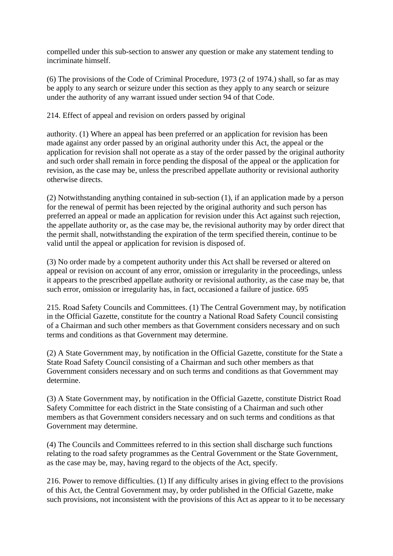compelled under this sub-section to answer any question or make any statement tending to incriminate himself.

(6) The provisions of the Code of Criminal Procedure, 1973 (2 of 1974.) shall, so far as may be apply to any search or seizure under this section as they apply to any search or seizure under the authority of any warrant issued under section 94 of that Code.

214. Effect of appeal and revision on orders passed by original

authority. (1) Where an appeal has been preferred or an application for revision has been made against any order passed by an original authority under this Act, the appeal or the application for revision shall not operate as a stay of the order passed by the original authority and such order shall remain in force pending the disposal of the appeal or the application for revision, as the case may be, unless the prescribed appellate authority or revisional authority otherwise directs.

(2) Notwithstanding anything contained in sub-section (1), if an application made by a person for the renewal of permit has been rejected by the original authority and such person has preferred an appeal or made an application for revision under this Act against such rejection, the appellate authority or, as the case may be, the revisional authority may by order direct that the permit shall, notwithstanding the expiration of the term specified therein, continue to be valid until the appeal or application for revision is disposed of.

(3) No order made by a competent authority under this Act shall be reversed or altered on appeal or revision on account of any error, omission or irregularity in the proceedings, unless it appears to the prescribed appellate authority or revisional authority, as the case may be, that such error, omission or irregularity has, in fact, occasioned a failure of justice. 695

215. Road Safety Councils and Committees. (1) The Central Government may, by notification in the Official Gazette, constitute for the country a National Road Safety Council consisting of a Chairman and such other members as that Government considers necessary and on such terms and conditions as that Government may determine.

(2) A State Government may, by notification in the Official Gazette, constitute for the State a State Road Safety Council consisting of a Chairman and such other members as that Government considers necessary and on such terms and conditions as that Government may determine.

(3) A State Government may, by notification in the Official Gazette, constitute District Road Safety Committee for each district in the State consisting of a Chairman and such other members as that Government considers necessary and on such terms and conditions as that Government may determine.

(4) The Councils and Committees referred to in this section shall discharge such functions relating to the road safety programmes as the Central Government or the State Government, as the case may be, may, having regard to the objects of the Act, specify.

216. Power to remove difficulties. (1) If any difficulty arises in giving effect to the provisions of this Act, the Central Government may, by order published in the Official Gazette, make such provisions, not inconsistent with the provisions of this Act as appear to it to be necessary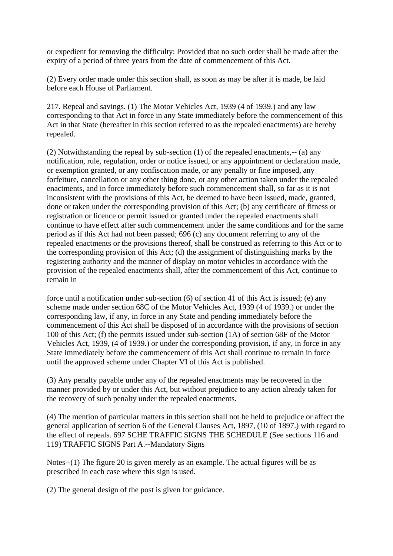or expedient for removing the difficulty: Provided that no such order shall be made after the expiry of a period of three years from the date of commencement of this Act.

(2) Every order made under this section shall, as soon as may be after it is made, be laid before each House of Parliament.

217. Repeal and savings. (1) The Motor Vehicles Act, 1939 (4 of 1939.) and any law corresponding to that Act in force in any State immediately before the commencement of this Act in that State (hereafter in this section referred to as the repealed enactments) are hereby repealed.

(2) Notwithstanding the repeal by sub-section (1) of the repealed enactments,-- (a) any notification, rule, regulation, order or notice issued, or any appointment or declaration made, or exemption granted, or any confiscation made, or any penalty or fine imposed, any forfeiture, cancellation or any other thing done, or any other action taken under the repealed enactments, and in force immediately before such commencement shall, so far as it is not inconsistent with the provisions of this Act, be deemed to have been issued, made, granted, done or taken under the corresponding provision of this Act; (b) any certificate of fitness or registration or licence or permit issued or granted under the repealed enactments shall continue to have effect after such commencement under the same conditions and for the same period as if this Act had not been passed; 696 (c) any document referring to any of the repealed enactments or the provisions thereof, shall be construed as referring to this Act or to the corresponding provision of this Act; (d) the assignment of distinguishing marks by the registering authority and the manner of display on motor vehicles in accordance with the provision of the repealed enactments shall, after the commencement of this Act, continue to remain in

force until a notification under sub-section (6) of section 41 of this Act is issued; (e) any scheme made under section 68C of the Motor Vehicles Act, 1939 (4 of 1939.) or under the corresponding law, if any, in force in any State and pending immediately before the commencement of this Act shall be disposed of in accordance with the provisions of section 100 of this Act; (f) the permits issued under sub-section (1A) of section 68F of the Motor Vehicles Act, 1939, (4 of 1939.) or under the corresponding provision, if any, in force in any State immediately before the commencement of this Act shall continue to remain in force until the approved scheme under Chapter VI of this Act is published.

(3) Any penalty payable under any of the repealed enactments may be recovered in the manner provided by or under this Act, but without prejudice to any action already taken for the recovery of such penalty under the repealed enactments.

(4) The mention of particular matters in this section shall not be held to prejudice or affect the general application of section 6 of the General Clauses Act, 1897, (10 of 1897.) with regard to the effect of repeals. 697 SCHE TRAFFIC SIGNS THE SCHEDULE (See sections 116 and 119) TRAFFIC SIGNS Part A.--Mandatory Signs

Notes--(1) The figure 20 is given merely as an example. The actual figures will be as prescribed in each case where this sign is used.

(2) The general design of the post is given for guidance.